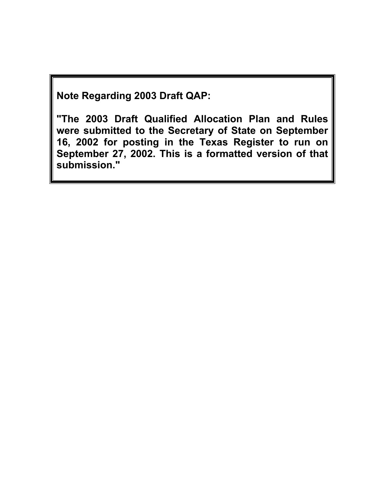**Note Regarding 2003 Draft QAP:** 

**"The 2003 Draft Qualified Allocation Plan and Rules were submitted to the Secretary of State on September 16, 2002 for posting in the Texas Register to run on September 27, 2002. This is a formatted version of that submission."**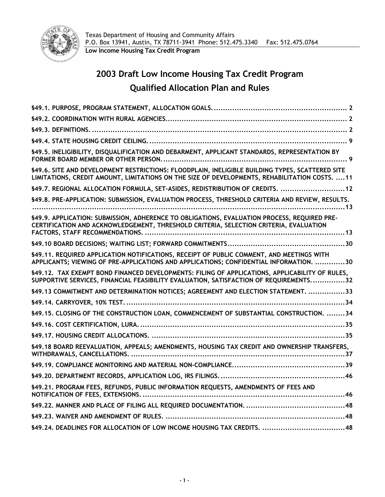

# **2003 Draft Low Income Housing Tax Credit Program Qualified Allocation Plan and Rules**

| §49.5. INELIGIBILITY, DISQUALIFICATION AND DEBARMENT, APPLICANT STANDARDS, REPRESENTATION BY                                                                                                      |
|---------------------------------------------------------------------------------------------------------------------------------------------------------------------------------------------------|
| §49.6. SITE AND DEVELOPMENT RESTRICTIONS: FLOODPLAIN, INELIGIBLE BUILDING TYPES, SCATTERED SITE<br>LIMITATIONS, CREDIT AMOUNT, LIMITATIONS ON THE SIZE OF DEVELOPMENTS, REHABILITATION COSTS.  11 |
| §49.7. REGIONAL ALLOCATION FORMULA, SET-ASIDES, REDISTRIBUTION OF CREDITS.  12                                                                                                                    |
| §49.8. PRE-APPLICATION: SUBMISSION, EVALUATION PROCESS, THRESHOLD CRITERIA AND REVIEW, RESULTS.                                                                                                   |
| §49.9. APPLICATION: SUBMISSION, ADHERENCE TO OBLIGATIONS, EVALUATION PROCESS, REQUIRED PRE-<br>CERTIFICATION AND ACKNOWLEDGEMENT, THRESHOLD CRITERIA, SELECTION CRITERIA, EVALUATION              |
|                                                                                                                                                                                                   |
| §49.11. REQUIRED APPLICATION NOTIFICATIONS, RECEIPT OF PUBLIC COMMENT, AND MEETINGS WITH<br>APPLICANTS; VIEWING OF PRE-APPLICATIONS AND APPLICATIONS; CONFIDENTIAL INFORMATION. 30                |
| §49.12. TAX EXEMPT BOND FINANCED DEVELOPMENTS: FILING OF APPLICATIONS, APPLICABILITY OF RULES,<br>SUPPORTIVE SERVICES, FINANCIAL FEASIBILITY EVALUATION, SATISFACTION OF REQUIREMENTS32           |
| §49.13 COMMITMENT AND DETERMINATION NOTICES; AGREEMENT AND ELECTION STATEMENT. 33                                                                                                                 |
|                                                                                                                                                                                                   |
| §49.15. CLOSING OF THE CONSTRUCTION LOAN, COMMENCEMENT OF SUBSTANTIAL CONSTRUCTION. 34                                                                                                            |
|                                                                                                                                                                                                   |
|                                                                                                                                                                                                   |
| §49.18 BOARD REEVALUATION, APPEALS; AMENDMENTS, HOUSING TAX CREDIT AND OWNERSHIP TRANSFERS,                                                                                                       |
|                                                                                                                                                                                                   |
|                                                                                                                                                                                                   |
| §49.21. PROGRAM FEES, REFUNDS, PUBLIC INFORMATION REQUESTS, AMENDMENTS OF FEES AND                                                                                                                |
|                                                                                                                                                                                                   |
|                                                                                                                                                                                                   |
|                                                                                                                                                                                                   |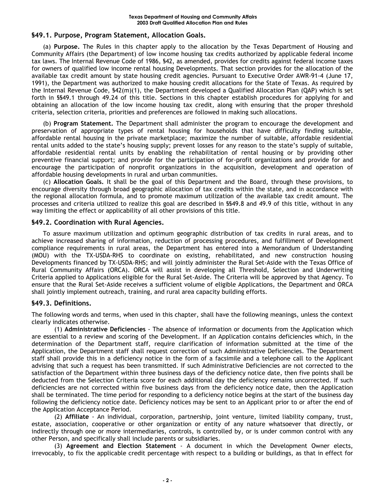# **§49.1. Purpose, Program Statement, Allocation Goals.**

(a) **Purpose.** The Rules in this chapter apply to the allocation by the Texas Department of Housing and Community Affairs (the Department) of low income housing tax credits authorized by applicable federal income tax laws. The Internal Revenue Code of 1986, §42, as amended, provides for credits against federal income taxes for owners of qualified low income rental housing Developments. That section provides for the allocation of the available tax credit amount by state housing credit agencies. Pursuant to Executive Order AWR-91-4 (June 17, 1991), the Department was authorized to make housing credit allocations for the State of Texas. As required by the Internal Revenue Code, §42(m)(1), the Department developed a Qualified Allocation Plan (QAP) which is set forth in §§49.1 through 49.24 of this title. Sections in this chapter establish procedures for applying for and obtaining an allocation of the low income housing tax credit, along with ensuring that the proper threshold criteria, selection criteria, priorities and preferences are followed in making such allocations.

(b) **Program Statement.** The Department shall administer the program to encourage the development and preservation of appropriate types of rental housing for households that have difficulty finding suitable, affordable rental housing in the private marketplace; maximize the number of suitable, affordable residential rental units added to the state's housing supply; prevent losses for any reason to the state's supply of suitable, affordable residential rental units by enabling the rehabilitation of rental housing or by providing other preventive financial support; and provide for the participation of for-profit organizations and provide for and encourage the participation of nonprofit organizations in the acquisition, development and operation of affordable housing developments in rural and urban communities.

(c) **Allocation Goals.** It shall be the goal of this Department and the Board, through these provisions, to encourage diversity through broad geographic allocation of tax credits within the state, and in accordance with the regional allocation formula, and to promote maximum utilization of the available tax credit amount. The processes and criteria utilized to realize this goal are described in §§49.8 and 49.9 of this title, without in any way limiting the effect or applicability of all other provisions of this title.

# **§49.2. Coordination with Rural Agencies.**

To assure maximum utilization and optimum geographic distribution of tax credits in rural areas, and to achieve increased sharing of information, reduction of processing procedures, and fulfillment of Development compliance requirements in rural areas, the Department has entered into a Memorandum of Understanding (MOU) with the TX-USDA-RHS to coordinate on existing, rehabilitated, and new construction housing Developments financed by TX-USDA-RHS; and will jointly administer the Rural Set-Aside with the Texas Office of Rural Community Affairs (ORCA). ORCA will assist in developing all Threshold, Selection and Underwriting Criteria applied to Applications eligible for the Rural Set-Aside. The Criteria will be approved by that Agency. To ensure that the Rural Set-Aside receives a sufficient volume of eligible Applications, the Department and ORCA shall jointly implement outreach, training, and rural area capacity building efforts.

# **§49.3. Definitions.**

The following words and terms, when used in this chapter, shall have the following meanings, unless the context clearly indicates otherwise.

(1) **Administrative Deficiencies** - The absence of information or documents from the Application which are essential to a review and scoring of the Development. If an Application contains deficiencies which, in the determination of the Department staff, require clarification of information submitted at the time of the Application, the Department staff shall request correction of such Administrative Deficiencies. The Department staff shall provide this in a deficiency notice in the form of a facsimile and a telephone call to the Applicant advising that such a request has been transmitted. If such Administrative Deficiencies are not corrected to the satisfaction of the Department within three business days of the deficiency notice date, then five points shall be deducted from the Selection Criteria score for each additional day the deficiency remains uncorrected. If such deficiencies are not corrected within five business days from the deficiency notice date, then the Application shall be terminated. The time period for responding to a deficiency notice begins at the start of the business day following the deficiency notice date. Deficiency notices may be sent to an Applicant prior to or after the end of the Application Acceptance Period.

(2) **Affiliate** - An individual, corporation, partnership, joint venture, limited liability company, trust, estate, association, cooperative or other organization or entity of any nature whatsoever that directly, or indirectly through one or more intermediaries, controls, is controlled by, or is under common control with any other Person, and specifically shall include parents or subsidiaries.

(3) **Agreement and Election Statement** - A document in which the Development Owner elects, irrevocably, to fix the applicable credit percentage with respect to a building or buildings, as that in effect for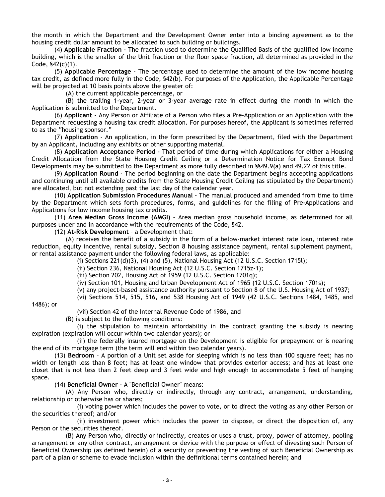the month in which the Department and the Development Owner enter into a binding agreement as to the housing credit dollar amount to be allocated to such building or buildings.

(4) **Applicable Fraction** - The fraction used to determine the Qualified Basis of the qualified low income building, which is the smaller of the Unit fraction or the floor space fraction, all determined as provided in the Code, §42(c)(1).

(5) **Applicable Percentage** - The percentage used to determine the amount of the low income housing tax credit, as defined more fully in the Code, §42(b). For purposes of the Application, the Applicable Percentage will be projected at 10 basis points above the greater of:

(A) the current applicable percentage, or

(B) the trailing 1-year, 2-year or 3-year average rate in effect during the month in which the Application is submitted to the Department.

(6) **Applicant** - Any Person or Affiliate of a Person who files a Pre-Application or an Application with the Department requesting a housing tax credit allocation. For purposes hereof, the Applicant is sometimes referred to as the "housing sponsor."

(7) **Application** - An application, in the form prescribed by the Department, filed with the Department by an Applicant, including any exhibits or other supporting material.

(8) **Application Acceptance Period** - That period of time during which Applications for either a Housing Credit Allocation from the State Housing Credit Ceiling or a Determination Notice for Tax Exempt Bond Developments may be submitted to the Department as more fully described in §§49.9(a) and 49.22 of this title.

(9) **Application Round** - The period beginning on the date the Department begins accepting applications and continuing until all available credits from the State Housing Credit Ceiling (as stipulated by the Department) are allocated, but not extending past the last day of the calendar year.

(10) **Application Submission Procedures Manual** - The manual produced and amended from time to time by the Department which sets forth procedures, forms, and guidelines for the filing of Pre-Applications and Applications for low income housing tax credits.

(11) **Area Median Gross Income (AMGI)** – Area median gross household income, as determined for all purposes under and in accordance with the requirements of the Code, §42.

(12) **At-Risk Development** – a Development that:

(A) receives the benefit of a subsidy in the form of a below-market interest rate loan, interest rate reduction, equity incentive, rental subsidy, Section 8 housing assistance payment, rental supplement payment, or rental assistance payment under the following federal laws, as applicable:

(i) Sections  $221(d)(3)$ ,  $(4)$  and  $(5)$ , National Housing Act  $(12 \text{ U.S.C. Section 1715l})$ ;

(ii) Section 236, National Housing Act (12 U.S.C. Section 1715z-1);

(iii) Section 202, Housing Act of 1959 (12 U.S.C. Section 1701q);

(iv) Section 101, Housing and Urban Development Act of 1965 (12 U.S.C. Section 1701s);

(v) any project-based assistance authority pursuant to Section 8 of the U.S. Housing Act of 1937;

(vi) Sections 514, 515, 516, and 538 Housing Act of 1949 (42 U.S.C. Sections 1484, 1485, and

1486); or

(vii) Section 42 of the Internal Revenue Code of 1986, and

(B) is subject to the following conditions:

(i) the stipulation to maintain affordability in the contract granting the subsidy is nearing expiration (expiration will occur within two calendar years); or

(ii) the federally insured mortgage on the Development is eligible for prepayment or is nearing the end of its mortgage term (the term will end within two calendar years).

(13) **Bedroom** – A portion of a Unit set aside for sleeping which is no less than 100 square feet; has no width or length less than 8 feet; has at least one window that provides exterior access; and has at least one closet that is not less than 2 feet deep and 3 feet wide and high enough to accommodate 5 feet of hanging space.

(14) **Beneficial Owner** - A "Beneficial Owner" means:

(A) Any Person who, directly or indirectly, through any contract, arrangement, understanding, relationship or otherwise has or shares;

(i) voting power which includes the power to vote, or to direct the voting as any other Person or the securities thereof; and/or

(ii) investment power which includes the power to dispose, or direct the disposition of, any Person or the securities thereof.

(B) Any Person who, directly or indirectly, creates or uses a trust, proxy, power of attorney, pooling arrangement or any other contract, arrangement or device with the purpose or effect of divesting such Person of Beneficial Ownership (as defined herein) of a security or preventing the vesting of such Beneficial Ownership as part of a plan or scheme to evade inclusion within the definitional terms contained herein; and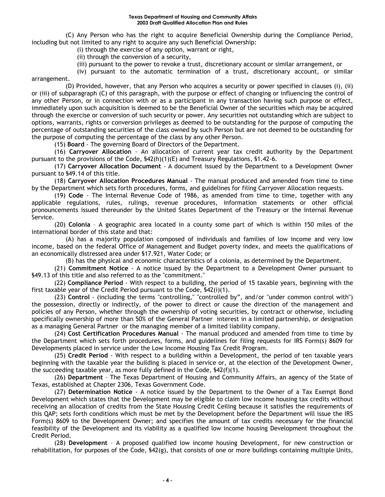(C) Any Person who has the right to acquire Beneficial Ownership during the Compliance Period, including but not limited to any right to acquire any such Beneficial Ownership:

(i) through the exercise of any option, warrant or right,

(ii) through the conversion of a security,

(iii) pursuant to the power to revoke a trust, discretionary account or similar arrangement, or

(iv) pursuant to the automatic termination of a trust, discretionary account, or similar

arrangement.

(D) Provided, however, that any Person who acquires a security or power specified in clauses (i), (ii) or (iii) of subparagraph (C) of this paragraph, with the purpose or effect of changing or influencing the control of any other Person, or in connection with or as a participant in any transaction having such purpose or effect, immediately upon such acquisition is deemed to be the Beneficial Owner of the securities which may be acquired through the exercise or conversion of such security or power. Any securities not outstanding which are subject to options, warrants, rights or conversion privileges as deemed to be outstanding for the purpose of computing the percentage of outstanding securities of the class owned by such Person but are not deemed to be outstanding for the purpose of computing the percentage of the class by any other Person.

(15) **Board** - The governing Board of Directors of the Department.

(16) **Carryover Allocation** - An allocation of current year tax credit authority by the Department pursuant to the provisions of the Code, §42(h)(1)(E) and Treasury Regulations, §1.42-6.

(17) **Carryover Allocation Document** - A document issued by the Department to a Development Owner pursuant to §49.14 of this title.

(18) **Carryover Allocation Procedures Manual** - The manual produced and amended from time to time by the Department which sets forth procedures, forms, and guidelines for filing Carryover Allocation requests.

(19) **Code** - The Internal Revenue Code of 1986, as amended from time to time, together with any applicable regulations, rules, rulings, revenue procedures, information statements or other official pronouncements issued thereunder by the United States Department of the Treasury or the Internal Revenue Service.

(20) **Colonia** – A geographic area located in a county some part of which is within 150 miles of the international border of this state and that:

(A) has a majority population composed of individuals and families of low income and very low income, based on the federal Office of Management and Budget poverty index, and meets the qualifications of an economically distressed area under §17.921, Water Code; or

(B) has the physical and economic characteristics of a colonia, as determined by the Department.

(21) **Commitment Notice** - A notice issued by the Department to a Development Owner pursuant to §49.13 of this title and also referred to as the "commitment."

(22) **Compliance Period** - With respect to a building, the period of 15 taxable years, beginning with the first taxable year of the Credit Period pursuant to the Code, §42(i)(1).

(23) **Control** - (including the terms "controlling," "controlled by", and/or "under common control with") the possession, directly or indirectly, of the power to direct or cause the direction of the management and policies of any Person, whether through the ownership of voting securities, by contract or otherwise, including specifically ownership of more than 50% of the General Partner interest in a limited partnership, or designation as a managing General Partner or the managing member of a limited liability company.

(24) **Cost Certification Procedures Manual** - The manual produced and amended from time to time by the Department which sets forth procedures, forms, and guidelines for filing requests for IRS Form(s) 8609 for Developments placed in service under the Low Income Housing Tax Credit Program.

(25) **Credit Period** - With respect to a building within a Development, the period of ten taxable years beginning with the taxable year the building is placed in service or, at the election of the Development Owner, the succeeding taxable year, as more fully defined in the Code, §42(f)(1).

(26) **Department** – The Texas Department of Housing and Community Affairs, an agency of the State of Texas, established at Chapter 2306, Texas Government Code.

(27) **Determination Notice** - A notice issued by the Department to the Owner of a Tax Exempt Bond Development which states that the Development may be eligible to claim low income housing tax credits without receiving an allocation of credits from the State Housing Credit Ceiling because it satisfies the requirements of this QAP; sets forth conditions which must be met by the Development before the Department will issue the IRS Form(s) 8609 to the Development Owner; and specifies the amount of tax credits necessary for the financial feasibility of the Development and its viability as a qualified low income housing Development throughout the Credit Period.

(28) **Development** – A proposed qualified low income housing Development, for new construction or rehabilitation, for purposes of the Code, §42(g), that consists of one or more buildings containing multiple Units,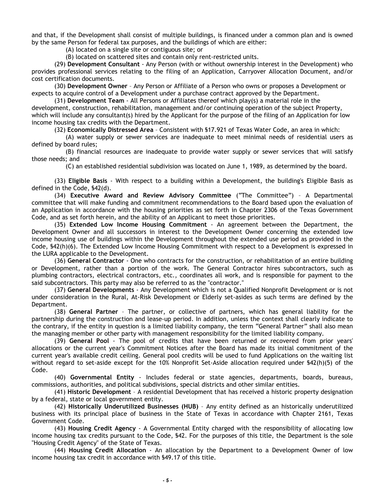and that, if the Development shall consist of multiple buildings, is financed under a common plan and is owned by the same Person for federal tax purposes, and the buildings of which are either:

(A) located on a single site or contiguous site; or

(B) located on scattered sites and contain only rent-restricted units.

(29) **Development Consultant** - Any Person (with or without ownership interest in the Development) who provides professional services relating to the filing of an Application, Carryover Allocation Document, and/or cost certification documents.

(30) **Development Owner** – Any Person or Affiliate of a Person who owns or proposes a Development or expects to acquire control of a Development under a purchase contract approved by the Department.

(31) **Development Team** - All Persons or Affiliates thereof which play(s) a material role in the development, construction, rehabilitation, management and/or continuing operation of the subject Property, which will include any consultant(s) hired by the Applicant for the purpose of the filing of an Application for low income housing tax credits with the Department.

(32) **Economically Distressed Area** – Consistent with §17.921 of Texas Water Code, an area in which:

(A) water supply or sewer services are inadequate to meet minimal needs of residential users as defined by board rules;

(B) financial resources are inadequate to provide water supply or sewer services that will satisfy those needs; and

(C) an established residential subdivision was located on June 1, 1989, as determined by the board.

(33) **Eligible Basis** - With respect to a building within a Development, the building's Eligible Basis as defined in the Code, §42(d).

(34) **Executive Award and Review Advisory Committee** ("The Committee") – A Departmental committee that will make funding and commitment recommendations to the Board based upon the evaluation of an Application in accordance with the housing priorities as set forth in Chapter 2306 of the Texas Government Code, and as set forth herein, and the ability of an Applicant to meet those priorities.

(35) **Extended Low Income Housing Commitment** - An agreement between the Department, the Development Owner and all successors in interest to the Development Owner concerning the extended low income housing use of buildings within the Development throughout the extended use period as provided in the Code, §42(h)(6). The Extended Low Income Housing Commitment with respect to a Development is expressed in the LURA applicable to the Development.

(36) **General Contractor** - One who contracts for the construction, or rehabilitation of an entire building or Development, rather than a portion of the work. The General Contractor hires subcontractors, such as plumbing contractors, electrical contractors, etc., coordinates all work, and is responsible for payment to the said subcontractors. This party may also be referred to as the "contractor."

(37) **General Developments** - Any Development which is not a Qualified Nonprofit Development or is not under consideration in the Rural, At-Risk Development or Elderly set-asides as such terms are defined by the Department.

(38) **General Partner** – The partner, or collective of partners, which has general liability for the partnership during the construction and lease-up period. In addition, unless the context shall clearly indicate to the contrary, if the entity in question is a limited liability company, the term "General Partner" shall also mean the managing member or other party with management responsibility for the limited liability company.

(39) **General Pool** - The pool of credits that have been returned or recovered from prior years' allocations or the current year's Commitment Notices after the Board has made its initial commitment of the current year's available credit ceiling. General pool credits will be used to fund Applications on the waiting list without regard to set-aside except for the 10% Nonprofit Set-Aside allocation required under §42(h)(5) of the Code.

(40) **Governmental Entity** - Includes federal or state agencies, departments, boards, bureaus, commissions, authorities, and political subdivisions, special districts and other similar entities.

(41) **Historic Development** – A residential Development that has received a historic property designation by a federal, state or local government entity.

(42) **Historically Underutilized Businesses (HUB)** – Any entity defined as an historically underutilized business with its principal place of business in the State of Texas in accordance with Chapter 2161, Texas Government Code.

(43) **Housing Credit Agency** - A Governmental Entity charged with the responsibility of allocating low income housing tax credits pursuant to the Code, §42. For the purposes of this title, the Department is the sole "Housing Credit Agency" of the State of Texas.

(44) **Housing Credit Allocation** - An allocation by the Department to a Development Owner of low income housing tax credit in accordance with §49.17 of this title.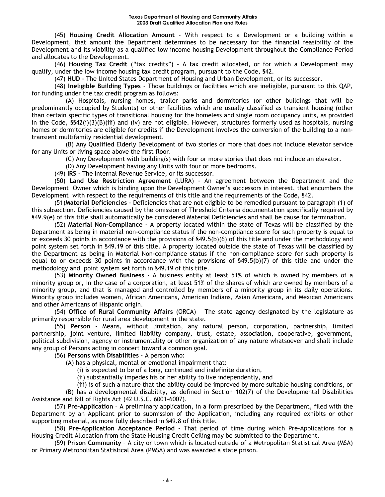(45) **Housing Credit Allocation Amount** - With respect to a Development or a building within a Development, that amount the Department determines to be necessary for the financial feasibility of the Development and its viability as a qualified low income housing Development throughout the Compliance Period and allocates to the Development.

(46) **Housing Tax Credit** ("tax credits") – A tax credit allocated, or for which a Development may qualify, under the low income housing tax credit program, pursuant to the Code, §42.

(47) **HUD** - The United States Department of Housing and Urban Development, or its successor.

(48) **Ineligible Building Types** - Those buildings or facilities which are ineligible, pursuant to this QAP, for funding under the tax credit program as follows:

(A) Hospitals, nursing homes, trailer parks and dormitories (or other buildings that will be predominantly occupied by Students) or other facilities which are usually classified as transient housing (other than certain specific types of transitional housing for the homeless and single room occupancy units, as provided in the Code, §§42(i)(3)(B)(iii) and (iv) are not eligible. However, structures formerly used as hospitals, nursing homes or dormitories are eligible for credits if the Development involves the conversion of the building to a nontransient multifamily residential development.

(B) Any Qualified Elderly Development of two stories or more that does not include elevator service for any Units or living space above the first floor.

(C) Any Development with building(s) with four or more stories that does not include an elevator.

(D) Any Development having any Units with four or more bedrooms.

(49) **IRS** - The Internal Revenue Service, or its successor.

(50) **Land Use Restriction Agreement** (LURA) - An agreement between the Department and the Development Owner which is binding upon the Development Owner's successors in interest, that encumbers the Development with respect to the requirements of this title and the requirements of the Code, §42.

(51)**Material Deficiencies** - Deficiencies that are not eligible to be remedied pursuant to paragraph (1) of this subsection. Deficiencies caused by the omission of Threshold Criteria documentation specifically required by §49.9(e) of this title shall automatically be considered Material Deficiencies and shall be cause for termination.

(52) **Material Non-Compliance** - A property located within the state of Texas will be classified by the Department as being in material non-compliance status if the non-compliance score for such property is equal to or exceeds 30 points in accordance with the provisions of §49.5(b)(6) of this title and under the methodology and point system set forth in §49.19 of this title. A property located outside the state of Texas will be classified by the Department as being in Material Non-compliance status if the non-compliance score for such property is equal to or exceeds 30 points in accordance with the provisions of §49.5(b)(7) of this title and under the methodology and point system set forth in §49.19 of this title.

(53) **Minority Owned Business** - A business entity at least 51% of which is owned by members of a minority group or, in the case of a corporation, at least 51% of the shares of which are owned by members of a minority group, and that is managed and controlled by members of a minority group in its daily operations. Minority group includes women, African Americans, American Indians, Asian Americans, and Mexican Americans and other Americans of Hispanic origin.

(54) **Office of Rural Community Affairs** (ORCA) – The state agency designated by the legislature as primarily responsible for rural area development in the state.

(55) **Person** - Means, without limitation, any natural person, corporation, partnership, limited partnership, joint venture, limited liability company, trust, estate, association, cooperative, government, political subdivision, agency or instrumentality or other organization of any nature whatsoever and shall include any group of Persons acting in concert toward a common goal.

(56) **Persons with Disabilities** - A person who:

(A) has a physical, mental or emotional impairment that:

(i) is expected to be of a long, continued and indefinite duration,

(ii) substantially impedes his or her ability to live independently, and

(iii) is of such a nature that the ability could be improved by more suitable housing conditions, or

(B) has a developmental disability, as defined in Section 102(7) of the Developmental Disabilities Assistance and Bill of Rights Act (42 U.S.C. 6001-6007).

(57) **Pre-Application** – A preliminary application, in a form prescribed by the Department, filed with the Department by an Applicant prior to submission of the Application, including any required exhibits or other supporting material, as more fully described in §49.8 of this title.

(58) **Pre-Application Acceptance Period** - That period of time during which Pre-Applications for a Housing Credit Allocation from the State Housing Credit Ceiling may be submitted to the Department.

(59) **Prison Community** – A city or town which is located outside of a Metropolitan Statistical Area (MSA) or Primary Metropolitan Statistical Area (PMSA) and was awarded a state prison.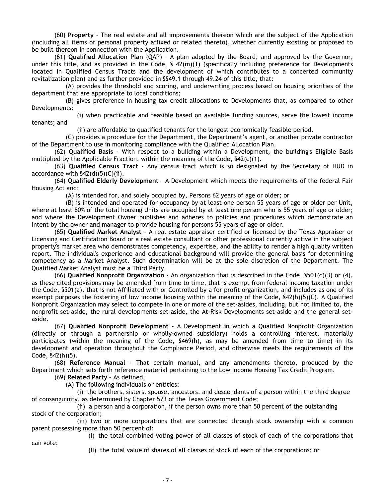(60) **Property** - The real estate and all improvements thereon which are the subject of the Application (including all items of personal property affixed or related thereto), whether currently existing or proposed to be built thereon in connection with the Application.

(61) **Qualified Allocation Plan** (QAP) – A plan adopted by the Board, and approved by the Governor, under this title, and as provided in the Code, § 42(m)(1) (specifically including preference for Developments located in Qualified Census Tracts and the development of which contributes to a concerted community revitalization plan) and as further provided in §§49.1 through 49.24 of this title, that:

(A) provides the threshold and scoring, and underwriting process based on housing priorities of the department that are appropriate to local conditions;

(B) gives preference in housing tax credit allocations to Developments that, as compared to other Developments:

(i) when practicable and feasible based on available funding sources, serve the lowest income tenants; and

(ii) are affordable to qualified tenants for the longest economically feasible period.

(C) provides a procedure for the Department, the Department's agent, or another private contractor of the Department to use in monitoring compliance with the Qualified Allocation Plan.

(62) **Qualified Basis** - With respect to a building within a Development, the building's Eligible Basis multiplied by the Applicable Fraction, within the meaning of the Code,  $\frac{542(c)(1)}{2}$ .

(63) **Qualified Census Tract** - Any census tract which is so designated by the Secretary of HUD in accordance with §42(d)(5)(C)(ii).

(64) **Qualified Elderly Development** – A Development which meets the requirements of the federal Fair Housing Act and:

(A) is intended for, and solely occupied by, Persons 62 years of age or older; or

(B) is intended and operated for occupancy by at least one person 55 years of age or older per Unit, where at least 80% of the total housing Units are occupied by at least one person who is 55 years of age or older; and where the Development Owner publishes and adheres to policies and procedures which demonstrate an intent by the owner and manager to provide housing for persons 55 years of age or older.

(65) **Qualified Market Analyst** - A real estate appraiser certified or licensed by the Texas Appraiser or Licensing and Certification Board or a real estate consultant or other professional currently active in the subject property's market area who demonstrates competency, expertise, and the ability to render a high quality written report. The individual's experience and educational background will provide the general basis for determining competency as a Market Analyst. Such determination will be at the sole discretion of the Department. The Qualified Market Analyst must be a Third Party.

(66) **Qualified Nonprofit Organization** - An organization that is described in the Code, §501(c)(3) or (4), as these cited provisions may be amended from time to time, that is exempt from federal income taxation under the Code, §501(a), that is not Affiliated with or Controlled by a for profit organization, and includes as one of its exempt purposes the fostering of low income housing within the meaning of the Code, §42(h)(5)(C). A Qualified Nonprofit Organization may select to compete in one or more of the set-asides, including, but not limited to, the nonprofit set-aside, the rural developments set-aside, the At-Risk Developments set-aside and the general setaside.

(67) **Qualified Nonprofit Development** - A Development in which a Qualified Nonprofit Organization (directly or through a partnership or wholly-owned subsidiary) holds a controlling interest, materially participates (within the meaning of the Code, §469(h), as may be amended from time to time) in its development and operation throughout the Compliance Period, and otherwise meets the requirements of the Code, §42(h)(5).

(68) **Reference Manual** - That certain manual, and any amendments thereto, produced by the Department which sets forth reference material pertaining to the Low Income Housing Tax Credit Program.

(69) **Related Party** – As defined,

(A) The following individuals or entities:

(i) the brothers, sisters, spouse, ancestors, and descendants of a person within the third degree of consanguinity, as determined by Chapter 573 of the Texas Government Code;

(ii) a person and a corporation, if the person owns more than 50 percent of the outstanding stock of the corporation;

(iii) two or more corporations that are connected through stock ownership with a common parent possessing more than 50 percent of:

(I) the total combined voting power of all classes of stock of each of the corporations that

(II) the total value of shares of all classes of stock of each of the corporations; or

can vote;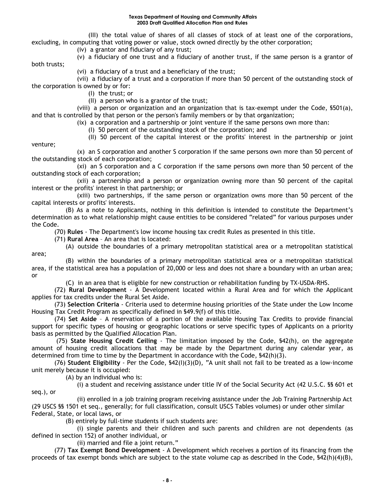(III) the total value of shares of all classes of stock of at least one of the corporations, excluding, in computing that voting power or value, stock owned directly by the other corporation;

(iv) a grantor and fiduciary of any trust;

(v) a fiduciary of one trust and a fiduciary of another trust, if the same person is a grantor of both trusts;

(vi) a fiduciary of a trust and a beneficiary of the trust;

(vii) a fiduciary of a trust and a corporation if more than 50 percent of the outstanding stock of the corporation is owned by or for:

(I) the trust; or

(II) a person who is a grantor of the trust;

(viii) a person or organization and an organization that is tax-exempt under the Code, §501(a), and that is controlled by that person or the person's family members or by that organization;

(ix) a corporation and a partnership or joint venture if the same persons own more than:

(I) 50 percent of the outstanding stock of the corporation; and

(II) 50 percent of the capital interest or the profits' interest in the partnership or joint

venture;

seq.), or

(x) an S corporation and another S corporation if the same persons own more than 50 percent of the outstanding stock of each corporation;

(xi) an S corporation and a C corporation if the same persons own more than 50 percent of the outstanding stock of each corporation;

(xii) a partnership and a person or organization owning more than 50 percent of the capital interest or the profits' interest in that partnership; or

(xiii) two partnerships, if the same person or organization owns more than 50 percent of the capital interests or profits' interests.

(B) As a note to Applicants, nothing in this definition is intended to constitute the Department's determination as to what relationship might cause entities to be considered "related" for various purposes under the Code.

(70) **Rules** - The Department's low income housing tax credit Rules as presented in this title.

(71) **Rural Area** – An area that is located:

(A) outside the boundaries of a primary metropolitan statistical area or a metropolitan statistical area;

(B) within the boundaries of a primary metropolitan statistical area or a metropolitan statistical area, if the statistical area has a population of 20,000 or less and does not share a boundary with an urban area; or

(C) in an area that is eligible for new construction or rehabilitation funding by TX-USDA-RHS.

(72) **Rural Development** - A Development located within a Rural Area and for which the Applicant applies for tax credits under the Rural Set Aside.

(73) **Selection Criteria** - Criteria used to determine housing priorities of the State under the Low Income Housing Tax Credit Program as specifically defined in §49.9(f) of this title.

(74) **Set Aside** – A reservation of a portion of the available Housing Tax Credits to provide financial support for specific types of housing or geographic locations or serve specific types of Applicants on a priority basis as permitted by the Qualified Allocation Plan.

(75) **State Housing Credit Ceiling** - The limitation imposed by the Code, §42(h), on the aggregate amount of housing credit allocations that may be made by the Department during any calendar year, as determined from time to time by the Department in accordance with the Code, §42(h)(3).

(76) **Student Eligibility** - Per the Code, §42(I)(3)(D), "A unit shall not fail to be treated as a low-income unit merely because it is occupied:

(A) by an individual who is:

(i) a student and receiving assistance under title IV of the Social Security Act (42 U.S.C. §§ 601 et

(ii) enrolled in a job training program receiving assistance under the Job Training Partnership Act (29 USCS §§ 1501 et seq., generally; for full classification, consult USCS Tables volumes) or under other similar Federal, State, or local laws, or

(B) entirely by full-time students if such students are:

(i) single parents and their children and such parents and children are not dependents (as defined in section 152) of another individual, or

(ii) married and file a joint return."

(77) **Tax Exempt Bond Development** - A Development which receives a portion of its financing from the proceeds of tax exempt bonds which are subject to the state volume cap as described in the Code, §42(h)(4)(B),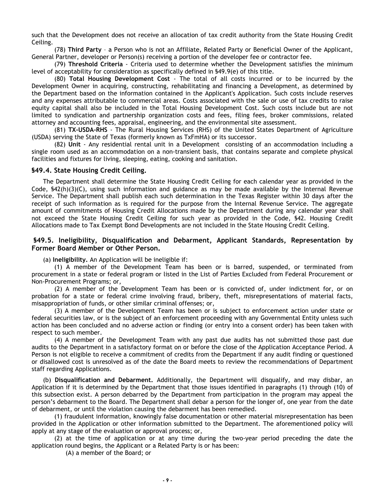such that the Development does not receive an allocation of tax credit authority from the State Housing Credit Ceiling.

(78) **Third Party** – a Person who is not an Affiliate, Related Party or Beneficial Owner of the Applicant, General Partner, developer or Person(s) receiving a portion of the developer fee or contractor fee.

(79) **Threshold Criteria** - Criteria used to determine whether the Development satisfies the minimum level of acceptability for consideration as specifically defined in §49.9(e) of this title.

(80) **Total Housing Development Cost** - The total of all costs incurred or to be incurred by the Development Owner in acquiring, constructing, rehabilitating and financing a Development, as determined by the Department based on the information contained in the Applicant's Application. Such costs include reserves and any expenses attributable to commercial areas. Costs associated with the sale or use of tax credits to raise equity capital shall also be included in the Total Housing Development Cost. Such costs include but are not limited to syndication and partnership organization costs and fees, filing fees, broker commissions, related attorney and accounting fees, appraisal, engineering, and the environmental site assessment.

(81) **TX-USDA-RHS** - The Rural Housing Services (RHS) of the United States Department of Agriculture (USDA) serving the State of Texas (formerly known as TxFmHA) or its successor.

(82) **Unit** - Any residential rental unit in a Development consisting of an accommodation including a single room used as an accommodation on a non-transient basis, that contains separate and complete physical facilities and fixtures for living, sleeping, eating, cooking and sanitation.

#### **§49.4. State Housing Credit Ceiling.**

The Department shall determine the State Housing Credit Ceiling for each calendar year as provided in the Code, §42(h)(3)(C), using such information and guidance as may be made available by the Internal Revenue Service. The Department shall publish each such determination in the Texas Register within 30 days after the receipt of such information as is required for the purpose from the Internal Revenue Service. The aggregate amount of commitments of Housing Credit Allocations made by the Department during any calendar year shall not exceed the State Housing Credit Ceiling for such year as provided in the Code, §42. Housing Credit Allocations made to Tax Exempt Bond Developments are not included in the State Housing Credit Ceiling.

#### **§49.5. Ineligibility, Disqualification and Debarment, Applicant Standards, Representation by Former Board Member or Other Person.**

(a) **Ineligibility.** An Application will be ineligible if:

(1) A member of the Development Team has been or is barred, suspended, or terminated from procurement in a state or federal program or listed in the List of Parties Excluded from Federal Procurement or Non-Procurement Programs; or,

(2) A member of the Development Team has been or is convicted of, under indictment for, or on probation for a state or federal crime involving fraud, bribery, theft, misrepresentations of material facts, misappropriation of funds, or other similar criminal offenses; or,

(3) A member of the Development Team has been or is subject to enforcement action under state or federal securities law, or is the subject of an enforcement proceeding with any Governmental Entity unless such action has been concluded and no adverse action or finding (or entry into a consent order) has been taken with respect to such member.

(4) A member of the Development Team with any past due audits has not submitted those past due audits to the Department in a satisfactory format on or before the close of the Application Acceptance Period. A Person is not eligible to receive a commitment of credits from the Department if any audit finding or questioned or disallowed cost is unresolved as of the date the Board meets to review the recommendations of Department staff regarding Applications.

(b) **Disqualification and Debarment.** Additionally, the Department will disqualify, and may disbar, an Application if it is determined by the Department that those issues identified in paragraphs (1) through (10) of this subsection exist. A person debarred by the Department from participation in the program may appeal the person's debarment to the Board. The Department shall debar a person for the longer of, one year from the date of debarment, or until the violation causing the debarment has been remedied.

(1) fraudulent information, knowingly false documentation or other material misrepresentation has been provided in the Application or other information submitted to the Department. The aforementioned policy will apply at any stage of the evaluation or approval process; or,

(2) at the time of application or at any time during the two-year period preceding the date the application round begins, the Applicant or a Related Party is or has been:

(A) a member of the Board; or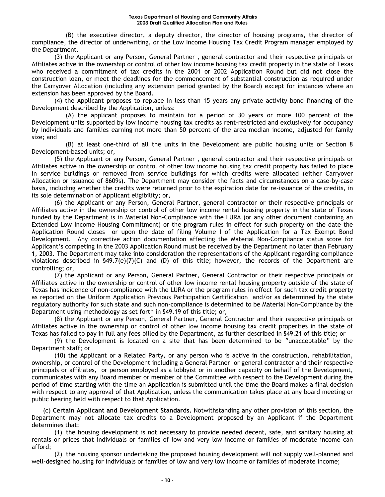(B) the executive director, a deputy director, the director of housing programs, the director of compliance, the director of underwriting, or the Low Income Housing Tax Credit Program manager employed by the Department.

(3) the Applicant or any Person, General Partner , general contractor and their respective principals or Affiliates active in the ownership or control of other low income housing tax credit property in the state of Texas who received a commitment of tax credits in the 2001 or 2002 Application Round but did not close the construction loan, or meet the deadlines for the commencement of substantial construction as required under the Carryover Allocation (including any extension period granted by the Board) except for instances where an extension has been approved by the Board.

(4) the Applicant proposes to replace in less than 15 years any private activity bond financing of the Development described by the Application, unless:

(A) the applicant proposes to maintain for a period of 30 years or more 100 percent of the Development units supported by low income housing tax credits as rent-restricted and exclusively for occupancy by individuals and families earning not more than 50 percent of the area median income, adjusted for family size; and

(B) at least one-third of all the units in the Development are public housing units or Section 8 Development-based units; or,

(5) the Applicant or any Person, General Partner , general contractor and their respective principals or Affiliates active in the ownership or control of other low income housing tax credit property has failed to place in service buildings or removed from service buildings for which credits were allocated (either Carryover Allocation or issuance of 8609s). The Department may consider the facts and circumstances on a case-by-case basis, including whether the credits were returned prior to the expiration date for re-issuance of the credits, in its sole determination of Applicant eligibility; or,

(6) the Applicant or any Person, General Partner, general contractor or their respective principals or Affiliates active in the ownership or control of other low income rental housing property in the state of Texas funded by the Department is in Material Non-Compliance with the LURA (or any other document containing an Extended Low Income Housing Commitment) or the program rules in effect for such property on the date the Application Round closes or upon the date of filing Volume I of the Application for a Tax Exempt Bond Development. Any corrective action documentation affecting the Material Non-Compliance status score for Applicant's competing in the 2003 Application Round must be received by the Department no later than February 1, 2003. The Department may take into consideration the representations of the Applicant regarding compliance violations described in  $$49.7(e)(7)(C)$  and (D) of this title; however, the records of the Department are controlling; or,

(7) the Applicant or any Person, General Partner, General Contractor or their respective principals or Affiliates active in the ownership or control of other low income rental housing property outside of the state of Texas has incidence of non-compliance with the LURA or the program rules in effect for such tax credit property as reported on the Uniform Application Previous Participation Certification and/or as determined by the state regulatory authority for such state and such non-compliance is determined to be Material Non-Compliance by the Department using methodology as set forth in §49.19 of this title; or,

(8) the Applicant or any Person, General Partner, General Contractor and their respective principals or Affiliates active in the ownership or control of other low income housing tax credit properties in the state of Texas has failed to pay in full any fees billed by the Department, as further described in §49.21 of this title; or

(9) the Development is located on a site that has been determined to be "unacceptable" by the Department staff; or

(10) the Applicant or a Related Party, or any person who is active in the construction, rehabilitation, ownership, or control of the Development including a General Partner or general contractor and their respective principals or affiliates, or person employed as a lobbyist or in another capacity on behalf of the Development, communicates with any Board member or member of the Committee with respect to the Development during the period of time starting with the time an Application is submitted until the time the Board makes a final decision with respect to any approval of that Application, unless the communication takes place at any board meeting or public hearing held with respect to that Application.

(c) **Certain Applicant and Development Standards.** Notwithstanding any other provision of this section, the Department may not allocate tax credits to a Development proposed by an Applicant if the Department determines that:

(1) the housing development is not necessary to provide needed decent, safe, and sanitary housing at rentals or prices that individuals or families of low and very low income or families of moderate income can afford;

(2) the housing sponsor undertaking the proposed housing development will not supply well-planned and well-designed housing for individuals or families of low and very low income or families of moderate income;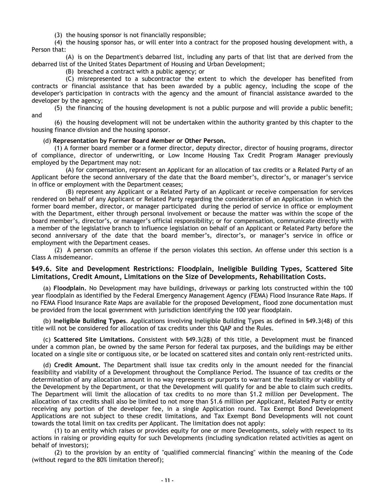(3) the housing sponsor is not financially responsible;

(4) the housing sponsor has, or will enter into a contract for the proposed housing development with, a Person that:

(A) is on the Department's debarred list, including any parts of that list that are derived from the debarred list of the United States Department of Housing and Urban Development;

(B) breached a contract with a public agency; or

(C) misrepresented to a subcontractor the extent to which the developer has benefited from contracts or financial assistance that has been awarded by a public agency, including the scope of the developer's participation in contracts with the agency and the amount of financial assistance awarded to the developer by the agency;

(5) the financing of the housing development is not a public purpose and will provide a public benefit; and

(6) the housing development will not be undertaken within the authority granted by this chapter to the housing finance division and the housing sponsor.

#### (d) **Representation by Former Board Member or Other Person.**

(1) A former board member or a former director, deputy director, director of housing programs, director of compliance, director of underwriting, or Low Income Housing Tax Credit Program Manager previously employed by the Department may not:

(A) for compensation, represent an Applicant for an allocation of tax credits or a Related Party of an Applicant before the second anniversary of the date that the Board member's, director's, or manager's service in office or employment with the Department ceases;

(B) represent any Applicant or a Related Party of an Applicant or receive compensation for services rendered on behalf of any Applicant or Related Party regarding the consideration of an Application in which the former board member, director, or manager participated during the period of service in office or employment with the Department, either through personal involvement or because the matter was within the scope of the board member's, director's, or manager's official responsibility; or for compensation, communicate directly with a member of the legislative branch to influence legislation on behalf of an Applicant or Related Party before the second anniversary of the date that the board member's, director's, or manager's service in office or employment with the Department ceases.

(2) A person commits an offense if the person violates this section. An offense under this section is a Class A misdemeanor.

#### **§49.6. Site and Development Restrictions: Floodplain, Ineligible Building Types, Scattered Site Limitations, Credit Amount, Limitations on the Size of Developments, Rehabilitation Costs.**

(a) **Floodplain.** No Development may have buildings, driveways or parking lots constructed within the 100 year floodplain as identified by the Federal Emergency Management Agency (FEMA) Flood Insurance Rate Maps. If no FEMA Flood Insurance Rate Maps are available for the proposed Development, flood zone documentation must be provided from the local government with jurisdiction identifying the 100 year floodplain.

(b) **Ineligible Building Types**. Applications involving Ineligible Building Types as defined in §49.3(48) of this title will not be considered for allocation of tax credits under this QAP and the Rules.

(c) **Scattered Site Limitations.** Consistent with §49.3(28) of this title, a Development must be financed under a common plan, be owned by the same Person for federal tax purposes, and the buildings may be either located on a single site or contiguous site, or be located on scattered sites and contain only rent-restricted units.

(d) **Credit Amount.** The Department shall issue tax credits only in the amount needed for the financial feasibility and viability of a Development throughout the Compliance Period. The issuance of tax credits or the determination of any allocation amount in no way represents or purports to warrant the feasibility or viability of the Development by the Department, or that the Development will qualify for and be able to claim such credits. The Department will limit the allocation of tax credits to no more than \$1.2 million per Development. The allocation of tax credits shall also be limited to not more than \$1.6 million per Applicant, Related Party or entity receiving any portion of the developer fee, in a single Application round. Tax Exempt Bond Development Applications are not subject to these credit limitations, and Tax Exempt Bond Developments will not count towards the total limit on tax credits per Applicant. The limitation does not apply:

(1) to an entity which raises or provides equity for one or more Developments, solely with respect to its actions in raising or providing equity for such Developments (including syndication related activities as agent on behalf of investors);

(2) to the provision by an entity of "qualified commercial financing" within the meaning of the Code (without regard to the 80% limitation thereof);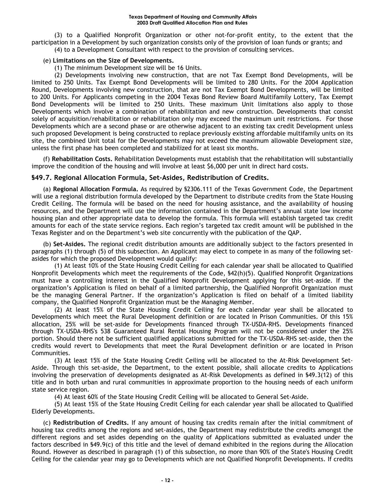(3) to a Qualified Nonprofit Organization or other not-for-profit entity, to the extent that the participation in a Development by such organization consists only of the provision of loan funds or grants; and (4) to a Development Consultant with respect to the provision of consulting services.

#### (e) **Limitations on the Size of Developments.**

(1) The minimum Development size will be 16 Units.

(2) Developments involving new construction, that are not Tax Exempt Bond Developments, will be limited to 250 Units. Tax Exempt Bond Developments will be limited to 280 Units. For the 2004 Application Round, Developments involving new construction, that are not Tax Exempt Bond Developments, will be limited to 200 Units. For Applicants competing in the 2004 Texas Bond Review Board Multifamily Lottery, Tax Exempt Bond Developments will be limited to 250 Units. These maximum Unit limitations also apply to those Developments which involve a combination of rehabilitation and new construction. Developments that consist solely of acquisition/rehabilitation or rehabilitation only may exceed the maximum unit restrictions. For those Developments which are a second phase or are otherwise adjacent to an existing tax credit Development unless such proposed Development is being constructed to replace previously existing affordable multifamily units on its site, the combined Unit total for the Developments may not exceed the maximum allowable Development size, unless the first phase has been completed and stabilized for at least six months.

(f) **Rehabilitation Costs.** Rehabilitation Developments must establish that the rehabilitation will substantially improve the condition of the housing and will involve at least \$6,000 per unit in direct hard costs.

# **§49.7. Regional Allocation Formula, Set-Asides, Redistribution of Credits.**

(a) **Regional Allocation Formula.** As required by §2306.111 of the Texas Government Code, the Department will use a regional distribution formula developed by the Department to distribute credits from the State Housing Credit Ceiling. The formula will be based on the need for housing assistance, and the availability of housing resources, and the Department will use the information contained in the Department's annual state low income housing plan and other appropriate data to develop the formula. This formula will establish targeted tax credit amounts for each of the state service regions. Each region's targeted tax credit amount will be published in the Texas Register and on the Department's web site concurrently with the publication of the QAP.

(b) **Set-Asides.** The regional credit distribution amounts are additionally subject to the factors presented in paragraphs (1) through (5) of this subsection. An Applicant may elect to compete in as many of the following setasides for which the proposed Development would qualify:

(1) At least 10% of the State Housing Credit Ceiling for each calendar year shall be allocated to Qualified Nonprofit Developments which meet the requirements of the Code, §42(h)(5). Qualified Nonprofit Organizations must have a controlling interest in the Qualified Nonprofit Development applying for this set-aside. If the organization's Application is filed on behalf of a limited partnership, the Qualified Nonprofit Organization must be the managing General Partner. If the organization's Application is filed on behalf of a limited liability company, the Qualified Nonprofit Organization must be the Managing Member.

(2) At least 15% of the State Housing Credit Ceiling for each calendar year shall be allocated to Developments which meet the Rural Development definition or are located in Prison Communities. Of this 15% allocation, 25% will be set-aside for Developments financed through TX-USDA-RHS. Developments financed through TX-USDA-RHS's 538 Guaranteed Rural Rental Housing Program will not be considered under the 25% portion. Should there not be sufficient qualified applications submitted for the TX-USDA-RHS set-aside, then the credits would revert to Developments that meet the Rural Development definition or are located in Prison Communities.

(3) At least 15% of the State Housing Credit Ceiling will be allocated to the At-Risk Development Set-Aside. Through this set-aside, the Department, to the extent possible, shall allocate credits to Applications involving the preservation of developments designated as At-Risk Developments as defined in §49.3(12) of this title and in both urban and rural communities in approximate proportion to the housing needs of each uniform state service region.

(4) At least 60% of the State Housing Credit Ceiling will be allocated to General Set-Aside.

(5) At least 15% of the State Housing Credit Ceiling for each calendar year shall be allocated to Qualified Elderly Developments.

(c) **Redistribution of Credits.** If any amount of housing tax credits remain after the initial commitment of housing tax credits among the regions and set-asides, the Department may redistribute the credits amongst the different regions and set asides depending on the quality of Applications submitted as evaluated under the factors described in §49.9(c) of this title and the level of demand exhibited in the regions during the Allocation Round. However as described in paragraph (1) of this subsection, no more than 90% of the State's Housing Credit Ceiling for the calendar year may go to Developments which are not Qualified Nonprofit Developments. If credits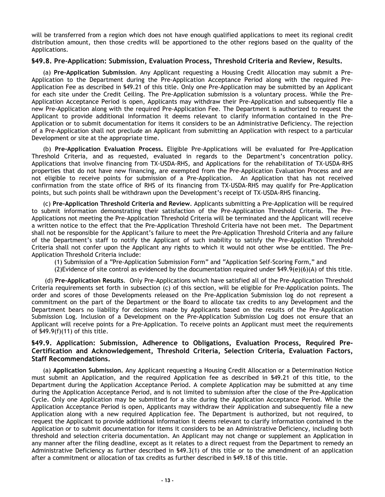will be transferred from a region which does not have enough qualified applications to meet its regional credit distribution amount, then those credits will be apportioned to the other regions based on the quality of the Applications.

#### **§49.8. Pre-Application: Submission, Evaluation Process, Threshold Criteria and Review, Results.**

(a) **Pre-Application Submission**. Any Applicant requesting a Housing Credit Allocation may submit a Pre-Application to the Department during the Pre-Application Acceptance Period along with the required Pre-Application Fee as described in §49.21 of this title. Only one Pre-Application may be submitted by an Applicant for each site under the Credit Ceiling. The Pre-Application submission is a voluntary process. While the Pre-Application Acceptance Period is open, Applicants may withdraw their Pre-Application and subsequently file a new Pre-Application along with the required Pre-Application Fee. The Department is authorized to request the Applicant to provide additional information it deems relevant to clarify information contained in the Pre-Application or to submit documentation for items it considers to be an Administrative Deficiency. The rejection of a Pre-Application shall not preclude an Applicant from submitting an Application with respect to a particular Development or site at the appropriate time.

(b) **Pre-Application Evaluation Process.** Eligible Pre-Applications will be evaluated for Pre-Application Threshold Criteria, and as requested, evaluated in regards to the Department's concentration policy. Applications that involve financing from TX-USDA-RHS, and Applications for the rehabilitation of TX-USDA-RHS properties that do not have new financing, are exempted from the Pre-Application Evaluation Process and are not eligible to receive points for submission of a Pre-Application. An Application that has not received confirmation from the state office of RHS of its financing from TX-USDA-RHS may qualify for Pre-Application points, but such points shall be withdrawn upon the Development's receipt of TX-USDA-RHS financing.

(c) **Pre-Application Threshold Criteria and Review**. Applicants submitting a Pre-Application will be required to submit information demonstrating their satisfaction of the Pre-Application Threshold Criteria. The Pre-Applications not meeting the Pre-Application Threshold Criteria will be terminated and the Applicant will receive a written notice to the effect that the Pre-Application Threshold Criteria have not been met. The Department shall not be responsible for the Applicant's failure to meet the Pre-Application Threshold Criteria and any failure of the Department's staff to notify the Applicant of such inability to satisfy the Pre-Application Threshold Criteria shall not confer upon the Applicant any rights to which it would not other wise be entitled. The Pre-Application Threshold Criteria include:

(1) Submission of a "Pre-Application Submission Form" and "Application Self-Scoring Form," and

(2) Evidence of site control as evidenced by the documentation required under  $$49.9(e)(6)(A)$  of this title.

(d) **Pre-Application Results**. Only Pre-Applications which have satisfied all of the Pre-Application Threshold Criteria requirements set forth in subsection (c) of this section, will be eligible for Pre-Application points. The order and scores of those Developments released on the Pre-Application Submission log do not represent a commitment on the part of the Department or the Board to allocate tax credits to any Development and the Department bears no liability for decisions made by Applicants based on the results of the Pre-Application Submission Log. Inclusion of a Development on the Pre-Application Submission Log does not ensure that an Applicant will receive points for a Pre-Application. To receive points an Applicant must meet the requirements of §49.9(f)(11) of this title.

# **§49.9. Application: Submission, Adherence to Obligations, Evaluation Process, Required Pre-Certification and Acknowledgement, Threshold Criteria, Selection Criteria, Evaluation Factors, Staff Recommendations.**

(a) **Application Submission.** Any Applicant requesting a Housing Credit Allocation or a Determination Notice must submit an Application, and the required Application fee as described in §49.21 of this title, to the Department during the Application Acceptance Period. A complete Application may be submitted at any time during the Application Acceptance Period, and is not limited to submission after the close of the Pre-Application Cycle. Only one Application may be submitted for a site during the Application Acceptance Period. While the Application Acceptance Period is open, Applicants may withdraw their Application and subsequently file a new Application along with a new required Application fee. The Department is authorized, but not required, to request the Applicant to provide additional information it deems relevant to clarify information contained in the Application or to submit documentation for items it considers to be an Administrative Deficiency, including both threshold and selection criteria documentation. An Applicant may not change or supplement an Application in any manner after the filing deadline, except as it relates to a direct request from the Department to remedy an Administrative Deficiency as further described in §49.3(1) of this title or to the amendment of an application after a commitment or allocation of tax credits as further described in §49.18 of this title.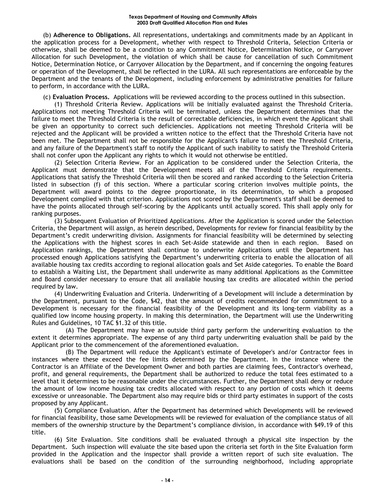(b) **Adherence to Obligations.** All representations, undertakings and commitments made by an Applicant in the application process for a Development, whether with respect to Threshold Criteria, Selection Criteria or otherwise, shall be deemed to be a condition to any Commitment Notice, Determination Notice, or Carryover Allocation for such Development, the violation of which shall be cause for cancellation of such Commitment Notice, Determination Notice, or Carryover Allocation by the Department, and if concerning the ongoing features or operation of the Development, shall be reflected in the LURA. All such representations are enforceable by the Department and the tenants of the Development, including enforcement by administrative penalties for failure to perform, in accordance with the LURA.

(c) **Evaluation Process.** Applications will be reviewed according to the process outlined in this subsection.

(1) Threshold Criteria Review. Applications will be initially evaluated against the Threshold Criteria. Applications not meeting Threshold Criteria will be terminated, unless the Department determines that the failure to meet the Threshold Criteria is the result of correctable deficiencies, in which event the Applicant shall be given an opportunity to correct such deficiencies. Applications not meeting Threshold Criteria will be rejected and the Applicant will be provided a written notice to the effect that the Threshold Criteria have not been met. The Department shall not be responsible for the Applicant's failure to meet the Threshold Criteria, and any failure of the Department's staff to notify the Applicant of such inability to satisfy the Threshold Criteria shall not confer upon the Applicant any rights to which it would not otherwise be entitled.

(2) Selection Criteria Review. For an Application to be considered under the Selection Criteria, the Applicant must demonstrate that the Development meets all of the Threshold Criteria requirements. Applications that satisfy the Threshold Criteria will then be scored and ranked according to the Selection Criteria listed in subsection (f) of this section. Where a particular scoring criterion involves multiple points, the Department will award points to the degree proportionate, in its determination, to which a proposed Development complied with that criterion. Applications not scored by the Department's staff shall be deemed to have the points allocated through self-scoring by the Applicants until actually scored. This shall apply only for ranking purposes.

(3) Subsequent Evaluation of Prioritized Applications. After the Application is scored under the Selection Criteria, the Department will assign, as herein described, Developments for review for financial feasibility by the Department's credit underwriting division. Assignments for financial feasibility will be determined by selecting the Applications with the highest scores in each Set-Aside statewide and then in each region. Based on Application rankings, the Department shall continue to underwrite Applications until the Department has processed enough Applications satisfying the Department's underwriting criteria to enable the allocation of all available housing tax credits according to regional allocation goals and Set Aside categories. To enable the Board to establish a Waiting List, the Department shall underwrite as many additional Applications as the Committee and Board consider necessary to ensure that all available housing tax credits are allocated within the period required by law.

(4) Underwriting Evaluation and Criteria. Underwriting of a Development will include a determination by the Department, pursuant to the Code, §42, that the amount of credits recommended for commitment to a Development is necessary for the financial feasibility of the Development and its long-term viability as a qualified low income housing property. In making this determination, the Department will use the Underwriting Rules and Guidelines, 10 TAC §1.32 of this title.

(A) The Department may have an outside third party perform the underwriting evaluation to the extent it determines appropriate. The expense of any third party underwriting evaluation shall be paid by the Applicant prior to the commencement of the aforementioned evaluation.

(B) The Department will reduce the Applicant's estimate of Developer's and/or Contractor fees in instances where these exceed the fee limits determined by the Department. In the instance where the Contractor is an Affiliate of the Development Owner and both parties are claiming fees, Contractor's overhead, profit, and general requirements, the Department shall be authorized to reduce the total fees estimated to a level that it determines to be reasonable under the circumstances. Further, the Department shall deny or reduce the amount of low income housing tax credits allocated with respect to any portion of costs which it deems excessive or unreasonable. The Department also may require bids or third party estimates in support of the costs proposed by any Applicant.

(5) Compliance Evaluation. After the Department has determined which Developments will be reviewed for financial feasibility, those same Developments will be reviewed for evaluation of the compliance status of all members of the ownership structure by the Department's compliance division, in accordance with §49.19 of this title.

(6) Site Evaluation. Site conditions shall be evaluated through a physical site inspection by the Department. Such inspection will evaluate the site based upon the criteria set forth in the Site Evaluation form provided in the Application and the inspector shall provide a written report of such site evaluation. The evaluations shall be based on the condition of the surrounding neighborhood, including appropriate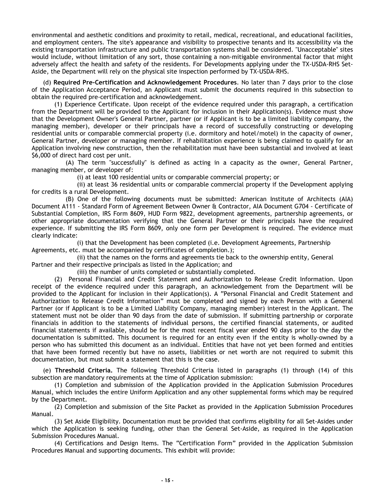environmental and aesthetic conditions and proximity to retail, medical, recreational, and educational facilities, and employment centers. The site's appearance and visibility to prospective tenants and its accessibility via the existing transportation infrastructure and public transportation systems shall be considered. "Unacceptable" sites would include, without limitation of any sort, those containing a non-mitigable environmental factor that might adversely affect the health and safety of the residents. For Developments applying under the TX-USDA-RHS Set-Aside, the Department will rely on the physical site inspection performed by TX-USDA-RHS.

(d) **Required Pre-Certification and Acknowledgement Procedures**. No later than 7 days prior to the close of the Application Acceptance Period, an Applicant must submit the documents required in this subsection to obtain the required pre-certification and acknowledgement.

(1) Experience Certificate. Upon receipt of the evidence required under this paragraph, a certification from the Department will be provided to the Applicant for inclusion in their Application(s). Evidence must show that the Development Owner's General Partner, partner (or if Applicant is to be a limited liability company, the managing member), developer or their principals have a record of successfully constructing or developing residential units or comparable commercial property (i.e. dormitory and hotel/motel) in the capacity of owner, General Partner, developer or managing member. If rehabilitation experience is being claimed to qualify for an Application involving new construction, then the rehabilitation must have been substantial and involved at least \$6,000 of direct hard cost per unit.

(A) The term "successfully" is defined as acting in a capacity as the owner, General Partner, managing member, or developer of:

(i) at least 100 residential units or comparable commercial property; or

(ii) at least 36 residential units or comparable commercial property if the Development applying for credits is a rural Development.

(B) One of the following documents must be submitted: American Institute of Architects (AIA) Document A111 - Standard Form of Agreement Between Owner & Contractor, AIA Document G704 - Certificate of Substantial Completion, IRS Form 8609, HUD Form 9822, development agreements, partnership agreements, or other appropriate documentation verifying that the General Partner or their principals have the required experience. If submitting the IRS Form 8609, only one form per Development is required. The evidence must clearly indicate:

(i) that the Development has been completed (i.e. Development Agreements, Partnership Agreements, etc. must be accompanied by certificates of completion.);

(ii) that the names on the forms and agreements tie back to the ownership entity, General Partner and their respective principals as listed in the Application; and

(iii) the number of units completed or substantially completed.

(2) Personal Financial and Credit Statement and Authorization to Release Credit Information. Upon receipt of the evidence required under this paragraph, an acknowledgement from the Department will be provided to the Applicant for inclusion in their Application(s). A "Personal Financial and Credit Statement and Authorization to Release Credit Information" must be completed and signed by each Person with a General Partner (or if Applicant is to be a Limited Liability Company, managing member) interest in the Applicant. The statement must not be older than 90 days from the date of submission. If submitting partnership or corporate financials in addition to the statements of individual persons, the certified financial statements, or audited financial statements if available, should be for the most recent fiscal year ended 90 days prior to the day the documentation is submitted. This document is required for an entity even if the entity is wholly-owned by a person who has submitted this document as an individual. Entities that have not yet been formed and entities that have been formed recently but have no assets, liabilities or net worth are not required to submit this documentation, but must submit a statement that this is the case.

(e) **Threshold Criteria.** The following Threshold Criteria listed in paragraphs (1) through (14) of this subsection are mandatory requirements at the time of Application submission:

(1) Completion and submission of the Application provided in the Application Submission Procedures Manual, which includes the entire Uniform Application and any other supplemental forms which may be required by the Department.

(2) Completion and submission of the Site Packet as provided in the Application Submission Procedures Manual.

(3) Set Aside Eligibility. Documentation must be provided that confirms eligibility for all Set-Asides under which the Application is seeking funding, other than the General Set-Aside, as required in the Application Submission Procedures Manual.

(4) Certifications and Design Items. The "Certification Form" provided in the Application Submission Procedures Manual and supporting documents. This exhibit will provide: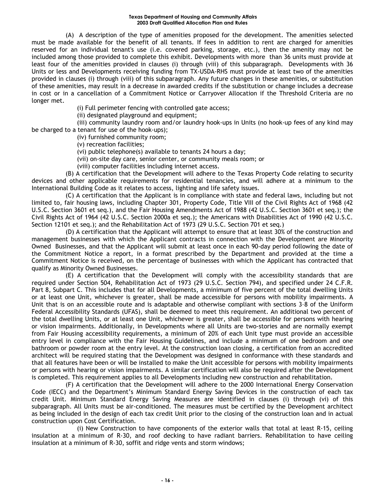(A) A description of the type of amenities proposed for the development. The amenities selected must be made available for the benefit of all tenants. If fees in addition to rent are charged for amenities reserved for an individual tenant's use (i.e. covered parking, storage, etc.), then the amenity may not be included among those provided to complete this exhibit. Developments with more than 36 units must provide at least four of the amenities provided in clauses (i) through (viii) of this subparagraph. Developments with 36 Units or less and Developments receiving funding from TX-USDA-RHS must provide at least two of the amenities provided in clauses (i) through (viii) of this subparagraph. Any future changes in these amenities, or substitution of these amenities, may result in a decrease in awarded credits if the substitution or change includes a decrease in cost or in a cancellation of a Commitment Notice or Carryover Allocation if the Threshold Criteria are no longer met.

(i) Full perimeter fencing with controlled gate access;

(ii) designated playground and equipment;

(iii) community laundry room and/or laundry hook-ups in Units (no hook-up fees of any kind may be charged to a tenant for use of the hook-ups);

(iv) furnished community room;

(v) recreation facilities;

(vi) public telephone(s) available to tenants 24 hours a day;

(vii) on-site day care, senior center, or community meals room; or

(viii) computer facilities including internet access.

(B) A certification that the Development will adhere to the Texas Property Code relating to security devices and other applicable requirements for residential tenancies, and will adhere at a minimum to the International Building Code as it relates to access, lighting and life safety issues.

(C) A certification that the Applicant is in compliance with state and federal laws, including but not limited to, fair housing laws, including Chapter 301, Property Code, Title VIII of the Civil Rights Act of 1968 (42 U.S.C. Section 3601 et seq.), and the Fair Housing Amendments Act of 1988 (42 U.S.C. Section 3601 et seq.); the Civil Rights Act of 1964 (42 U.S.C. Section 2000a et seq.); the Americans with Disabilities Act of 1990 (42 U.S.C. Section 12101 et seq.); and the Rehabilitation Act of 1973 (29 U.S.C. Section 701 et seq.)

(D) A certification that the Applicant will attempt to ensure that at least 30% of the construction and management businesses with which the Applicant contracts in connection with the Development are Minority Owned Businesses, and that the Applicant will submit at least once in each 90-day period following the date of the Commitment Notice a report, in a format prescribed by the Department and provided at the time a Commitment Notice is received, on the percentage of businesses with which the Applicant has contracted that qualify as Minority Owned Businesses.

(E) A certification that the Development will comply with the accessibility standards that are required under Section 504, Rehabilitation Act of 1973 (29 U.S.C. Section 794), and specified under 24 C.F.R. Part 8, Subpart C. This includes that for all Developments, a minimum of five percent of the total dwelling Units or at least one Unit, whichever is greater, shall be made accessible for persons with mobility impairments. A Unit that is on an accessible route and is adaptable and otherwise compliant with sections 3–8 of the Uniform Federal Accessibility Standards (UFAS), shall be deemed to meet this requirement. An additional two percent of the total dwelling Units, or at least one Unit, whichever is greater, shall be accessible for persons with hearing or vision impairments. Additionally, in Developments where all Units are two-stories and are normally exempt from Fair Housing accessibility requirements, a minimum of 20% of each Unit type must provide an accessible entry level in compliance with the Fair Housing Guidelines, and include a minimum of one bedroom and one bathroom or powder room at the entry level. At the construction loan closing, a certification from an accredited architect will be required stating that the Development was designed in conformance with these standards and that all features have been or will be installed to make the Unit accessible for persons with mobility impairments or persons with hearing or vision impairments. A similar certification will also be required after the Development is completed. This requirement applies to all Developments including new construction and rehabilitation.

(F) A certification that the Development will adhere to the 2000 International Energy Conservation Code (IECC) and the Department's Minimum Standard Energy Saving Devices in the construction of each tax credit Unit. Minimum Standard Energy Saving Measures are identified in clauses (i) through (vi) of this subparagraph. All Units must be air-conditioned. The measures must be certified by the Development architect as being included in the design of each tax credit Unit prior to the closing of the construction loan and in actual construction upon Cost Certification.

(i) New Construction to have components of the exterior walls that total at least R-15, ceiling insulation at a minimum of R-30, and roof decking to have radiant barriers. Rehabilitation to have ceiling insulation at a minimum of R-30, soffit and ridge vents and storm windows;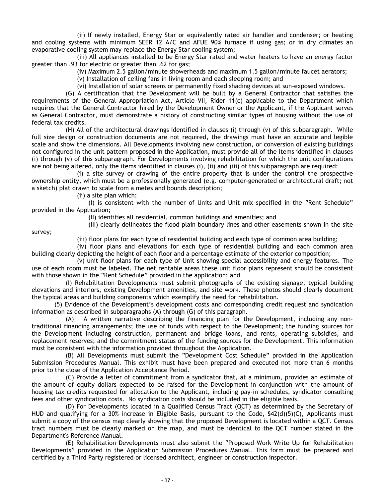(ii) If newly installed, Energy Star or equivalently rated air handler and condenser; or heating and cooling systems with minimum SEER 12 A/C and AFUE 90% furnace if using gas; or in dry climates an evaporative cooling system may replace the Energy Star cooling system;

(iii) All appliances installed to be Energy Star rated and water heaters to have an energy factor greater than .93 for electric or greater than .62 for gas;

(iv) Maximum 2.5 gallon/minute showerheads and maximum 1.5 gallon/minute faucet aerators;

(v) Installation of ceiling fans in living room and each sleeping room; and

(vi) Installation of solar screens or permanently fixed shading devices at sun-exposed windows.

(G) A certification that the Development will be built by a General Contractor that satisfies the requirements of the General Appropriation Act, Article VII, Rider 11(c) applicable to the Department which requires that the General Contractor hired by the Development Owner or the Applicant, if the Applicant serves as General Contractor, must demonstrate a history of constructing similar types of housing without the use of federal tax credits.

(H) All of the architectural drawings identified in clauses (i) through (v) of this subparagraph. While full size design or construction documents are not required, the drawings must have an accurate and legible scale and show the dimensions. All Developments involving new construction, or conversion of existing buildings not configured in the unit pattern proposed in the Application, must provide all of the items identified in clauses (i) through (v) of this subparagraph. For Developments involving rehabilitation for which the unit configurations are not being altered, only the items identified in clauses (i), (ii) and (iii) of this subparagraph are required:

(i) a site survey or drawing of the entire property that is under the control the prospective ownership entity, which must be a professionally generated (e.g. computer-generated or architectural draft; not a sketch) plat drawn to scale from a metes and bounds description;

(ii) a site plan which:

(I) is consistent with the number of Units and Unit mix specified in the "Rent Schedule" provided in the Application;

(II) identifies all residential, common buildings and amenities; and

(III) clearly delineates the flood plain boundary lines and other easements shown in the site

survey;

(iii) floor plans for each type of residential building and each type of common area building;

(iv) floor plans and elevations for each type of residential building and each common area building clearly depicting the height of each floor and a percentage estimate of the exterior composition;

(v) unit floor plans for each type of Unit showing special accessibility and energy features. The use of each room must be labeled. The net rentable areas these unit floor plans represent should be consistent with those shown in the "Rent Schedule" provided in the application; and

(I) Rehabilitation Developments must submit photographs of the existing signage, typical building elevations and interiors, existing Development amenities, and site work. These photos should clearly document the typical areas and building components which exemplify the need for rehabilitation.

(5) Evidence of the Development's development costs and corresponding credit request and syndication information as described in subparagraphs (A) through (G) of this paragraph.

(A) A written narrative describing the financing plan for the Development, including any nontraditional financing arrangements; the use of funds with respect to the Development; the funding sources for the Development including construction, permanent and bridge loans, and rents, operating subsidies, and replacement reserves; and the commitment status of the funding sources for the Development. This information must be consistent with the information provided throughout the Application.

(B) All Developments must submit the "Development Cost Schedule" provided in the Application Submission Procedures Manual. This exhibit must have been prepared and executed not more than 6 months prior to the close of the Application Acceptance Period.

(C) Provide a letter of commitment from a syndicator that, at a minimum, provides an estimate of the amount of equity dollars expected to be raised for the Development in conjunction with the amount of housing tax credits requested for allocation to the Applicant, including pay-in schedules, syndicator consulting fees and other syndication costs. No syndication costs should be included in the eligible basis.

(D) For Developments located in a Qualified Census Tract (QCT) as determined by the Secretary of HUD and qualifying for a 30% increase in Eligible Basis, pursuant to the Code, \$42(d)(5)(C), Applicants must submit a copy of the census map clearly showing that the proposed Development is located within a QCT. Census tract numbers must be clearly marked on the map, and must be identical to the QCT number stated in the Department's Reference Manual.

(E) Rehabilitation Developments must also submit the "Proposed Work Write Up for Rehabilitation Developments" provided in the Application Submission Procedures Manual. This form must be prepared and certified by a Third Party registered or licensed architect, engineer or construction inspector.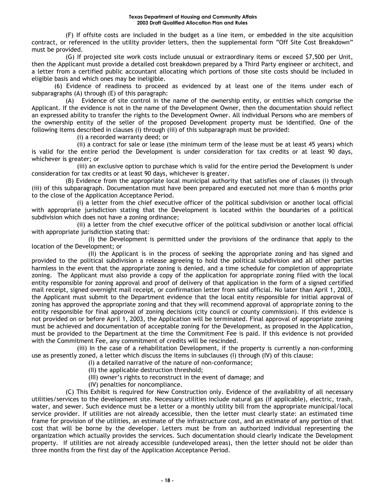(F) If offsite costs are included in the budget as a line item, or embedded in the site acquisition contract, or referenced in the utility provider letters, then the supplemental form "Off Site Cost Breakdown" must be provided.

(G) If projected site work costs include unusual or extraordinary items or exceed \$7,500 per Unit, then the Applicant must provide a detailed cost breakdown prepared by a Third Party engineer or architect, and a letter from a certified public accountant allocating which portions of those site costs should be included in eligible basis and which ones may be ineligible.

(6) Evidence of readiness to proceed as evidenced by at least one of the items under each of subparagraphs (A) through (E) of this paragraph:

(A) Evidence of site control in the name of the ownership entity, or entities which comprise the Applicant. If the evidence is not in the name of the Development Owner, then the documentation should reflect an expressed ability to transfer the rights to the Development Owner. All individual Persons who are members of the ownership entity of the seller of the proposed Development property must be identified. One of the following items described in clauses (i) through (iii) of this subparagraph must be provided:

(i) a recorded warranty deed; or

(ii) a contract for sale or lease (the minimum term of the lease must be at least 45 years) which is valid for the entire period the Development is under consideration for tax credits or at least 90 days, whichever is greater; or

(iii) an exclusive option to purchase which is valid for the entire period the Development is under consideration for tax credits or at least 90 days, whichever is greater.

(B) Evidence from the appropriate local municipal authority that satisfies one of clauses (i) through (iii) of this subparagraph. Documentation must have been prepared and executed not more than 6 months prior to the close of the Application Acceptance Period.

(i) a letter from the chief executive officer of the political subdivision or another local official with appropriate jurisdiction stating that the Development is located within the boundaries of a political subdivision which does not have a zoning ordinance;

(ii) a letter from the chief executive officer of the political subdivision or another local official with appropriate jurisdiction stating that:

(I) the Development is permitted under the provisions of the ordinance that apply to the location of the Development; or

(II) the Applicant is in the process of seeking the appropriate zoning and has signed and provided to the political subdivision a release agreeing to hold the political subdivision and all other parties harmless in the event that the appropriate zoning is denied, and a time schedule for completion of appropriate zoning. The Applicant must also provide a copy of the application for appropriate zoning filed with the local entity responsible for zoning approval and proof of delivery of that application in the form of a signed certified mail receipt, signed overnight mail receipt, or confirmation letter from said official. No later than April 1, 2003, the Applicant must submit to the Department evidence that the local entity responsible for initial approval of zoning has approved the appropriate zoning and that they will recommend approval of appropriate zoning to the entity responsible for final approval of zoning decisions (city council or county commission). If this evidence is not provided on or before April 1, 2003, the Application will be terminated. Final approval of appropriate zoning must be achieved and documentation of acceptable zoning for the Development, as proposed in the Application, must be provided to the Department at the time the Commitment Fee is paid. If this evidence is not provided with the Commitment Fee, any commitment of credits will be rescinded.

(iii) In the case of a rehabilitation Development, if the property is currently a non-conforming use as presently zoned, a letter which discuss the items in subclauses (I) through (IV) of this clause:

- (I) a detailed narrative of the nature of non-conformance;
- (II) the applicable destruction threshold;
- (III) owner's rights to reconstruct in the event of damage; and
- (IV) penalties for noncompliance.

(C) This Exhibit is required for New Construction only. Evidence of the availability of all necessary utilities/services to the development site. Necessary utilities include natural gas (if applicable), electric, trash, water, and sewer. Such evidence must be a letter or a monthly utility bill from the appropriate municipal/local service provider. If utilities are not already accessible, then the letter must clearly state: an estimated time frame for provision of the utilities, an estimate of the infrastructure cost, and an estimate of any portion of that cost that will be borne by the developer. Letters must be from an authorized individual representing the organization which actually provides the services. Such documentation should clearly indicate the Development property. If utilities are not already accessible (undeveloped areas), then the letter should not be older than three months from the first day of the Application Acceptance Period.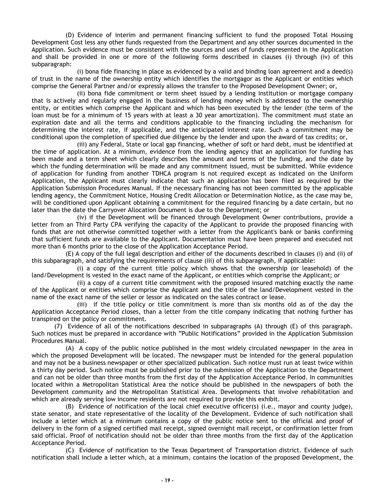(D) Evidence of interim and permanent financing sufficient to fund the proposed Total Housing Development Cost less any other funds requested from the Department and any other sources documented in the Application. Such evidence must be consistent with the sources and uses of funds represented in the Application and shall be provided in one or more of the following forms described in clauses (i) through (iv) of this subparagraph:

(i) bona fide financing in place as evidenced by a valid and binding loan agreement and a deed(s) of trust in the name of the ownership entity which identifies the mortgagor as the Applicant or entities which comprise the General Partner and/or expressly allows the transfer to the Proposed Development Owner; or,

(ii) bona fide commitment or term sheet issued by a lending institution or mortgage company that is actively and regularly engaged in the business of lending money which is addressed to the ownership entity, or entities which comprise the Applicant and which has been executed by the lender (the term of the loan must be for a minimum of 15 years with at least a 30 year amortization). The commitment must state an expiration date and all the terms and conditions applicable to the financing including the mechanism for determining the interest rate, if applicable, and the anticipated interest rate. Such a commitment may be conditional upon the completion of specified due diligence by the lender and upon the award of tax credits; or,

(iii) any Federal, State or local gap financing, whether of soft or hard debt, must be identified at the time of application. At a minimum, evidence from the lending agency that an application for funding has been made and a term sheet which clearly describes the amount and terms of the funding, and the date by which the funding determination will be made and any commitment issued, must be submitted. While evidence of application for funding from another TDHCA program is not required except as indicated on the Uniform Application, the Applicant must clearly indicate that such an application has been filed as required by the Application Submission Procedures Manual. If the necessary financing has not been committed by the applicable lending agency, the Commitment Notice, Housing Credit Allocation or Determination Notice, as the case may be, will be conditioned upon Applicant obtaining a commitment for the required financing by a date certain, but no later than the date the Carryover Allocation Document is due to the Department; or

(iv) if the Development will be financed through Development Owner contributions, provide a letter from an Third Party CPA verifying the capacity of the Applicant to provide the proposed financing with funds that are not otherwise committed together with a letter from the Applicant's bank or banks confirming that sufficient funds are available to the Applicant. Documentation must have been prepared and executed not more than 6 months prior to the close of the Application Acceptance Period.

(E) A copy of the full legal description and either of the documents described in clauses (i) and (ii) of this subparagraph, and satisfying the requirements of clause (iii) of this subparagraph, if applicable:

(i) a copy of the current title policy which shows that the ownership (or leasehold) of the land/Development is vested in the exact name of the Applicant, or entities which comprise the Applicant; or

(ii) a copy of a current title commitment with the proposed insured matching exactly the name of the Applicant or entities which comprise the Applicant and the title of the land/Development vested in the name of the exact name of the seller or lessor as indicated on the sales contract or lease.

(iii) if the title policy or title commitment is more than six months old as of the day the Application Acceptance Period closes, than a letter from the title company indicating that nothing further has transpired on the policy or commitment.

(7) Evidence of all of the notifications described in subparagraphs (A) through (E) of this paragraph. Such notices must be prepared in accordance with "Public Notifications" provided in the Application Submission Procedures Manual.

(A) A copy of the public notice published in the most widely circulated newspaper in the area in which the proposed Development will be located. The newspaper must be intended for the general population and may not be a business newspaper or other specialized publication. Such notice must run at least twice within a thirty day period. Such notice must be published prior to the submission of the Application to the Department and can not be older than three months from the first day of the Application Acceptance Period. In communities located within a Metropolitan Statistical Area the notice should be published in the newspapers of both the Development community and the Metropolitan Statistical Area. Developments that involve rehabilitation and which are already serving low income residents are not required to provide this exhibit.

(B) Evidence of notification of the local chief executive officer(s) (i.e., mayor and county judge), state senator, and state representative of the locality of the Development. Evidence of such notification shall include a letter which at a minimum contains a copy of the public notice sent to the official and proof of delivery in the form of a signed certified mail receipt, signed overnight mail receipt, or confirmation letter from said official. Proof of notification should not be older than three months from the first day of the Application Acceptance Period.

(C) Evidence of notification to the Texas Department of Transportation district. Evidence of such notification shall include a letter which, at a minimum, contains the location of the proposed Development, the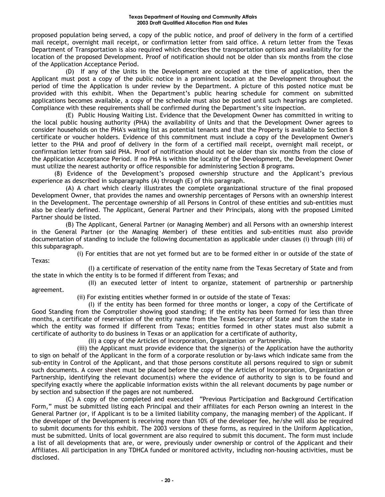proposed population being served, a copy of the public notice, and proof of delivery in the form of a certified mail receipt, overnight mail receipt, or confirmation letter from said office. A return letter from the Texas Department of Transportation is also required which describes the transportation options and availability for the location of the proposed Development. Proof of notification should not be older than six months from the close of the Application Acceptance Period.

(D) If any of the Units in the Development are occupied at the time of application, then the Applicant must post a copy of the public notice in a prominent location at the Development throughout the period of time the Application is under review by the Department. A picture of this posted notice must be provided with this exhibit. When the Department's public hearing schedule for comment on submitted applications becomes available, a copy of the schedule must also be posted until such hearings are completed. Compliance with these requirements shall be confirmed during the Department's site inspection.

(E) Public Housing Waiting List. Evidence that the Development Owner has committed in writing to the local public housing authority (PHA) the availability of Units and that the Development Owner agrees to consider households on the PHA's waiting list as potential tenants and that the Property is available to Section 8 certificate or voucher holders. Evidence of this commitment must include a copy of the Development Owner's letter to the PHA and proof of delivery in the form of a certified mail receipt, overnight mail receipt, or confirmation letter from said PHA. Proof of notification should not be older than six months from the close of the Application Acceptance Period. If no PHA is within the locality of the Development, the Development Owner must utilize the nearest authority or office responsible for administering Section 8 programs.

(8) Evidence of the Development's proposed ownership structure and the Applicant's previous experience as described in subparagraphs (A) through (E) of this paragraph.

(A) A chart which clearly illustrates the complete organizational structure of the final proposed Development Owner, that provides the names and ownership percentages of Persons with an ownership interest in the Development. The percentage ownership of all Persons in Control of these entities and sub-entities must also be clearly defined. The Applicant, General Partner and their Principals, along with the proposed Limited Partner should be listed.

(B) The Applicant, General Partner (or Managing Member) and all Persons with an ownership interest in the General Partner (or the Managing Member) of these entities and sub-entities must also provide documentation of standing to include the following documentation as applicable under clauses (i) through (iii) of this subparagraph.

(i) For entities that are not yet formed but are to be formed either in or outside of the state of Texas:

(I) a certificate of reservation of the entity name from the Texas Secretary of State and from the state in which the entity is to be formed if different from Texas; and

(II) an executed letter of intent to organize, statement of partnership or partnership agreement.

(ii) For existing entities whether formed in or outside of the state of Texas:

(I) if the entity has been formed for three months or longer, a copy of the Certificate of Good Standing from the Comptroller showing good standing; if the entity has been formed for less than three months, a certificate of reservation of the entity name from the Texas Secretary of State and from the state in which the entity was formed if different from Texas; entities formed in other states must also submit a certificate of authority to do business in Texas or an application for a certificate of authority,

(II) a copy of the Articles of Incorporation, Organization or Partnership.

(iii) the Applicant must provide evidence that the signer(s) of the Application have the authority to sign on behalf of the Applicant in the form of a corporate resolution or by-laws which indicate same from the sub-entity in Control of the Applicant, and that those persons constitute all persons required to sign or submit such documents. A cover sheet must be placed before the copy of the Articles of Incorporation, Organization or Partnership, identifying the relevant document(s) where the evidence of authority to sign is to be found and specifying exactly where the applicable information exists within the all relevant documents by page number or by section and subsection if the pages are not numbered.

(C) A copy of the completed and executed "Previous Participation and Background Certification Form," must be submitted listing each Principal and their affiliates for each Person owning an interest in the General Partner (or, if Applicant is to be a limited liability company, the managing member) of the Applicant. If the developer of the Development is receiving more than 10% of the developer fee, he/she will also be required to submit documents for this exhibit. The 2003 versions of these forms, as required in the Uniform Application, must be submitted. Units of local government are also required to submit this document. The form must include a list of all developments that are, or were, previously under ownership or control of the Applicant and their Affiliates. All participation in any TDHCA funded or monitored activity, including non-housing activities, must be disclosed.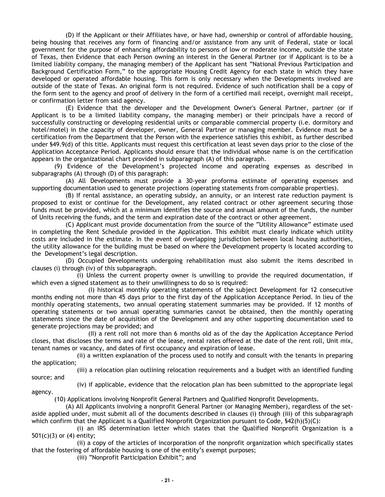(D) If the Applicant or their Affiliates have, or have had, ownership or control of affordable housing, being housing that receives any form of financing and/or assistance from any unit of Federal, state or local government for the purpose of enhancing affordability to persons of low or moderate income, outside the state of Texas, then Evidence that each Person owning an interest in the General Partner (or if Applicant is to be a limited liability company, the managing member) of the Applicant has sent "National Previous Participation and Background Certification Form," to the appropriate Housing Credit Agency for each state in which they have developed or operated affordable housing. This form is only necessary when the Developments involved are outside of the state of Texas. An original form is not required. Evidence of such notification shall be a copy of the form sent to the agency and proof of delivery in the form of a certified mail receipt, overnight mail receipt, or confirmation letter from said agency.

(E) Evidence that the developer and the Development Owner's General Partner, partner (or if Applicant is to be a limited liability company, the managing member) or their principals have a record of successfully constructing or developing residential units or comparable commercial property (i.e. dormitory and hotel/motel) in the capacity of developer, owner, General Partner or managing member. Evidence must be a certification from the Department that the Person with the experience satisfies this exhibit, as further described under §49.9(d) of this title. Applicants must request this certification at least seven days prior to the close of the Application Acceptance Period. Applicants should ensure that the individual whose name is on the certification appears in the organizational chart provided in subparagraph (A) of this paragraph.

(9) Evidence of the Development's projected income and operating expenses as described in subparagraphs (A) through (D) of this paragraph:

(A) All Developments must provide a 30-year proforma estimate of operating expenses and supporting documentation used to generate projections (operating statements from comparable properties).

(B) If rental assistance, an operating subsidy, an annuity, or an interest rate reduction payment is proposed to exist or continue for the Development, any related contract or other agreement securing those funds must be provided, which at a minimum identifies the source and annual amount of the funds, the number of Units receiving the funds, and the term and expiration date of the contract or other agreement.

(C) Applicant must provide documentation from the source of the "Utility Allowance" estimate used in completing the Rent Schedule provided in the Application. This exhibit must clearly indicate which utility costs are included in the estimate. In the event of overlapping jurisdiction between local housing authorities, the utility allowance for the building must be based on where the Development property is located according to the Development's legal description.

(D) Occupied Developments undergoing rehabilitation must also submit the items described in clauses (i) through (iv) of this subparagraph.

(i) Unless the current property owner is unwilling to provide the required documentation, if which even a signed statement as to their unwillingness to do so is required:

(I) historical monthly operating statements of the subject Development for 12 consecutive months ending not more than 45 days prior to the first day of the Application Acceptance Period. In lieu of the monthly operating statements, two annual operating statement summaries may be provided. If 12 months of operating statements or two annual operating summaries cannot be obtained, then the monthly operating statements since the date of acquisition of the Development and any other supporting documentation used to generate projections may be provided; and

(II) a rent roll not more than 6 months old as of the day the Application Acceptance Period closes, that discloses the terms and rate of the lease, rental rates offered at the date of the rent roll, Unit mix, tenant names or vacancy, and dates of first occupancy and expiration of lease.

(ii) a written explanation of the process used to notify and consult with the tenants in preparing the application;

(iii) a relocation plan outlining relocation requirements and a budget with an identified funding source; and

(iv) if applicable, evidence that the relocation plan has been submitted to the appropriate legal

agency.

(10) Applications involving Nonprofit General Partners and Qualified Nonprofit Developments.

(A) All Applicants involving a nonprofit General Partner (or Managing Member), regardless of the setaside applied under, must submit all of the documents described in clauses (i) through (iii) of this subparagraph which confirm that the Applicant is a Qualified Nonprofit Organization pursuant to Code, §42(h)(5)(C):

(i) an IRS determination letter which states that the Qualified Nonprofit Organization is a 501(c)(3) or (4) entity;

(ii) a copy of the articles of incorporation of the nonprofit organization which specifically states that the fostering of affordable housing is one of the entity's exempt purposes;

(iii) "Nonprofit Participation Exhibit"; and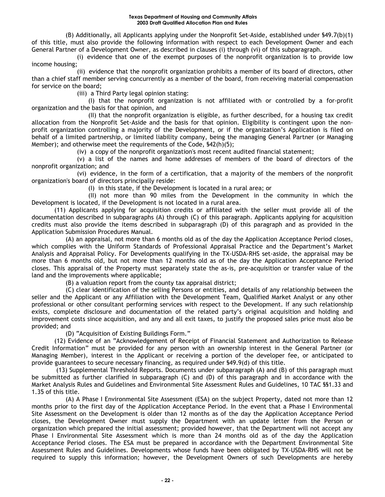#### **Texas Department of Housing and Community Affairs 2003 Draft Qualified Allocation Plan and Rules**

(B) Additionally, all Applicants applying under the Nonprofit Set-Aside, established under §49.7(b)(1) of this title, must also provide the following information with respect to each Development Owner and each General Partner of a Development Owner, as described in clauses (i) through (vi) of this subparagraph.

(i) evidence that one of the exempt purposes of the nonprofit organization is to provide low income housing;

(ii) evidence that the nonprofit organization prohibits a member of its board of directors, other than a chief staff member serving concurrently as a member of the board, from receiving material compensation for service on the board;

(iii) a Third Party legal opinion stating:

(I) that the nonprofit organization is not affiliated with or controlled by a for-profit organization and the basis for that opinion, and

(II) that the nonprofit organization is eligible, as further described, for a housing tax credit allocation from the Nonprofit Set-Aside and the basis for that opinion. Eligibility is contingent upon the nonprofit organization controlling a majority of the Development, or if the organization's Application is filed on behalf of a limited partnership, or limited liability company, being the managing General Partner (or Managing Member); and otherwise meet the requirements of the Code, §42(h)(5);

(iv) a copy of the nonprofit organization's most recent audited financial statement;

(v) a list of the names and home addresses of members of the board of directors of the nonprofit organization; and

(vi) evidence, in the form of a certification, that a majority of the members of the nonprofit organization's board of directors principally reside:

(I) in this state, if the Development is located in a rural area; or

(II) not more than 90 miles from the Development in the community in which the Development is located, if the Development is not located in a rural area.

(11) Applicants applying for acquisition credits or affiliated with the seller must provide all of the documentation described in subparagraphs (A) through (C) of this paragraph. Applicants applying for acquisition credits must also provide the items described in subparagraph (D) of this paragraph and as provided in the Application Submission Procedures Manual.

(A) an appraisal, not more than 6 months old as of the day the Application Acceptance Period closes, which complies with the Uniform Standards of Professional Appraisal Practice and the Department's Market Analysis and Appraisal Policy. For Developments qualifying in the TX-USDA-RHS set-aside, the appraisal may be more than 6 months old, but not more than 12 months old as of the day the Application Acceptance Period closes. This appraisal of the Property must separately state the as-is, pre-acquisition or transfer value of the land and the improvements where applicable;

(B) a valuation report from the county tax appraisal district;

(C) clear identification of the selling Persons or entities, and details of any relationship between the seller and the Applicant or any Affiliation with the Development Team, Qualified Market Analyst or any other professional or other consultant performing services with respect to the Development. If any such relationship exists, complete disclosure and documentation of the related party's original acquisition and holding and improvement costs since acquisition, and any and all exit taxes, to justify the proposed sales price must also be provided; and

(D) "Acquisition of Existing Buildings Form."

(12) Evidence of an "Acknowledgement of Receipt of Financial Statement and Authorization to Release Credit Information" must be provided for any person with an ownership interest in the General Partner (or Managing Member), interest in the Applicant or receiving a portion of the developer fee, or anticipated to provide guarantees to secure necessary financing, as required under §49.9(d) of this title.

(13) Supplemental Threshold Reports. Documents under subparagraph (A) and (B) of this paragraph must be submitted as further clarified in subparagraph (C) and (D) of this paragraph and in accordance with the Market Analysis Rules and Guidelines and Environmental Site Assessment Rules and Guidelines, 10 TAC §§1.33 and 1.35 of this title.

(A) A Phase I Environmental Site Assessment (ESA) on the subject Property, dated not more than 12 months prior to the first day of the Application Acceptance Period. In the event that a Phase I Environmental Site Assessment on the Development is older than 12 months as of the day the Application Acceptance Period closes, the Development Owner must supply the Department with an update letter from the Person or organization which prepared the initial assessment; provided however, that the Department will not accept any Phase I Environmental Site Assessment which is more than 24 months old as of the day the Application Acceptance Period closes. The ESA must be prepared in accordance with the Department Environmental Site Assessment Rules and Guidelines. Developments whose funds have been obligated by TX-USDA-RHS will not be required to supply this information; however, the Development Owners of such Developments are hereby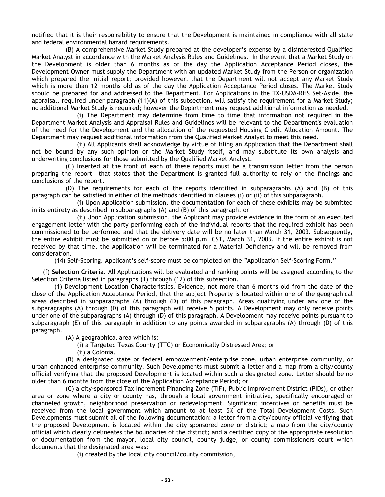notified that it is their responsibility to ensure that the Development is maintained in compliance with all state and federal environmental hazard requirements.

(B) A comprehensive Market Study prepared at the developer's expense by a disinterested Qualified Market Analyst in accordance with the Market Analysis Rules and Guidelines. In the event that a Market Study on the Development is older than 6 months as of the day the Application Acceptance Period closes, the Development Owner must supply the Department with an updated Market Study from the Person or organization which prepared the initial report; provided however, that the Department will not accept any Market Study which is more than 12 months old as of the day the Application Acceptance Period closes. The Market Study should be prepared for and addressed to the Department. For Applications in the TX-USDA-RHS Set-Aside, the appraisal, required under paragraph (11)(A) of this subsection, will satisfy the requirement for a Market Study; no additional Market Study is required; however the Department may request additional information as needed.

(i) The Department may determine from time to time that information not required in the Department Market Analysis and Appraisal Rules and Guidelines will be relevant to the Department's evaluation of the need for the Development and the allocation of the requested Housing Credit Allocation Amount. The Department may request additional information from the Qualified Market Analyst to meet this need.

(ii) All Applicants shall acknowledge by virtue of filing an Application that the Department shall not be bound by any such opinion or the Market Study itself, and may substitute its own analysis and underwriting conclusions for those submitted by the Qualified Market Analyst.

(C) Inserted at the front of each of these reports must be a transmission letter from the person preparing the report that states that the Department is granted full authority to rely on the findings and conclusions of the report.

(D) The requirements for each of the reports identified in subparagraphs (A) and (B) of this paragraph can be satisfied in either of the methods identified in clauses (i) or (ii) of this subparagraph.

(i) Upon Application submission, the documentation for each of these exhibits may be submitted in its entirety as described in subparagraphs (A) and (B) of this paragraph; or

(ii) Upon Application submission, the Applicant may provide evidence in the form of an executed engagement letter with the party performing each of the individual reports that the required exhibit has been commissioned to be performed and that the delivery date will be no later than March 31, 2003. Subsequently, the entire exhibit must be submitted on or before 5:00 p.m. CST, March 31, 2003. If the entire exhibit is not received by that time, the Application will be terminated for a Material Deficiency and will be removed from consideration.

(14) Self-Scoring. Applicant's self-score must be completed on the "Application Self-Scoring Form."

(f) **Selection Criteria.** All Applications will be evaluated and ranking points will be assigned according to the Selection Criteria listed in paragraphs (1) through (12) of this subsection.

(1) Development Location Characteristics. Evidence, not more than 6 months old from the date of the close of the Application Acceptance Period, that the subject Property is located within one of the geographical areas described in subparagraphs (A) through (D) of this paragraph. Areas qualifying under any one of the subparagraphs (A) through (D) of this paragraph will receive 5 points. A Development may only receive points under one of the subparagraphs (A) through (D) of this paragraph. A Development may receive points pursuant to subparagraph (E) of this paragraph in addition to any points awarded in subparagraphs (A) through (D) of this paragraph.

(A) A geographical area which is:

(i) a Targeted Texas County (TTC) or Economically Distressed Area; or

(ii) a Colonia.

(B) a designated state or federal empowerment/enterprise zone, urban enterprise community, or urban enhanced enterprise community. Such Developments must submit a letter and a map from a city/county official verifying that the proposed Development is located within such a designated zone. Letter should be no older than 6 months from the close of the Application Acceptance Period; or

(C) a city-sponsored Tax Increment Financing Zone (TIF), Public Improvement District (PIDs), or other area or zone where a city or county has, through a local government initiative, specifically encouraged or channeled growth, neighborhood preservation or redevelopment. Significant incentives or benefits must be received from the local government which amount to at least 5% of the Total Development Costs. Such Developments must submit all of the following documentation: a letter from a city/county official verifying that the proposed Development is located within the city sponsored zone or district; a map from the city/county official which clearly delineates the boundaries of the district; and a certified copy of the appropriate resolution or documentation from the mayor, local city council, county judge, or county commissioners court which documents that the designated area was:

(i) created by the local city council/county commission,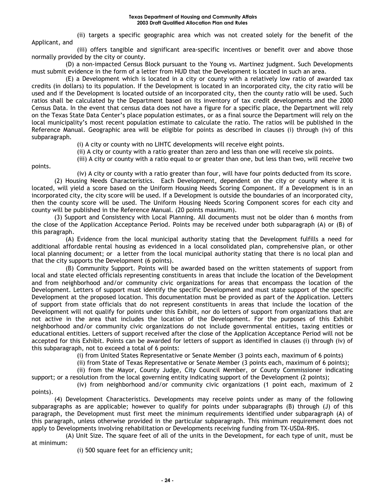(ii) targets a specific geographic area which was not created solely for the benefit of the Applicant, and

(iii) offers tangible and significant area-specific incentives or benefit over and above those normally provided by the city or county.

(D) a non-impacted Census Block pursuant to the Young vs. Martinez judgment. Such Developments must submit evidence in the form of a letter from HUD that the Development is located in such an area.

(E) a Development which is located in a city or county with a relatively low ratio of awarded tax credits (in dollars) to its population. If the Development is located in an incorporated city, the city ratio will be used and if the Development is located outside of an incorporated city, then the county ratio will be used. Such ratios shall be calculated by the Department based on its inventory of tax credit developments and the 2000 Census Data. In the event that census data does not have a figure for a specific place, the Department will rely on the Texas State Data Center's place population estimates, or as a final source the Department will rely on the local municipality's most recent population estimate to calculate the ratio. The ratios will be published in the Reference Manual. Geographic area will be eligible for points as described in clauses (i) through (iv) of this subparagraph.

(i) A city or county with no LIHTC developments will receive eight points.

(ii) A city or county with a ratio greater than zero and less than one will receive six points.

(iii) A city or county with a ratio equal to or greater than one, but less than two, will receive two

points.

(iv) A city or county with a ratio greater than four, will have four points deducted from its score.

(2) Housing Needs Characteristics. Each Development, dependent on the city or county where it is located, will yield a score based on the Uniform Housing Needs Scoring Component. If a Development is in an incorporated city, the city score will be used. If a Development is outside the boundaries of an incorporated city, then the county score will be used. The Uniform Housing Needs Scoring Component scores for each city and county will be published in the Reference Manual. (20 points maximum).

(3) Support and Consistency with Local Planning. All documents must not be older than 6 months from the close of the Application Acceptance Period. Points may be received under both subparagraph (A) or (B) of this paragraph.

(A) Evidence from the local municipal authority stating that the Development fulfills a need for additional affordable rental housing as evidenced in a local consolidated plan, comprehensive plan, or other local planning document; or a letter from the local municipal authority stating that there is no local plan and that the city supports the Development (6 points).

(B) Community Support. Points will be awarded based on the written statements of support from local and state elected officials representing constituents in areas that include the location of the Development and from neighborhood and/or community civic organizations for areas that encompass the location of the Development. Letters of support must identify the specific Development and must state support of the specific Development at the proposed location. This documentation must be provided as part of the Application. Letters of support from state officials that do not represent constituents in areas that include the location of the Development will not qualify for points under this Exhibit, nor do letters of support from organizations that are not active in the area that includes the location of the Development. For the purposes of this Exhibit neighborhood and/or community civic organizations do not include governmental entities, taxing entities or educational entities. Letters of support received after the close of the Application Acceptance Period will not be accepted for this Exhibit. Points can be awarded for letters of support as identified in clauses (i) through (iv) of this subparagraph, not to exceed a total of 6 points:

(i) from United States Representative or Senate Member (3 points each, maximum of 6 points)

(ii) from State of Texas Representative or Senate Member (3 points each, maximum of 6 points);

(ii) from the Mayor, County Judge, City Council Member, or County Commissioner indicating support; or a resolution from the local governing entity indicating support of the Development (2 points);

(iv) from neighborhood and/or community civic organizations (1 point each, maximum of 2 points).

(4) Development Characteristics. Developments may receive points under as many of the following subparagraphs as are applicable; however to qualify for points under subparagraphs (B) through (J) of this paragraph, the Development must first meet the minimum requirements identified under subparagraph (A) of this paragraph, unless otherwise provided in the particular subparagraph. This minimum requirement does not apply to Developments involving rehabilitation or Developments receiving funding from TX-USDA-RHS.

(A) Unit Size. The square feet of all of the units in the Development, for each type of unit, must be at minimum:

(i) 500 square feet for an efficiency unit;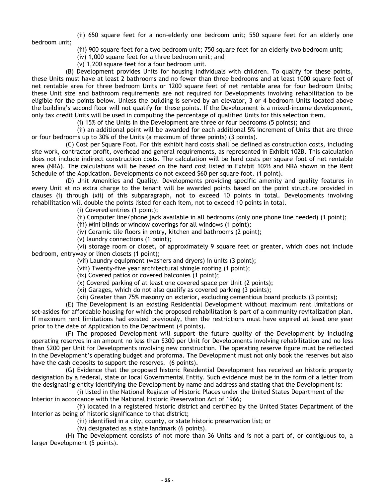(ii) 650 square feet for a non-elderly one bedroom unit; 550 square feet for an elderly one

bedroom unit;

- (iii) 900 square feet for a two bedroom unit; 750 square feet for an elderly two bedroom unit;
- (iv) 1,000 square feet for a three bedroom unit; and
- (v) 1,200 square feet for a four bedroom unit.

(B) Development provides Units for housing individuals with children. To qualify for these points, these Units must have at least 2 bathrooms and no fewer than three bedrooms and at least 1000 square feet of net rentable area for three bedroom Units or 1200 square feet of net rentable area for four bedroom Units; these Unit size and bathroom requirements are not required for Developments involving rehabilitation to be eligible for the points below. Unless the building is served by an elevator, 3 or 4 bedroom Units located above the building's second floor will not qualify for these points. If the Development is a mixed-income development, only tax credit Units will be used in computing the percentage of qualified Units for this selection item.

(i) 15% of the Units in the Development are three or four bedrooms (5 points); and

(ii) an additional point will be awarded for each additional 5% increment of Units that are three or four bedrooms up to 30% of the Units (a maximum of three points) (3 points).

(C) Cost per Square Foot. For this exhibit hard costs shall be defined as construction costs, including site work, contractor profit, overhead and general requirements, as represented in Exhibit 102B. This calculation does not include indirect construction costs. The calculation will be hard costs per square foot of net rentable area (NRA). The calculations will be based on the hard cost listed in Exhibit 102B and NRA shown in the Rent Schedule of the Application. Developments do not exceed \$60 per square foot. (1 point).

(D) Unit Amenities and Quality. Developments providing specific amenity and quality features in every Unit at no extra charge to the tenant will be awarded points based on the point structure provided in clauses (i) through (xii) of this subparagraph, not to exceed 10 points in total. Developments involving rehabilitation will double the points listed for each item, not to exceed 10 points in total.

(i) Covered entries (1 point);

(ii) Computer line/phone jack available in all bedrooms (only one phone line needed) (1 point);

(iii) Mini blinds or window coverings for all windows (1 point);

(iv) Ceramic tile floors in entry, kitchen and bathrooms (2 point);

(v) laundry connections (1 point);

(vi) storage room or closet, of approximately 9 square feet or greater, which does not include bedroom, entryway or linen closets (1 point);

(vii) Laundry equipment (washers and dryers) in units (3 point);

(viii) Twenty-five year architectural shingle roofing (1 point);

(ix) Covered patios or covered balconies (1 point);

(x) Covered parking of at least one covered space per Unit (2 points);

(xi) Garages, which do not also qualify as covered parking (3 points);

(xii) Greater than 75% masonry on exterior, excluding cementious board products (3 points);

(E) The Development is an existing Residential Development without maximum rent limitations or set-asides for affordable housing for which the proposed rehabilitation is part of a community revitalization plan. If maximum rent limitations had existed previously, then the restrictions must have expired at least one year prior to the date of Application to the Department (4 points).

(F) The proposed Development will support the future quality of the Development by including operating reserves in an amount no less than \$300 per Unit for Developments involving rehabilitation and no less than \$200 per Unit for Developments involving new construction. The operating reserve figure must be reflected in the Development's operating budget and proforma. The Development must not only book the reserves but also have the cash deposits to support the reserves. (6 points).

(G) Evidence that the proposed historic Residential Development has received an historic property designation by a federal, state or local Governmental Entity. Such evidence must be in the form of a letter from the designating entity identifying the Development by name and address and stating that the Development is:

(i) listed in the National Register of Historic Places under the United States Department of the Interior in accordance with the National Historic Preservation Act of 1966;

(ii) located in a registered historic district and certified by the United States Department of the Interior as being of historic significance to that district;

(iii) identified in a city, county, or state historic preservation list; or

(iv) designated as a state landmark (6 points).

(H) The Development consists of not more than 36 Units and is not a part of, or contiguous to, a larger Development (5 points).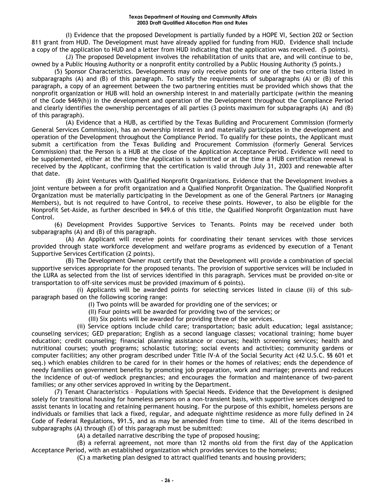#### **Texas Department of Housing and Community Affairs 2003 Draft Qualified Allocation Plan and Rules**

(I) Evidence that the proposed Development is partially funded by a HOPE VI, Section 202 or Section 811 grant from HUD. The Development must have already applied for funding from HUD. Evidence shall include a copy of the application to HUD and a letter from HUD indicating that the application was received. (5 points).

(J) The proposed Development involves the rehabilitation of units that are, and will continue to be, owned by a Public Housing Authority or a nonprofit entity controlled by a Public Housing Authority (5 points.)

(5) Sponsor Characteristics. Developments may only receive points for one of the two criteria listed in subparagraphs (A) and (B) of this paragraph. To satisfy the requirements of subparagraphs (A) or (B) of this paragraph, a copy of an agreement between the two partnering entities must be provided which shows that the nonprofit organization or HUB will hold an ownership interest in and materially participate (within the meaning of the Code §469(h)) in the development and operation of the Development throughout the Compliance Period and clearly identifies the ownership percentages of all parties (3 points maximum for subparagraphs (A) and (B) of this paragraph).

(A) Evidence that a HUB, as certified by the Texas Building and Procurement Commission (formerly General Services Commission), has an ownership interest in and materially participates in the development and operation of the Development throughout the Compliance Period. To qualify for these points, the Applicant must submit a certification from the Texas Building and Procurement Commission (formerly General Services Commission) that the Person is a HUB at the close of the Application Acceptance Period. Evidence will need to be supplemented, either at the time the Application is submitted or at the time a HUB certification renewal is received by the Applicant, confirming that the certification is valid through July 31, 2003 and renewable after that date.

(B) Joint Ventures with Qualified Nonprofit Organizations. Evidence that the Development involves a joint venture between a for profit organization and a Qualified Nonprofit Organization. The Qualified Nonprofit Organization must be materially participating in the Development as one of the General Partners (or Managing Members), but is not required to have Control, to receive these points. However, to also be eligible for the Nonprofit Set-Aside, as further described in §49.6 of this title, the Qualified Nonprofit Organization must have Control.

(6) Development Provides Supportive Services to Tenants. Points may be received under both subparagraphs (A) and (B) of this paragraph.

(A) An Applicant will receive points for coordinating their tenant services with those services provided through state workforce development and welfare programs as evidenced by execution of a Tenant Supportive Services Certification (2 points).

(B) The Development Owner must certify that the Development will provide a combination of special supportive services appropriate for the proposed tenants. The provision of supportive services will be included in the LURA as selected from the list of services identified in this paragraph. Services must be provided on-site or transportation to off-site services must be provided (maximum of 6 points).

(i) Applicants will be awarded points for selecting services listed in clause (ii) of this subparagraph based on the following scoring range:

- (I) Two points will be awarded for providing one of the services; or
- (II) Four points will be awarded for providing two of the services; or
- (III) Six points will be awarded for providing three of the services.

(ii) Service options include child care; transportation; basic adult education; legal assistance; counseling services; GED preparation; English as a second language classes; vocational training; home buyer education; credit counseling; financial planning assistance or courses; health screening services; health and nutritional courses; youth programs; scholastic tutoring; social events and activities; community gardens or computer facilities; any other program described under Title IV-A of the Social Security Act (42 U.S.C. §§ 601 et seq.) which enables children to be cared for in their homes or the homes of relatives; ends the dependence of needy families on government benefits by promoting job preparation, work and marriage; prevents and reduces the incidence of out-of wedlock pregnancies; and encourages the formation and maintenance of two-parent families; or any other services approved in writing by the Department.

(7) Tenant Characteristics – Populations with Special Needs. Evidence that the Development is designed solely for transitional housing for homeless persons on a non-transient basis, with supportive services designed to assist tenants in locating and retaining permanent housing. For the purpose of this exhibit, homeless persons are individuals or families that lack a fixed, regular, and adequate nighttime residence as more fully defined in 24 Code of Federal Regulations, §91.5, and as may be amended from time to time. All of the items described in subparagraphs (A) through (E) of this paragraph must be submitted:

(A) a detailed narrative describing the type of proposed housing;

(B) a referral agreement, not more than 12 months old from the first day of the Application Acceptance Period, with an established organization which provides services to the homeless;

(C) a marketing plan designed to attract qualified tenants and housing providers;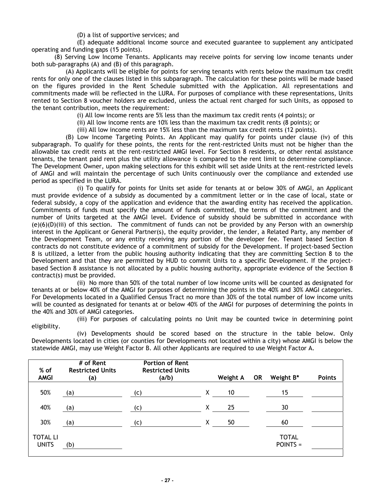(D) a list of supportive services; and

(E) adequate additional income source and executed guarantee to supplement any anticipated operating and funding gaps (15 points).

(8) Serving Low Income Tenants. Applicants may receive points for serving low income tenants under both sub-paragraphs (A) and (B) of this paragraph.

(A) Applicants will be eligible for points for serving tenants with rents below the maximum tax credit rents for only one of the clauses listed in this subparagraph. The calculation for these points will be made based on the figures provided in the Rent Schedule submitted with the Application. All representations and commitments made will be reflected in the LURA. For purposes of compliance with these representations, Units rented to Section 8 voucher holders are excluded, unless the actual rent charged for such Units, as opposed to the tenant contribution, meets the requirement:

(i) All low income rents are 5% less than the maximum tax credit rents (4 points); or

(ii) All low income rents are 10% less than the maximum tax credit rents (8 points); or

(iii) All low income rents are 15% less than the maximum tax credit rents (12 points).

(B) Low Income Targeting Points. An Applicant may qualify for points under clause (iv) of this subparagraph. To qualify for these points, the rents for the rent-restricted Units must not be higher than the allowable tax credit rents at the rent-restricted AMGI level. For Section 8 residents, or other rental assistance tenants, the tenant paid rent plus the utility allowance is compared to the rent limit to determine compliance. The Development Owner, upon making selections for this exhibit will set aside Units at the rent-restricted levels of AMGI and will maintain the percentage of such Units continuously over the compliance and extended use period as specified in the LURA.

(i) To qualify for points for Units set aside for tenants at or below 30% of AMGI, an Applicant must provide evidence of a subsidy as documented by a commitment letter or in the case of local, state or federal subsidy, a copy of the application and evidence that the awarding entity has received the application. Commitments of funds must specify the amount of funds committed, the terms of the commitment and the number of Units targeted at the AMGI level. Evidence of subsidy should be submitted in accordance with (e)(6)(D)(iii) of this section. The commitment of funds can not be provided by any Person with an ownership interest in the Applicant or General Partner(s), the equity provider, the lender, a Related Party, any member of the Development Team, or any entity receiving any portion of the developer fee. Tenant based Section 8 contracts do not constitute evidence of a commitment of subsidy for the Development. If project-based Section 8 is utilized, a letter from the public housing authority indicating that they are committing Section 8 to the Development and that they are permitted by HUD to commit Units to a specific Development. If the projectbased Section 8 assistance is not allocated by a public housing authority, appropriate evidence of the Section 8 contract(s) must be provided.

(ii) No more than 50% of the total number of low income units will be counted as designated for tenants at or below 40% of the AMGI for purposes of determining the points in the 40% and 30% AMGI categories. For Developments located in a Qualified Census Tract no more than 30% of the total number of low income units will be counted as designated for tenants at or below 40% of the AMGI for purposes of determining the points in the 40% and 30% of AMGI categories.

(iii) For purposes of calculating points no Unit may be counted twice in determining point eligibility.

(iv) Developments should be scored based on the structure in the table below. Only Developments located in cities (or counties for Developments not located within a city) whose AMGI is below the statewide AMGI, may use Weight Factor B. All other Applicants are required to use Weight Factor A.

| % of                            | # of Rent<br><b>Restricted Units</b> | <b>Portion of Rent</b><br><b>Restricted Units</b> |   |          |           |                            |        |
|---------------------------------|--------------------------------------|---------------------------------------------------|---|----------|-----------|----------------------------|--------|
| <b>AMGI</b>                     | (a)                                  | (a/b)                                             |   | Weight A | <b>OR</b> | Weight B*                  | Points |
| 50%                             | (a)                                  | (c)                                               | Χ | 10       |           | 15                         |        |
| 40%                             | (a)                                  | (c)                                               | χ | 25       |           | 30                         |        |
| 30%                             | (a)                                  | (c)                                               | Χ | 50       |           | 60                         |        |
| <b>TOTAL LI</b><br><b>UNITS</b> | (b)                                  |                                                   |   |          |           | <b>TOTAL</b><br>$POINTS =$ |        |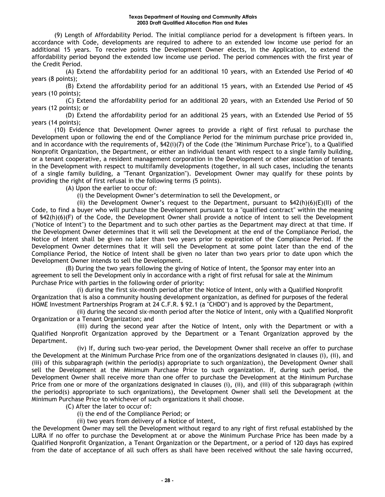(9) Length of Affordability Period. The initial compliance period for a development is fifteen years. In accordance with Code, developments are required to adhere to an extended low income use period for an additional 15 years. To receive points the Development Owner elects, in the Application, to extend the affordability period beyond the extended low income use period. The period commences with the first year of the Credit Period.

(A) Extend the affordability period for an additional 10 years, with an Extended Use Period of 40 years (8 points);

(B) Extend the affordability period for an additional 15 years, with an Extended Use Period of 45 years (10 points);

(C) Extend the affordability period for an additional 20 years, with an Extended Use Period of 50 years (12 points); or

(D) Extend the affordability period for an additional 25 years, with an Extended Use Period of 55 years (14 points);

(10) Evidence that Development Owner agrees to provide a right of first refusal to purchase the Development upon or following the end of the Compliance Period for the minimum purchase price provided in, and in accordance with the requirements of, §42(i)(7) of the Code (the "Minimum Purchase Price"), to a Qualified Nonprofit Organization, the Department, or either an individual tenant with respect to a single family building, or a tenant cooperative, a resident management corporation in the Development or other association of tenants in the Development with respect to multifamily developments (together, in all such cases, including the tenants of a single family building, a "Tenant Organization"). Development Owner may qualify for these points by providing the right of first refusal in the following terms (5 points).

(A) Upon the earlier to occur of:

(i) the Development Owner's determination to sell the Development, or

(ii) the Development Owner's request to the Department, pursuant to  $$42(h)(6)(E)(II)$  of the Code, to find a buyer who will purchase the Development pursuant to a "qualified contract" within the meaning of §42(h)(6)(F) of the Code, the Development Owner shall provide a notice of intent to sell the Development ("Notice of Intent") to the Department and to such other parties as the Department may direct at that time. If the Development Owner determines that it will sell the Development at the end of the Compliance Period, the Notice of Intent shall be given no later than two years prior to expiration of the Compliance Period. If the Development Owner determines that it will sell the Development at some point later than the end of the Compliance Period, the Notice of Intent shall be given no later than two years prior to date upon which the Development Owner intends to sell the Development.

(B) During the two years following the giving of Notice of Intent, the Sponsor may enter into an agreement to sell the Development only in accordance with a right of first refusal for sale at the Minimum Purchase Price with parties in the following order of priority:

(i) during the first six-month period after the Notice of Intent, only with a Qualified Nonprofit Organization that is also a community housing development organization, as defined for purposes of the federal HOME Investment Partnerships Program at 24 C.F.R. § 92.1 (a "CHDO") and is approved by the Department,

(ii) during the second six-month period after the Notice of Intent, only with a Qualified Nonprofit Organization or a Tenant Organization; and

(iii) during the second year after the Notice of Intent, only with the Department or with a Qualified Nonprofit Organization approved by the Department or a Tenant Organization approved by the Department.

(iv) If, during such two-year period, the Development Owner shall receive an offer to purchase the Development at the Minimum Purchase Price from one of the organizations designated in clauses (i), (ii), and (iii) of this subparagraph (within the period(s) appropriate to such organization), the Development Owner shall sell the Development at the Minimum Purchase Price to such organization. If, during such period, the Development Owner shall receive more than one offer to purchase the Development at the Minimum Purchase Price from one or more of the organizations designated in clauses (i), (ii), and (iii) of this subparagraph (within the period(s) appropriate to such organizations), the Development Owner shall sell the Development at the Minimum Purchase Price to whichever of such organizations it shall choose.

(C) After the later to occur of:

(i) the end of the Compliance Period; or

(ii) two years from delivery of a Notice of Intent,

the Development Owner may sell the Development without regard to any right of first refusal established by the LURA if no offer to purchase the Development at or above the Minimum Purchase Price has been made by a Qualified Nonprofit Organization, a Tenant Organization or the Department, or a period of 120 days has expired from the date of acceptance of all such offers as shall have been received without the sale having occurred,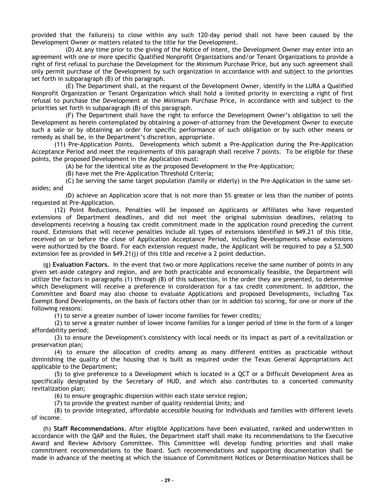provided that the failure(s) to close within any such 120-day period shall not have been caused by the Development Owner or matters related to the title for the Development.

(D) At any time prior to the giving of the Notice of Intent, the Development Owner may enter into an agreement with one or more specific Qualified Nonprofit Organizations and/or Tenant Organizations to provide a right of first refusal to purchase the Development for the Minimum Purchase Price, but any such agreement shall only permit purchase of the Development by such organization in accordance with and subject to the priorities set forth in subparagraph (B) of this paragraph.

(E) The Department shall, at the request of the Development Owner, identify in the LURA a Qualified Nonprofit Organization or Tenant Organization which shall hold a limited priority in exercising a right of first refusal to purchase the Development at the Minimum Purchase Price, in accordance with and subject to the priorities set forth in subparagraph (B) of this paragraph.

(F) The Department shall have the right to enforce the Development Owner's obligation to sell the Development as herein contemplated by obtaining a power-of-attorney from the Development Owner to execute such a sale or by obtaining an order for specific performance of such obligation or by such other means or remedy as shall be, in the Department's discretion, appropriate.

(11) Pre-Application Points. Developments which submit a Pre-Application during the Pre-Application Acceptance Period and meet the requirements of this paragraph shall receive 7 points. To be eligible for these points, the proposed Development in the Application must:

(A) be for the identical site as the proposed Development in the Pre-Application;

(B) have met the Pre-Application Threshold Criteria;

(C) be serving the same target population (family or elderly) in the Pre-Application in the same setasides; and

(D) achieve an Application score that is not more than 5% greater or less than the number of points requested at Pre-Application.

(12) Point Reductions. Penalties will be imposed on Applicants or Affiliates who have requested extensions of Department deadlines, and did not meet the original submission deadlines, relating to developments receiving a housing tax credit commitment made in the application round preceding the current round. Extensions that will receive penalties include all types of extensions identified in §49.21 of this title, received on or before the close of Application Acceptance Period, including Developments whose extensions were authorized by the Board. For each extension request made, the Applicant will be required to pay a \$2,500 extension fee as provided in §49.21(j) of this title and receive a 2 point deduction.

(g) **Evaluation Factors.** In the event that two or more Applications receive the same number of points in any given set-aside category and region, and are both practicable and economically feasible, the Department will utilize the factors in paragraphs (1) through (8) of this subsection, in the order they are presented, to determine which Development will receive a preference in consideration for a tax credit commitment. In addition, the Committee and Board may also choose to evaluate Applications and proposed Developments, including Tax Exempt Bond Developments, on the basis of factors other than (or in addition to) scoring, for one or more of the following reasons:

(1) to serve a greater number of lower income families for fewer credits;

(2) to serve a greater number of lower income families for a longer period of time in the form of a longer affordability period;

(3) to ensure the Development's consistency with local needs or its impact as part of a revitalization or preservation plan;

(4) to ensure the allocation of credits among as many different entities as practicable without diminishing the quality of the housing that is built as required under the Texas General Appropriations Act applicable to the Department;

(5) to give preference to a Development which is located in a QCT or a Difficult Development Area as specifically designated by the Secretary of HUD, and which also contributes to a concerted community revitalization plan;

(6) to ensure geographic dispersion within each state service region;

(7) to provide the greatest number of quality residential Units; and

(8) to provide integrated, affordable accessible housing for individuals and families with different levels of income.

(h) **Staff Recommendations**. After eligible Applications have been evaluated, ranked and underwritten in accordance with the QAP and the Rules, the Department staff shall make its recommendations to the Executive Award and Review Advisory Committee. This Committee will develop funding priorities and shall make commitment recommendations to the Board. Such recommendations and supporting documentation shall be made in advance of the meeting at which the issuance of Commitment Notices or Determination Notices shall be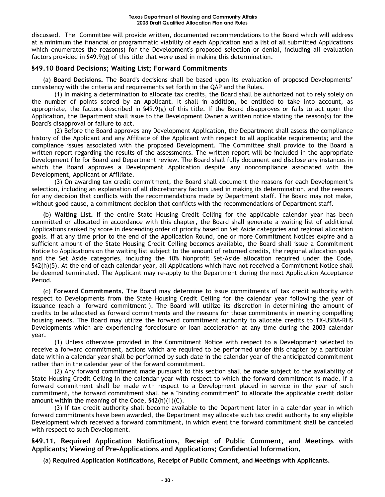discussed. The Committee will provide written, documented recommendations to the Board which will address at a minimum the financial or programmatic viability of each Application and a list of all submitted Applications which enumerates the reason(s) for the Development's proposed selection or denial, including all evaluation factors provided in §49.9(g) of this title that were used in making this determination.

# **§49.10 Board Decisions; Waiting List; Forward Commitments**

(a) **Board Decisions.** The Board's decisions shall be based upon its evaluation of proposed Developments' consistency with the criteria and requirements set forth in the QAP and the Rules.

(1) In making a determination to allocate tax credits, the Board shall be authorized not to rely solely on the number of points scored by an Applicant. It shall in addition, be entitled to take into account, as appropriate, the factors described in §49.9(g) of this title. If the Board disapproves or fails to act upon the Application, the Department shall issue to the Development Owner a written notice stating the reason(s) for the Board's disapproval or failure to act.

(2) Before the Board approves any Development Application, the Department shall assess the compliance history of the Applicant and any Affiliate of the Applicant with respect to all applicable requirements; and the compliance issues associated with the proposed Development. The Committee shall provide to the Board a written report regarding the results of the assessments. The written report will be included in the appropriate Development file for Board and Department review. The Board shall fully document and disclose any instances in which the Board approves a Development Application despite any noncompliance associated with the Development, Applicant or Affiliate.

(3) On awarding tax credit commitment, the Board shall document the reasons for each Development's selection, including an explanation of all discretionary factors used in making its determination, and the reasons for any decision that conflicts with the recommendations made by Department staff. The Board may not make, without good cause, a commitment decision that conflicts with the recommendations of Department staff.

(b) **Waiting List.** If the entire State Housing Credit Ceiling for the applicable calendar year has been committed or allocated in accordance with this chapter, the Board shall generate a waiting list of additional Applications ranked by score in descending order of priority based on Set Aside categories and regional allocation goals. If at any time prior to the end of the Application Round, one or more Commitment Notices expire and a sufficient amount of the State Housing Credit Ceiling becomes available, the Board shall issue a Commitment Notice to Applications on the waiting list subject to the amount of returned credits, the regional allocation goals and the Set Aside categories, including the 10% Nonprofit Set-Aside allocation required under the Code, §42(h)(5). At the end of each calendar year, all Applications which have not received a Commitment Notice shall be deemed terminated. The Applicant may re-apply to the Department during the next Application Acceptance Period.

(c) **Forward Commitments. T**he Board may determine to issue commitments of tax credit authority with respect to Developments from the State Housing Credit Ceiling for the calendar year following the year of issuance (each a "forward commitment"). The Board will utilize its discretion in determining the amount of credits to be allocated as forward commitments and the reasons for those commitments in meeting compelling housing needs. The Board may utilize the forward commitment authority to allocate credits to TX-USDA-RHS Developments which are experiencing foreclosure or loan acceleration at any time during the 2003 calendar year.

(1) Unless otherwise provided in the Commitment Notice with respect to a Development selected to receive a forward commitment, actions which are required to be performed under this chapter by a particular date within a calendar year shall be performed by such date in the calendar year of the anticipated commitment rather than in the calendar year of the forward commitment.

(2) Any forward commitment made pursuant to this section shall be made subject to the availability of State Housing Credit Ceiling in the calendar year with respect to which the forward commitment is made. If a forward commitment shall be made with respect to a Development placed in service in the year of such commitment, the forward commitment shall be a "binding commitment" to allocate the applicable credit dollar amount within the meaning of the Code, §42(h)(1)(C).

(3) If tax credit authority shall become available to the Department later in a calendar year in which forward commitments have been awarded, the Department may allocate such tax credit authority to any eligible Development which received a forward commitment, in which event the forward commitment shall be canceled with respect to such Development.

**§49.11. Required Application Notifications, Receipt of Public Comment, and Meetings with Applicants; Viewing of Pre-Applications and Applications; Confidential Information.** 

(a) **Required Application Notifications, Receipt of Public Comment, and Meetings with Applicants.**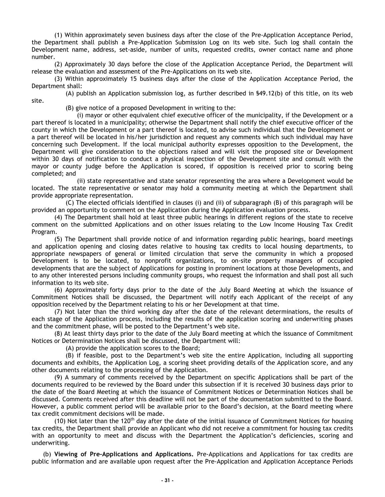(1) Within approximately seven business days after the close of the Pre-Application Acceptance Period, the Department shall publish a Pre-Application Submission Log on its web site. Such log shall contain the Development name, address, set-aside, number of units, requested credits, owner contact name and phone number.

(2) Approximately 30 days before the close of the Application Acceptance Period, the Department will release the evaluation and assessment of the Pre-Applications on its web site.

(3) Within approximately 15 business days after the close of the Application Acceptance Period, the Department shall:

(A) publish an Application submission log, as further described in §49.12(b) of this title, on its web site.

(B) give notice of a proposed Development in writing to the:

(i) mayor or other equivalent chief executive officer of the municipality, if the Development or a part thereof is located in a municipality; otherwise the Department shall notify the chief executive officer of the county in which the Development or a part thereof is located, to advise such individual that the Development or a part thereof will be located in his/her jurisdiction and request any comments which such individual may have concerning such Development. If the local municipal authority expresses opposition to the Development, the Department will give consideration to the objections raised and will visit the proposed site or Development within 30 days of notification to conduct a physical inspection of the Development site and consult with the mayor or county judge before the Application is scored, if opposition is received prior to scoring being completed; and

(ii) state representative and state senator representing the area where a Development would be located. The state representative or senator may hold a community meeting at which the Department shall provide appropriate representation.

(C) The elected officials identified in clauses (i) and (ii) of subparagraph (B) of this paragraph will be provided an opportunity to comment on the Application during the Application evaluation process.

(4) The Department shall hold at least three public hearings in different regions of the state to receive comment on the submitted Applications and on other issues relating to the Low Income Housing Tax Credit Program.

(5) The Department shall provide notice of and information regarding public hearings, board meetings and application opening and closing dates relative to housing tax credits to local housing departments, to appropriate newspapers of general or limited circulation that serve the community in which a proposed Development is to be located, to nonprofit organizations, to on-site property managers of occupied developments that are the subject of Applications for posting in prominent locations at those Developments, and to any other interested persons including community groups, who request the information and shall post all such information to its web site.

(6) Approximately forty days prior to the date of the July Board Meeting at which the issuance of Commitment Notices shall be discussed, the Department will notify each Applicant of the receipt of any opposition received by the Department relating to his or her Development at that time.

(7) Not later than the third working day after the date of the relevant determinations, the results of each stage of the Application process, including the results of the application scoring and underwriting phases and the commitment phase, will be posted to the Department's web site.

(8) At least thirty days prior to the date of the July Board meeting at which the issuance of Commitment Notices or Determination Notices shall be discussed, the Department will:

(A) provide the application scores to the Board;

(B) if feasible, post to the Department's web site the entire Application, including all supporting documents and exhibits, the Application Log, a scoring sheet providing details of the Application score, and any other documents relating to the processing of the Application.

(9) A summary of comments received by the Department on specific Applications shall be part of the documents required to be reviewed by the Board under this subsection if it is received 30 business days prior to the date of the Board Meeting at which the issuance of Commitment Notices or Determination Notices shall be discussed. Comments received after this deadline will not be part of the documentation submitted to the Board. However, a public comment period will be available prior to the Board's decision, at the Board meeting where tax credit commitment decisions will be made.

(10) Not later than the 120<sup>th</sup> day after the date of the initial issuance of Commitment Notices for housing tax credits, the Department shall provide an Applicant who did not receive a commitment for housing tax credits with an opportunity to meet and discuss with the Department the Application's deficiencies, scoring and underwriting.

(b) **Viewing of Pre-Applications and Applications.** Pre-Applications and Applications for tax credits are public information and are available upon request after the Pre-Application and Application Acceptance Periods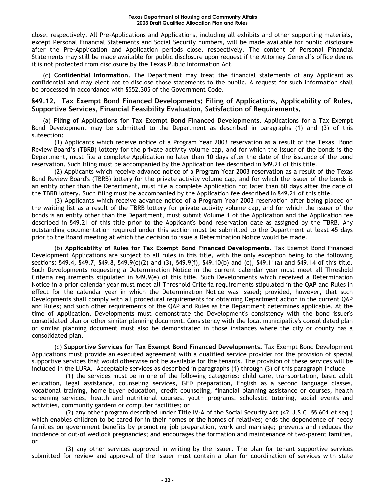close, respectively. All Pre-Applications and Applications, including all exhibits and other supporting materials, except Personal Financial Statements and Social Security numbers, will be made available for public disclosure after the Pre-Application and Application periods close, respectively. The content of Personal Financial Statements may still be made available for public disclosure upon request if the Attorney General's office deems it is not protected from disclosure by the Texas Public Information Act*.* 

(c) **Confidential Information.** The Department may treat the financial statements of any Applicant as confidential and may elect not to disclose those statements to the public. A request for such information shall be processed in accordance with §552.305 of the Government Code.

# **§49.12. Tax Exempt Bond Financed Developments: Filing of Applications, Applicability of Rules, Supportive Services, Financial Feasibility Evaluation, Satisfaction of Requirements.**

(a) **Filing of Applications for Tax Exempt Bond Financed Developments.** Applications for a Tax Exempt Bond Development may be submitted to the Department as described in paragraphs (1) and (3) of this subsection:

(1) Applicants which receive notice of a Program Year 2003 reservation as a result of the Texas Bond Review Board's (TBRB) lottery for the private activity volume cap, and for which the issuer of the bonds is the Department, must file a complete Application no later than 10 days after the date of the issuance of the bond reservation. Such filing must be accompanied by the Application fee described in §49.21 of this title.

(2) Applicants which receive advance notice of a Program Year 2003 reservation as a result of the Texas Bond Review Board's (TBRB) lottery for the private activity volume cap, and for which the issuer of the bonds is an entity other than the Department, must file a complete Application not later than 60 days after the date of the TBRB lottery. Such filing must be accompanied by the Application fee described in §49.21 of this title.

(3) Applicants which receive advance notice of a Program Year 2003 reservation after being placed on the waiting list as a result of the TBRB lottery for private activity volume cap, and for which the issuer of the bonds is an entity other than the Department, must submit Volume 1 of the Application and the Application fee described in §49.21 of this title prior to the Applicant's bond reservation date as assigned by the TBRB. Any outstanding documentation required under this section must be submitted to the Department at least 45 days prior to the Board meeting at which the decision to issue a Determination Notice would be made.

(b) **Applicability of Rules for Tax Exempt Bond Financed Developments.** Tax Exempt Bond Financed Development Applications are subject to all rules in this title, with the only exception being to the following sections: §49.4, §49.7, §49.8, §49.9(c)(2) and (3), §49.9(f), §49.10(b) and (c), §49.11(a) and §49.14 of this title. Such Developments requesting a Determination Notice in the current calendar year must meet all Threshold Criteria requirements stipulated in §49.9(e) of this title. Such Developments which received a Determination Notice in a prior calendar year must meet all Threshold Criteria requirements stipulated in the QAP and Rules in effect for the calendar year in which the Determination Notice was issued; provided, however, that such Developments shall comply with all procedural requirements for obtaining Department action in the current QAP and Rules; and such other requirements of the QAP and Rules as the Department determines applicable. At the time of Application, Developments must demonstrate the Development's consistency with the bond issuer's consolidated plan or other similar planning document. Consistency with the local municipality's consolidated plan or similar planning document must also be demonstrated in those instances where the city or county has a consolidated plan.

(c) **Supportive Services for Tax Exempt Bond Financed Developments.** Tax Exempt Bond Development Applications must provide an executed agreement with a qualified service provider for the provision of special supportive services that would otherwise not be available for the tenants. The provision of these services will be included in the LURA. Acceptable services as described in paragraphs (1) through (3) of this paragraph include:

(1) the services must be in one of the following categories: child care, transportation, basic adult education, legal assistance, counseling services, GED preparation, English as a second language classes, vocational training, home buyer education, credit counseling, financial planning assistance or courses, health screening services, health and nutritional courses, youth programs, scholastic tutoring, social events and activities, community gardens or computer facilities; or

(2) any other program described under Title IV-A of the Social Security Act (42 U.S.C. §§ 601 et seq.) which enables children to be cared for in their homes or the homes of relatives; ends the dependence of needy families on government benefits by promoting job preparation, work and marriage; prevents and reduces the incidence of out-of wedlock pregnancies; and encourages the formation and maintenance of two-parent families, or

(3) any other services approved in writing by the Issuer. The plan for tenant supportive services submitted for review and approval of the Issuer must contain a plan for coordination of services with state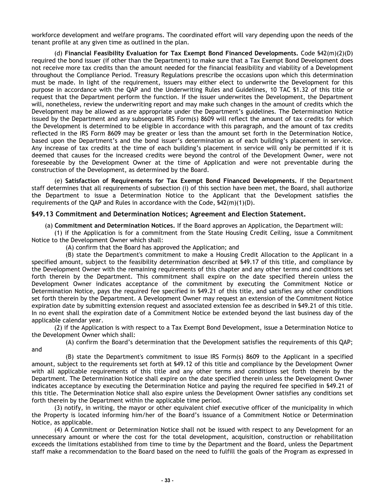workforce development and welfare programs. The coordinated effort will vary depending upon the needs of the tenant profile at any given time as outlined in the plan.

(d) **Financial Feasibility Evaluation for Tax Exempt Bond Financed Developments.** Code §42(m)(2)(D) required the bond issuer (if other than the Department) to make sure that a Tax Exempt Bond Development does not receive more tax credits than the amount needed for the financial feasibility and viability of a Development throughout the Compliance Period. Treasury Regulations prescribe the occasions upon which this determination must be made. In light of the requirement, issuers may either elect to underwrite the Development for this purpose in accordance with the QAP and the Underwriting Rules and Guidelines, 10 TAC §1.32 of this title or request that the Department perform the function. If the issuer underwrites the Development, the Department will, nonetheless, review the underwriting report and may make such changes in the amount of credits which the Development may be allowed as are appropriate under the Department's guidelines. The Determination Notice issued by the Department and any subsequent IRS Form(s) 8609 will reflect the amount of tax credits for which the Development is determined to be eligible in accordance with this paragraph, and the amount of tax credits reflected in the IRS Form 8609 may be greater or less than the amount set forth in the Determination Notice, based upon the Department's and the bond issuer's determination as of each building's placement in service. Any increase of tax credits at the time of each building's placement in service will only be permitted if it is deemed that causes for the increased credits were beyond the control of the Development Owner, were not foreseeable by the Development Owner at the time of Application and were not preventable during the construction of the Development, as determined by the Board.

(e) **Satisfaction of Requirements for Tax Exempt Bond Financed Developments.** If the Department staff determines that all requirements of subsection (i) of this section have been met, the Board, shall authorize the Department to issue a Determination Notice to the Applicant that the Development satisfies the requirements of the QAP and Rules in accordance with the Code,  $$42(m)(1)(D)$ .

# **§49.13 Commitment and Determination Notices; Agreement and Election Statement.**

(a) **Commitment and Determination Notices.** If the Board approves an Application, the Department will:

(1) if the Application is for a commitment from the State Housing Credit Ceiling, issue a Commitment Notice to the Development Owner which shall:

(A) confirm that the Board has approved the Application; and

and

(B) state the Department's commitment to make a Housing Credit Allocation to the Applicant in a specified amount, subject to the feasibility determination described at §49.17 of this title, and compliance by the Development Owner with the remaining requirements of this chapter and any other terms and conditions set forth therein by the Department. This commitment shall expire on the date specified therein unless the Development Owner indicates acceptance of the commitment by executing the Commitment Notice or Determination Notice, pays the required fee specified in §49.21 of this title, and satisfies any other conditions set forth therein by the Department. A Development Owner may request an extension of the Commitment Notice expiration date by submitting extension request and associated extension fee as described in §49.21 of this title. In no event shall the expiration date of a Commitment Notice be extended beyond the last business day of the applicable calendar year.

(2) if the Application is with respect to a Tax Exempt Bond Development, issue a Determination Notice to the Development Owner which shall:

(A) confirm the Board's determination that the Development satisfies the requirements of this QAP;

(B) state the Department's commitment to issue IRS Form(s) 8609 to the Applicant in a specified amount, subject to the requirements set forth at §49.12 of this title and compliance by the Development Owner with all applicable requirements of this title and any other terms and conditions set forth therein by the Department. The Determination Notice shall expire on the date specified therein unless the Development Owner indicates acceptance by executing the Determination Notice and paying the required fee specified in §49.21 of this title. The Determination Notice shall also expire unless the Development Owner satisfies any conditions set forth therein by the Department within the applicable time period.

(3) notify, in writing, the mayor or other equivalent chief executive officer of the municipality in which the Property is located informing him/her of the Board's issuance of a Commitment Notice or Determination Notice, as applicable.

(4) A Commitment or Determination Notice shall not be issued with respect to any Development for an unnecessary amount or where the cost for the total development, acquisition, construction or rehabilitation exceeds the limitations established from time to time by the Department and the Board, unless the Department staff make a recommendation to the Board based on the need to fulfill the goals of the Program as expressed in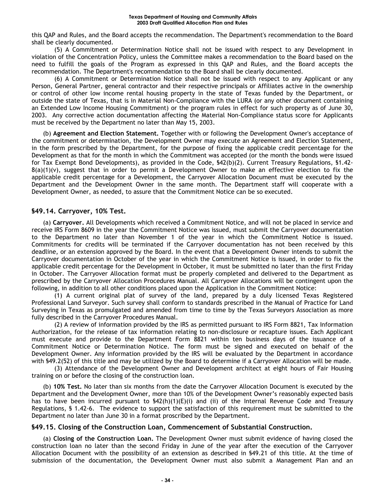this QAP and Rules, and the Board accepts the recommendation. The Department's recommendation to the Board shall be clearly documented.

(5) A Commitment or Determination Notice shall not be issued with respect to any Development in violation of the Concentration Policy, unless the Committee makes a recommendation to the Board based on the need to fulfill the goals of the Program as expressed in this QAP and Rules, and the Board accepts the recommendation. The Department's recommendation to the Board shall be clearly documented.

(6) A Commitment or Determination Notice shall not be issued with respect to any Applicant or any Person, General Partner, general contractor and their respective principals or Affiliates active in the ownership or control of other low income rental housing property in the state of Texas funded by the Department, or outside the state of Texas, that is in Material Non-Compliance with the LURA (or any other document containing an Extended Low Income Housing Commitment) or the program rules in effect for such property as of June 30, 2003. Any corrective action documentation affecting the Material Non-Compliance status score for Applicants must be received by the Department no later than May 15, 2003.

(b) **Agreement and Election Statement.** Together with or following the Development Owner's acceptance of the commitment or determination, the Development Owner may execute an Agreement and Election Statement, in the form prescribed by the Department, for the purpose of fixing the applicable credit percentage for the Development as that for the month in which the Commitment was accepted (or the month the bonds were issued for Tax Exempt Bond Developments), as provided in the Code, §42(b)(2). Current Treasury Regulations, §1.42-  $8(a)(1)(v)$ , suggest that in order to permit a Development Owner to make an effective election to fix the applicable credit percentage for a Development, the Carryover Allocation Document must be executed by the Department and the Development Owner in the same month. The Department staff will cooperate with a Development Owner, as needed, to assure that the Commitment Notice can be so executed.

# **§49.14. Carryover, 10% Test.**

(a) **Carryover.** All Developments which received a Commitment Notice, and will not be placed in service and receive IRS Form 8609 in the year the Commitment Notice was issued, must submit the Carryover documentation to the Department no later than November 1 of the year in which the Commitment Notice is issued. Commitments for credits will be terminated if the Carryover documentation has not been received by this deadline, or an extension approved by the Board. In the event that a Development Owner intends to submit the Carryover documentation in October of the year in which the Commitment Notice is issued, in order to fix the applicable credit percentage for the Development in October, it must be submitted no later than the first Friday in October. The Carryover Allocation format must be properly completed and delivered to the Department as prescribed by the Carryover Allocation Procedures Manual. All Carryover Allocations will be contingent upon the following, in addition to all other conditions placed upon the Application in the Commitment Notice:

(1) A current original plat of survey of the land, prepared by a duly licensed Texas Registered Professional Land Surveyor. Such survey shall conform to standards prescribed in the Manual of Practice for Land Surveying in Texas as promulgated and amended from time to time by the Texas Surveyors Association as more fully described in the Carryover Procedures Manual.

(2) A review of information provided by the IRS as permitted pursuant to IRS Form 8821, Tax Information Authorization, for the release of tax information relating to non-disclosure or recapture issues. Each Applicant must execute and provide to the Department Form 8821 within ten business days of the issuance of a Commitment Notice or Determination Notice. The form must be signed and executed on behalf of the Development Owner. Any information provided by the IRS will be evaluated by the Department in accordance with §49.2(52) of this title and may be utilized by the Board to determine if a Carryover Allocation will be made.

(3) Attendance of the Development Owner and Development architect at eight hours of Fair Housing training on or before the closing of the construction loan.

(b) **10% Test.** No later than six months from the date the Carryover Allocation Document is executed by the Department and the Development Owner, more than 10% of the Development Owner's reasonably expected basis has to have been incurred pursuant to  $\frac{542(h)(1)(E)(i)}{h}$  and (ii) of the Internal Revenue Code and Treasury Regulations, § 1.42-6. The evidence to support the satisfaction of this requirement must be submitted to the Department no later than June 30 in a format proscribed by the Department.

#### **§49.15. Closing of the Construction Loan, Commencement of Substantial Construction.**

(a) **Closing of the Construction Loan.** The Development Owner must submit evidence of having closed the construction loan no later than the second Friday in June of the year after the execution of the Carryover Allocation Document with the possibility of an extension as described in §49.21 of this title. At the time of submission of the documentation, the Development Owner must also submit a Management Plan and an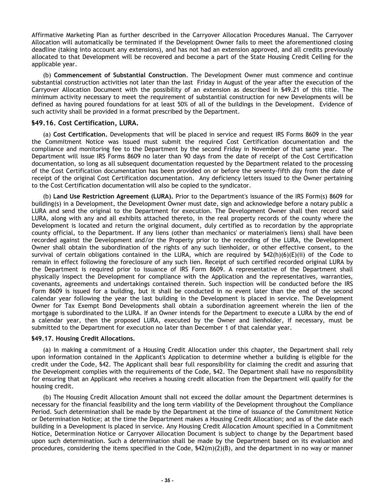Affirmative Marketing Plan as further described in the Carryover Allocation Procedures Manual. The Carryover Allocation will automatically be terminated if the Development Owner fails to meet the aforementioned closing deadline (taking into account any extensions), and has not had an extension approved, and all credits previously allocated to that Development will be recovered and become a part of the State Housing Credit Ceiling for the applicable year.

(b) **Commencement of Substantial Construction**. The Development Owner must commence and continue substantial construction activities not later than the last Friday in August of the year after the execution of the Carryover Allocation Document with the possibility of an extension as described in §49.21 of this title. The minimum activity necessary to meet the requirement of substantial construction for new Developments will be defined as having poured foundations for at least 50% of all of the buildings in the Development. Evidence of such activity shall be provided in a format prescribed by the Department.

# **§49.16. Cost Certification, LURA.**

(a) **Cost Certification.** Developments that will be placed in service and request IRS Forms 8609 in the year the Commitment Notice was issued must submit the required Cost Certification documentation and the compliance and monitoring fee to the Department by the second Friday in November of that same year. The Department will issue IRS Forms 8609 no later than 90 days from the date of receipt of the Cost Certification documentation, so long as all subsequent documentation requested by the Department related to the processing of the Cost Certification documentation has been provided on or before the seventy-fifth day from the date of receipt of the original Cost Certification documentation. Any deficiency letters issued to the Owner pertaining to the Cost Certification documentation will also be copied to the syndicator.

(b) **Land Use Restriction Agreement (LURA).** Prior to the Department's issuance of the IRS Form(s) 8609 for building(s) in a Development, the Development Owner must date, sign and acknowledge before a notary public a LURA and send the original to the Department for execution. The Development Owner shall then record said LURA, along with any and all exhibits attached thereto, in the real property records of the county where the Development is located and return the original document, duly certified as to recordation by the appropriate county official, to the Department. If any liens (other than mechanics' or materialmen's liens) shall have been recorded against the Development and/or the Property prior to the recording of the LURA, the Development Owner shall obtain the subordination of the rights of any such lienholder, or other effective consent, to the survival of certain obligations contained in the LURA, which are required by  $$42(h)(6)(E)(ii)$  of the Code to remain in effect following the foreclosure of any such lien. Receipt of such certified recorded original LURA by the Department is required prior to issuance of IRS Form 8609. A representative of the Department shall physically inspect the Development for compliance with the Application and the representatives, warranties, covenants, agreements and undertakings contained therein. Such inspection will be conducted before the IRS Form 8609 is issued for a building, but it shall be conducted in no event later than the end of the second calendar year following the year the last building in the Development is placed in service. The Development Owner for Tax Exempt Bond Developments shall obtain a subordination agreement wherein the lien of the mortgage is subordinated to the LURA. If an Owner intends for the Department to execute a LURA by the end of a calendar year, then the proposed LURA, executed by the Owner and lienholder, if necessary, must be submitted to the Department for execution no later than December 1 of that calendar year.

#### **§49.17. Housing Credit Allocations.**

(a) In making a commitment of a Housing Credit Allocation under this chapter, the Department shall rely upon information contained in the Applicant's Application to determine whether a building is eligible for the credit under the Code, §42. The Applicant shall bear full responsibility for claiming the credit and assuring that the Development complies with the requirements of the Code, §42. The Department shall have no responsibility for ensuring that an Applicant who receives a housing credit allocation from the Department will qualify for the housing credit.

(b) The Housing Credit Allocation Amount shall not exceed the dollar amount the Department determines is necessary for the financial feasibility and the long term viability of the Development throughout the Compliance Period. Such determination shall be made by the Department at the time of issuance of the Commitment Notice or Determination Notice; at the time the Department makes a Housing Credit Allocation; and as of the date each building in a Development is placed in service. Any Housing Credit Allocation Amount specified in a Commitment Notice, Determination Notice or Carryover Allocation Document is subject to change by the Department based upon such determination. Such a determination shall be made by the Department based on its evaluation and procedures, considering the items specified in the Code, §42(m)(2)(B), and the department in no way or manner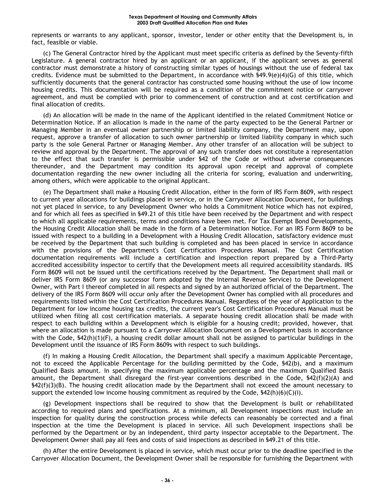represents or warrants to any applicant, sponsor, investor, lender or other entity that the Development is, in fact, feasible or viable.

(c) The General Contractor hired by the Applicant must meet specific criteria as defined by the Seventy-fifth Legislature. A general contractor hired by an applicant or an applicant, if the applicant serves as general contractor must demonstrate a history of constructing similar types of housings without the use of federal tax credits. Evidence must be submitted to the Department, in accordance with §49.9(e)(4)(G) of this title, which sufficiently documents that the general contractor has constructed some housing without the use of low income housing credits. This documentation will be required as a condition of the commitment notice or carryover agreement, and must be complied with prior to commencement of construction and at cost certification and final allocation of credits.

(d) An allocation will be made in the name of the Applicant identified in the related Commitment Notice or Determination Notice. If an allocation is made in the name of the party expected to be the General Partner or Managing Member in an eventual owner partnership or limited liability company, the Department may, upon request, approve a transfer of allocation to such owner partnership or limited liability company in which such party is the sole General Partner or Managing Member. Any other transfer of an allocation will be subject to review and approval by the Department. The approval of any such transfer does not constitute a representation to the effect that such transfer is permissible under §42 of the Code or without adverse consequences thereunder, and the Department may condition its approval upon receipt and approval of complete documentation regarding the new owner including all the criteria for scoring, evaluation and underwriting, among others, which were applicable to the original Applicant.

(e) The Department shall make a Housing Credit Allocation, either in the form of IRS Form 8609, with respect to current year allocations for buildings placed in service, or in the Carryover Allocation Document, for buildings not yet placed in service, to any Development Owner who holds a Commitment Notice which has not expired, and for which all fees as specified in §49.21 of this title have been received by the Department and with respect to which all applicable requirements, terms and conditions have been met. For Tax Exempt Bond Developments, the Housing Credit Allocation shall be made in the form of a Determination Notice. For an IRS Form 8609 to be issued with respect to a building in a Development with a Housing Credit Allocation, satisfactory evidence must be received by the Department that such building is completed and has been placed in service in accordance with the provisions of the Department's Cost Certification Procedures Manual. The Cost Certification documentation requirements will include a certification and inspection report prepared by a Third-Party accredited accessibility inspector to certify that the Development meets all required accessibility standards. IRS Form 8609 will not be issued until the certifications received by the Department. The Department shall mail or deliver IRS Form 8609 (or any successor form adopted by the Internal Revenue Service) to the Development Owner, with Part I thereof completed in all respects and signed by an authorized official of the Department. The delivery of the IRS Form 8609 will occur only after the Development Owner has complied with all procedures and requirements listed within the Cost Certification Procedures Manual. Regardless of the year of Application to the Department for low income housing tax credits, the current year's Cost Certification Procedures Manual must be utilized when filing all cost certification materials. A separate housing credit allocation shall be made with respect to each building within a Development which is eligible for a housing credit; provided, however, that where an allocation is made pursuant to a Carryover Allocation Document on a Development basis in accordance with the Code,  $$42(h)(1)(F)$ , a housing credit dollar amount shall not be assigned to particular buildings in the Development until the issuance of IRS Form 8609s with respect to such buildings.

(f) In making a Housing Credit Allocation, the Department shall specify a maximum Applicable Percentage, not to exceed the Applicable Percentage for the building permitted by the Code, §42(b), and a maximum Qualified Basis amount. In specifying the maximum applicable percentage and the maximum Qualified Basis amount, the Department shall disregard the first-year conventions described in the Code, §42(f)(2)(A) and §42(f)(3)(B). The housing credit allocation made by the Department shall not exceed the amount necessary to support the extended low income housing commitment as required by the Code,  $\frac{642(h)(6)(C(i))}{2}$ .

(g) Development inspections shall be required to show that the Development is built or rehabilitated according to required plans and specifications. At a minimum, all Development inspections must include an inspection for quality during the construction process while defects can reasonably be corrected and a final inspection at the time the Development is placed in service. All such Development inspections shall be performed by the Department or by an independent, third party inspector acceptable to the Department. The Development Owner shall pay all fees and costs of said inspections as described in §49.21 of this title.

(h) After the entire Development is placed in service, which must occur prior to the deadline specified in the Carryover Allocation Document, the Development Owner shall be responsible for furnishing the Department with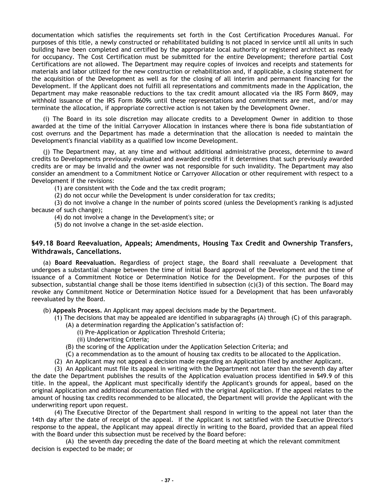documentation which satisfies the requirements set forth in the Cost Certification Procedures Manual. For purposes of this title, a newly constructed or rehabilitated building is not placed in service until all units in such building have been completed and certified by the appropriate local authority or registered architect as ready for occupancy. The Cost Certification must be submitted for the entire Development; therefore partial Cost Certifications are not allowed. The Department may require copies of invoices and receipts and statements for materials and labor utilized for the new construction or rehabilitation and, if applicable, a closing statement for the acquisition of the Development as well as for the closing of all interim and permanent financing for the Development. If the Applicant does not fulfill all representations and commitments made in the Application, the Department may make reasonable reductions to the tax credit amount allocated via the IRS Form 8609, may withhold issuance of the IRS Form 8609s until these representations and commitments are met, and/or may terminate the allocation, if appropriate corrective action is not taken by the Development Owner.

(i) The Board in its sole discretion may allocate credits to a Development Owner in addition to those awarded at the time of the initial Carryover Allocation in instances where there is bona fide substantiation of cost overruns and the Department has made a determination that the allocation is needed to maintain the Development's financial viability as a qualified low income Development.

(j) The Department may, at any time and without additional administrative process, determine to award credits to Developments previously evaluated and awarded credits if it determines that such previously awarded credits are or may be invalid and the owner was not responsible for such invalidity. The Department may also consider an amendment to a Commitment Notice or Carryover Allocation or other requirement with respect to a Development if the revisions:

(1) are consistent with the Code and the tax credit program;

(2) do not occur while the Development is under consideration for tax credits;

(3) do not involve a change in the number of points scored (unless the Development's ranking is adjusted because of such change);

(4) do not involve a change in the Development's site; or

(5) do not involve a change in the set-aside election.

# **§49.18 Board Reevaluation, Appeals; Amendments, Housing Tax Credit and Ownership Transfers, Withdrawals, Cancellations.**

(a) **Board Reevaluation.** Regardless of project stage, the Board shall reevaluate a Development that undergoes a substantial change between the time of initial Board approval of the Development and the time of issuance of a Commitment Notice or Determination Notice for the Development. For the purposes of this subsection, substantial change shall be those items identified in subsection (c)(3) of this section. The Board may revoke any Commitment Notice or Determination Notice issued for a Development that has been unfavorably reevaluated by the Board.

(b) **Appeals Process.** An Applicant may appeal decisions made by the Department.

- (1) The decisions that may be appealed are identified in subparagraphs (A) through (C) of this paragraph.
	- (A) a determination regarding the Application's satisfaction of:
		- (i) Pre-Application or Application Threshold Criteria;
		- (ii) Underwriting Criteria;
	- (B) the scoring of the Application under the Application Selection Criteria; and
	- (C) a recommendation as to the amount of housing tax credits to be allocated to the Application.
- (2) An Applicant may not appeal a decision made regarding an Application filed by another Applicant.

(3) An Applicant must file its appeal in writing with the Department not later than the seventh day after the date the Department publishes the results of the Application evaluation process identified in §49.9 of this title. In the appeal, the Applicant must specifically identify the Applicant's grounds for appeal, based on the original Application and additional documentation filed with the original Application. If the appeal relates to the amount of housing tax credits recommended to be allocated, the Department will provide the Applicant with the underwriting report upon request.

(4) The Executive Director of the Department shall respond in writing to the appeal not later than the 14th day after the date of receipt of the appeal. If the Applicant is not satisfied with the Executive Director's response to the appeal, the Applicant may appeal directly in writing to the Board, provided that an appeal filed with the Board under this subsection must be received by the Board before:

(A) the seventh day preceding the date of the Board meeting at which the relevant commitment decision is expected to be made; or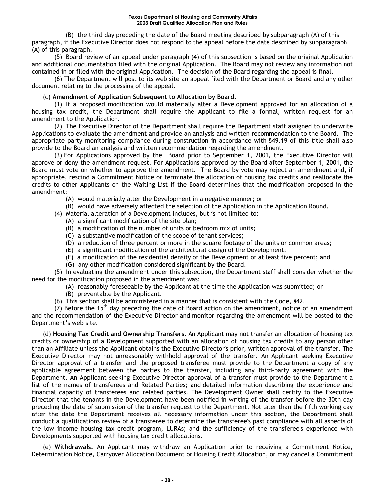(B) the third day preceding the date of the Board meeting described by subparagraph (A) of this paragraph, if the Executive Director does not respond to the appeal before the date described by subparagraph (A) of this paragraph.

(5) Board review of an appeal under paragraph (4) of this subsection is based on the original Application and additional documentation filed with the original Application. The Board may not review any information not contained in or filed with the original Application. The decision of the Board regarding the appeal is final.

(6) The Department will post to its web site an appeal filed with the Department or Board and any other document relating to the processing of the appeal.

#### (c) **Amendment of Application Subsequent to Allocation by Board.**

(1) If a proposed modification would materially alter a Development approved for an allocation of a housing tax credit, the Department shall require the Applicant to file a formal, written request for an amendment to the Application.

(2) The Executive Director of the Department shall require the Department staff assigned to underwrite Applications to evaluate the amendment and provide an analysis and written recommendation to the Board. The appropriate party monitoring compliance during construction in accordance with §49.19 of this title shall also provide to the Board an analysis and written recommendation regarding the amendment.

(3) For Applications approved by the Board prior to September 1, 2001, the Executive Director will approve or deny the amendment request. For Applications approved by the Board after September 1, 2001, the Board must vote on whether to approve the amendment. The Board by vote may reject an amendment and, if appropriate, rescind a Commitment Notice or terminate the allocation of housing tax credits and reallocate the credits to other Applicants on the Waiting List if the Board determines that the modification proposed in the amendment:

- (A) would materially alter the Development in a negative manner; or
- (B) would have adversely affected the selection of the Application in the Application Round.
- (4) Material alteration of a Development includes, but is not limited to:
	- (A) a significant modification of the site plan;
	- (B) a modification of the number of units or bedroom mix of units;
	- (C) a substantive modification of the scope of tenant services;
	- (D) a reduction of three percent or more in the square footage of the units or common areas;
	- (E) a significant modification of the architectural design of the Development;
	- (F) a modification of the residential density of the Development of at least five percent; and
	- (G) any other modification considered significant by the Board.

(5) In evaluating the amendment under this subsection, the Department staff shall consider whether the need for the modification proposed in the amendment was:

- (A) reasonably foreseeable by the Applicant at the time the Application was submitted; or
- (B) preventable by the Applicant.
- (6) This section shall be administered in a manner that is consistent with the Code, §42.

 $(7)$  Before the 15<sup>th</sup> day preceding the date of Board action on the amendment, notice of an amendment and the recommendation of the Executive Director and monitor regarding the amendment will be posted to the Department's web site.

(d) **Housing Tax Credit and Ownership Transfers.** An Applicant may not transfer an allocation of housing tax credits or ownership of a Development supported with an allocation of housing tax credits to any person other than an Affiliate unless the Applicant obtains the Executive Director's prior, written approval of the transfer. The Executive Director may not unreasonably withhold approval of the transfer. An Applicant seeking Executive Director approval of a transfer and the proposed transferee must provide to the Department a copy of any applicable agreement between the parties to the transfer, including any third-party agreement with the Department. An Applicant seeking Executive Director approval of a transfer must provide to the Department a list of the names of transferees and Related Parties; and detailed information describing the experience and financial capacity of transferees and related parties. The Development Owner shall certify to the Executive Director that the tenants in the Development have been notified in writing of the transfer before the 30th day preceding the date of submission of the transfer request to the Department. Not later than the fifth working day after the date the Department receives all necessary information under this section, the Department shall conduct a qualifications review of a transferee to determine the transferee's past compliance with all aspects of the low income housing tax credit program, LURAs; and the sufficiency of the transferee's experience with Developments supported with housing tax credit allocations.

(e) **Withdrawals.** An Applicant may withdraw an Application prior to receiving a Commitment Notice, Determination Notice, Carryover Allocation Document or Housing Credit Allocation, or may cancel a Commitment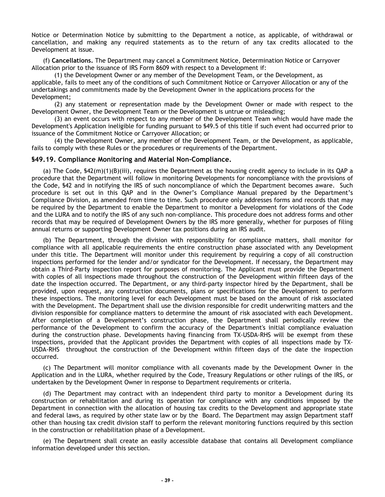Notice or Determination Notice by submitting to the Department a notice, as applicable, of withdrawal or cancellation, and making any required statements as to the return of any tax credits allocated to the Development at issue.

(f) **Cancellations.** The Department may cancel a Commitment Notice, Determination Notice or Carryover Allocation prior to the issuance of IRS Form 8609 with respect to a Development if:

(1) the Development Owner or any member of the Development Team, or the Development, as applicable, fails to meet any of the conditions of such Commitment Notice or Carryover Allocation or any of the undertakings and commitments made by the Development Owner in the applications process for the Development;

(2) any statement or representation made by the Development Owner or made with respect to the Development Owner, the Development Team or the Development is untrue or misleading;

(3) an event occurs with respect to any member of the Development Team which would have made the Development's Application ineligible for funding pursuant to §49.5 of this title if such event had occurred prior to issuance of the Commitment Notice or Carryover Allocation; or

(4) the Development Owner, any member of the Development Team, or the Development, as applicable, fails to comply with these Rules or the procedures or requirements of the Department.

#### **§49.19. Compliance Monitoring and Material Non-Compliance.**

(a) The Code, §42(m)(1)(B)(iii), requires the Department as the housing credit agency to include in its QAP a procedure that the Department will follow in monitoring Developments for noncompliance with the provisions of the Code, §42 and in notifying the IRS of such noncompliance of which the Department becomes aware. Such procedure is set out in this QAP and in the Owner's Compliance Manual prepared by the Department's Compliance Division, as amended from time to time. Such procedure only addresses forms and records that may be required by the Department to enable the Department to monitor a Development for violations of the Code and the LURA and to notify the IRS of any such non-compliance. This procedure does not address forms and other records that may be required of Development Owners by the IRS more generally, whether for purposes of filing annual returns or supporting Development Owner tax positions during an IRS audit.

(b) The Department, through the division with responsibility for compliance matters, shall monitor for compliance with all applicable requirements the entire construction phase associated with any Development under this title. The Department will monitor under this requirement by requiring a copy of all construction inspections performed for the lender and/or syndicator for the Development. If necessary, the Department may obtain a Third-Party inspection report for purposes of monitoring. The Applicant must provide the Department with copies of all inspections made throughout the construction of the Development within fifteen days of the date the inspection occurred. The Department, or any third-party inspector hired by the Department, shall be provided, upon request, any construction documents, plans or specifications for the Development to perform these inspections. The monitoring level for each Development must be based on the amount of risk associated with the Development. The Department shall use the division responsible for credit underwriting matters and the division responsible for compliance matters to determine the amount of risk associated with each Development. After completion of a Development's construction phase, the Department shall periodically review the performance of the Development to confirm the accuracy of the Department's initial compliance evaluation during the construction phase. Developments having financing from TX-USDA-RHS will be exempt from these inspections, provided that the Applicant provides the Department with copies of all inspections made by TX-USDA-RHS throughout the construction of the Development within fifteen days of the date the inspection occurred.

(c) The Department will monitor compliance with all covenants made by the Development Owner in the Application and in the LURA, whether required by the Code, Treasury Regulations or other rulings of the IRS, or undertaken by the Development Owner in response to Department requirements or criteria.

(d) The Department may contract with an independent third party to monitor a Development during its construction or rehabilitation and during its operation for compliance with any conditions imposed by the Department in connection with the allocation of housing tax credits to the Development and appropriate state and federal laws, as required by other state law or by the Board. The Department may assign Department staff other than housing tax credit division staff to perform the relevant monitoring functions required by this section in the construction or rehabilitation phase of a Development.

(e) The Department shall create an easily accessible database that contains all Development compliance information developed under this section.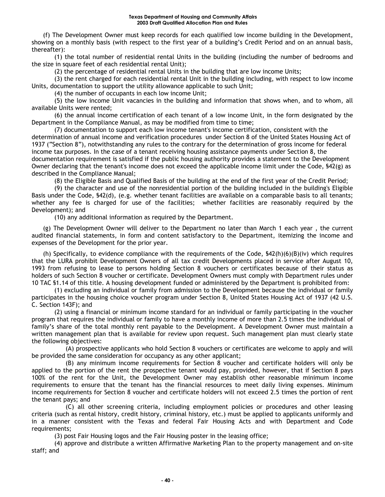(f) The Development Owner must keep records for each qualified low income building in the Development, showing on a monthly basis (with respect to the first year of a building's Credit Period and on an annual basis, thereafter):

(1) the total number of residential rental Units in the building (including the number of bedrooms and the size in square feet of each residential rental Unit);

(2) the percentage of residential rental Units in the building that are low income Units;

(3) the rent charged for each residential rental Unit in the building including, with respect to low income Units, documentation to support the utility allowance applicable to such Unit;

(4) the number of occupants in each low income Unit;

(5) the low income Unit vacancies in the building and information that shows when, and to whom, all available Units were rented;

(6) the annual income certification of each tenant of a low income Unit, in the form designated by the Department in the Compliance Manual, as may be modified from time to time;

(7) documentation to support each low income tenant's income certification, consistent with the determination of annual income and verification procedures under Section 8 of the United States Housing Act of 1937 ("Section 8"), notwithstanding any rules to the contrary for the determination of gross income for federal income tax purposes. In the case of a tenant receiving housing assistance payments under Section 8, the documentation requirement is satisfied if the public housing authority provides a statement to the Development Owner declaring that the tenant's income does not exceed the applicable income limit under the Code, §42(g) as described in the Compliance Manual;

(8) the Eligible Basis and Qualified Basis of the building at the end of the first year of the Credit Period;

(9) the character and use of the nonresidential portion of the building included in the building's Eligible Basis under the Code, §42(d), (e.g. whether tenant facilities are available on a comparable basis to all tenants; whether any fee is charged for use of the facilities; whether facilities are reasonably required by the Development); and

(10) any additional information as required by the Department.

(g) The Development Owner will deliver to the Department no later than March 1 each year , the current audited financial statements, in form and content satisfactory to the Department, itemizing the income and expenses of the Development for the prior year.

(h) Specifically, to evidence compliance with the requirements of the Code,  $$42(h)(6)(B)(iv)$  which requires that the LURA prohibit Development Owners of all tax credit Developments placed in service after August 10, 1993 from refusing to lease to persons holding Section 8 vouchers or certificates because of their status as holders of such Section 8 voucher or certificate. Development Owners must comply with Department rules under 10 TAC §1.14 of this title. A housing development funded or administered by the Department is prohibited from:

(1) excluding an individual or family from admission to the Development because the individual or family participates in the housing choice voucher program under Section 8, United States Housing Act of 1937 (42 U.S. C. Section 143F); and

(2) using a financial or minimum income standard for an individual or family participating in the voucher program that requires the individual or family to have a monthly income of more than 2.5 times the individual of family's share of the total monthly rent payable to the Development. A Development Owner must maintain a written management plan that is available for review upon request. Such management plan must clearly state the following objectives:

(A) prospective applicants who hold Section 8 vouchers or certificates are welcome to apply and will be provided the same consideration for occupancy as any other applicant;

(B) any minimum income requirements for Section 8 voucher and certificate holders will only be applied to the portion of the rent the prospective tenant would pay, provided, however, that if Section 8 pays 100% of the rent for the Unit, the Development Owner may establish other reasonable minimum income requirements to ensure that the tenant has the financial resources to meet daily living expenses. Minimum income requirements for Section 8 voucher and certificate holders will not exceed 2.5 times the portion of rent the tenant pays; and

(C) all other screening criteria, including employment policies or procedures and other leasing criteria (such as rental history, credit history, criminal history, etc.) must be applied to applicants uniformly and in a manner consistent with the Texas and federal Fair Housing Acts and with Department and Code requirements;

(3) post Fair Housing logos and the Fair Housing poster in the leasing office;

(4) approve and distribute a written Affirmative Marketing Plan to the property management and on-site staff; and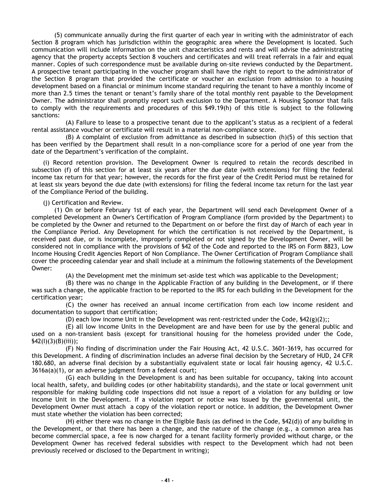(5) communicate annually during the first quarter of each year in writing with the administrator of each Section 8 program which has jurisdiction within the geographic area where the Development is located. Such communication will include information on the unit characteristics and rents and will advise the administrating agency that the property accepts Section 8 vouchers and certificates and will treat referrals in a fair and equal manner. Copies of such correspondence must be available during on-site reviews conducted by the Department. A prospective tenant participating in the voucher program shall have the right to report to the administrator of the Section 8 program that provided the certificate or voucher an exclusion from admission to a housing development based on a financial or minimum income standard requiring the tenant to have a monthly income of more than 2.5 times the tenant or tenant's family share of the total monthly rent payable to the Development Owner. The administrator shall promptly report such exclusion to the Department. A Housing Sponsor that fails to comply with the requirements and procedures of this §49.19(h) of this title is subject to the following sanctions:

(A) Failure to lease to a prospective tenant due to the applicant's status as a recipient of a federal rental assistance voucher or certificate will result in a material non-compliance score.

 $(B)$  A complaint of exclusion from admittance as described in subsection  $(h)(5)$  of this section that has been verified by the Department shall result in a non-compliance score for a period of one year from the date of the Department's verification of the complaint.

(i) Record retention provision. The Development Owner is required to retain the records described in subsection (f) of this section for at least six years after the due date (with extensions) for filing the federal income tax return for that year; however, the records for the first year of the Credit Period must be retained for at least six years beyond the due date (with extensions) for filing the federal income tax return for the last year of the Compliance Period of the building.

(j) Certification and Review.

(1) On or before February 1st of each year, the Department will send each Development Owner of a completed Development an Owner's Certification of Program Compliance (form provided by the Department) to be completed by the Owner and returned to the Department on or before the first day of March of each year in the Compliance Period. Any Development for which the certification is not received by the Department, is received past due, or is incomplete, improperly completed or not signed by the Development Owner, will be considered not in compliance with the provisions of §42 of the Code and reported to the IRS on Form 8823, Low Income Housing Credit Agencies Report of Non Compliance. The Owner Certification of Program Compliance shall cover the proceeding calendar year and shall include at a minimum the following statements of the Development Owner:

(A) the Development met the minimum set-aside test which was applicable to the Development;

(B) there was no change in the Applicable Fraction of any building in the Development, or if there was such a change, the applicable fraction to be reported to the IRS for each building in the Development for the certification year;

(C) the owner has received an annual income certification from each low income resident and documentation to support that certification;

(D) each low income Unit in the Development was rent-restricted under the Code,  $\frac{642(g)(2)}{1}$ ;

(E) all low income Units in the Development are and have been for use by the general public and used on a non-transient basis (except for transitional housing for the homeless provided under the Code, §42(I)(3)(B)(iii));

(F) No finding of discrimination under the Fair Housing Act, 42 U.S.C. 3601-3619, has occurred for this Development. A finding of discrimination includes an adverse final decision by the Secretary of HUD, 24 CFR 180.680, an adverse final decision by a substantially equivalent state or local fair housing agency, 42 U.S.C. 3616a(a)(1), or an adverse judgment from a federal court;

(G) each building in the Development is and has been suitable for occupancy, taking into account local health, safety, and building codes (or other habitability standards), and the state or local government unit responsible for making building code inspections did not issue a report of a violation for any building or low income Unit in the Development. If a violation report or notice was issued by the governmental unit, the Development Owner must attach a copy of the violation report or notice. In addition, the Development Owner must state whether the violation has been corrected;

(H) either there was no change in the Eligible Basis (as defined in the Code, §42(d)) of any building in the Development, or that there has been a change, and the nature of the change (e.g., a common area has become commercial space, a fee is now charged for a tenant facility formerly provided without charge, or the Development Owner has received federal subsidies with respect to the Development which had not been previously received or disclosed to the Department in writing);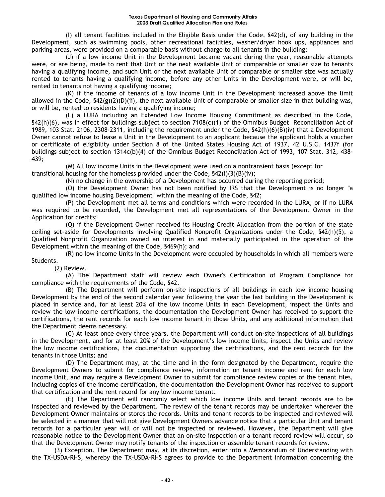(I) all tenant facilities included in the Eligible Basis under the Code, §42(d), of any building in the Development, such as swimming pools, other recreational facilities, washer/dryer hook ups, appliances and parking areas, were provided on a comparable basis without charge to all tenants in the building;

(J) if a low income Unit in the Development became vacant during the year, reasonable attempts were, or are being, made to rent that Unit or the next available Unit of comparable or smaller size to tenants having a qualifying income, and such Unit or the next available Unit of comparable or smaller size was actually rented to tenants having a qualifying income, before any other Units in the Development were, or will be, rented to tenants not having a qualifying income;

(K) if the income of tenants of a low income Unit in the Development increased above the limit allowed in the Code,  $\frac{542(g)(2)(D)(ii)}{2}$ , the next available Unit of comparable or smaller size in that building was, or will be, rented to residents having a qualifying income;

(L) a LURA including an Extended Low Income Housing Commitment as described in the Code, §42(h)(6), was in effect for buildings subject to section 7108(c)(1) of the Omnibus Budget Reconciliation Act of 1989, 103 Stat. 2106, 2308-2311, including the requirement under the Code, §42(h)(6)(B)(iv) that a Development Owner cannot refuse to lease a Unit in the Development to an applicant because the applicant holds a voucher or certificate of eligibility under Section 8 of the United States Housing Act of 1937, 42 U.S.C. 1437f (for buildings subject to section 1314c(b)(4) of the Omnibus Budget Reconciliation Act of 1993, 107 Stat. 312, 438- 439;

(M) All low income Units in the Development were used on a nontransient basis (except for transitional housing for the homeless provided under the Code,  $\frac{542(i)}{(3)(B)(iv)}$ ;

(N) no change in the ownership of a Development has occurred during the reporting period;

(O) the Development Owner has not been notified by IRS that the Development is no longer "a qualified low income housing Development" within the meaning of the Code, §42;

(P) the Development met all terms and conditions which were recorded in the LURA, or if no LURA was required to be recorded, the Development met all representations of the Development Owner in the Application for credits;

(Q) if the Development Owner received its Housing Credit Allocation from the portion of the state ceiling set-aside for Developments involving Qualified Nonprofit Organizations under the Code, §42(h)(5), a Qualified Nonprofit Organization owned an interest in and materially participated in the operation of the Development within the meaning of the Code, §469(h); and

(R) no low income Units in the Development were occupied by households in which all members were Students.

(2) Review.

(A) The Department staff will review each Owner's Certification of Program Compliance for compliance with the requirements of the Code, §42.

(B) The Department will perform on-site inspections of all buildings in each low income housing Development by the end of the second calendar year following the year the last building in the Development is placed in service and, for at least 20% of the low income Units in each Development, inspect the Units and review the low income certifications, the documentation the Development Owner has received to support the certifications, the rent records for each low income tenant in those Units, and any additional information that the Department deems necessary.

(C) At least once every three years, the Department will conduct on-site inspections of all buildings in the Development, and for at least 20% of the Development's low income Units, inspect the Units and review the low income certifications, the documentation supporting the certifications, and the rent records for the tenants in those Units; and

(D) The Department may, at the time and in the form designated by the Department, require the Development Owners to submit for compliance review, information on tenant income and rent for each low income Unit, and may require a Development Owner to submit for compliance review copies of the tenant files, including copies of the income certification, the documentation the Development Owner has received to support that certification and the rent record for any low income tenant.

(E) The Department will randomly select which low income Units and tenant records are to be inspected and reviewed by the Department. The review of the tenant records may be undertaken wherever the Development Owner maintains or stores the records. Units and tenant records to be inspected and reviewed will be selected in a manner that will not give Development Owners advance notice that a particular Unit and tenant records for a particular year will or will not be inspected or reviewed. However, the Department will give reasonable notice to the Development Owner that an on-site inspection or a tenant record review will occur, so that the Development Owner may notify tenants of the inspection or assemble tenant records for review.

(3) Exception. The Department may, at its discretion, enter into a Memorandum of Understanding with the TX-USDA-RHS, whereby the TX-USDA-RHS agrees to provide to the Department information concerning the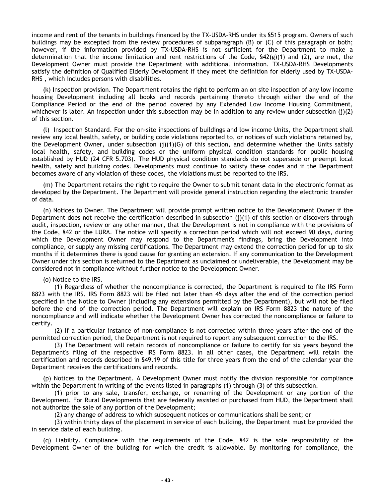income and rent of the tenants in buildings financed by the TX-USDA-RHS under its §515 program. Owners of such buildings may be excepted from the review procedures of subparagraph (B) or (C) of this paragraph or both; however, if the information provided by TX-USDA-RHS is not sufficient for the Department to make a determination that the income limitation and rent restrictions of the Code,  $\frac{642(g)}{1}$  and (2), are met, the Development Owner must provide the Department with additional information. TX-USDA-RHS Developments satisfy the definition of Qualified Elderly Development if they meet the definition for elderly used by TX-USDA-RHS , which includes persons with disabilities.

(k) Inspection provision. The Department retains the right to perform an on site inspection of any low income housing Development including all books and records pertaining thereto through either the end of the Compliance Period or the end of the period covered by any Extended Low Income Housing Commitment, whichever is later. An inspection under this subsection may be in addition to any review under subsection  $(i)(2)$ of this section.

(l) Inspection Standard. For the on-site inspections of buildings and low income Units, the Department shall review any local health, safety, or building code violations reported to, or notices of such violations retained by, the Development Owner, under subsection (j)(1)(G) of this section, and determine whether the Units satisfy local health, safety, and building codes or the uniform physical condition standards for public housing established by HUD (24 CFR 5.703). The HUD physical condition standards do not supersede or preempt local health, safety and building codes. Developments must continue to satisfy these codes and if the Department becomes aware of any violation of these codes, the violations must be reported to the IRS.

(m) The Department retains the right to require the Owner to submit tenant data in the electronic format as developed by the Department. The Department will provide general instruction regarding the electronic transfer of data.

(n) Notices to Owner. The Department will provide prompt written notice to the Development Owner if the Department does not receive the certification described in subsection  $(j)(1)$  of this section or discovers through audit, inspection, review or any other manner, that the Development is not in compliance with the provisions of the Code, §42 or the LURA. The notice will specify a correction period which will not exceed 90 days, during which the Development Owner may respond to the Department's findings, bring the Development into compliance, or supply any missing certifications. The Department may extend the correction period for up to six months if it determines there is good cause for granting an extension. If any communication to the Development Owner under this section is returned to the Department as unclaimed or undeliverable, the Development may be considered not in compliance without further notice to the Development Owner.

(o) Notice to the IRS.

(1) Regardless of whether the noncompliance is corrected, the Department is required to file IRS Form 8823 with the IRS. IRS Form 8823 will be filed not later than 45 days after the end of the correction period specified in the Notice to Owner (including any extensions permitted by the Department), but will not be filed before the end of the correction period. The Department will explain on IRS Form 8823 the nature of the noncompliance and will indicate whether the Development Owner has corrected the noncompliance or failure to certify.

(2) If a particular instance of non-compliance is not corrected within three years after the end of the permitted correction period, the Department is not required to report any subsequent correction to the IRS.

(3) The Department will retain records of noncompliance or failure to certify for six years beyond the Department's filing of the respective IRS Form 8823. In all other cases, the Department will retain the certification and records described in §49.19 of this title for three years from the end of the calendar year the Department receives the certifications and records.

(p) Notices to the Department. A Development Owner must notify the division responsible for compliance within the Department in writing of the events listed in paragraphs (1) through (3) of this subsection.

(1) prior to any sale, transfer, exchange, or renaming of the Development or any portion of the Development. For Rural Developments that are federally assisted or purchased from HUD, the Department shall not authorize the sale of any portion of the Development;

(2) any change of address to which subsequent notices or communications shall be sent; or

(3) within thirty days of the placement in service of each building, the Department must be provided the in service date of each building.

(q) Liability. Compliance with the requirements of the Code, §42 is the sole responsibility of the Development Owner of the building for which the credit is allowable. By monitoring for compliance, the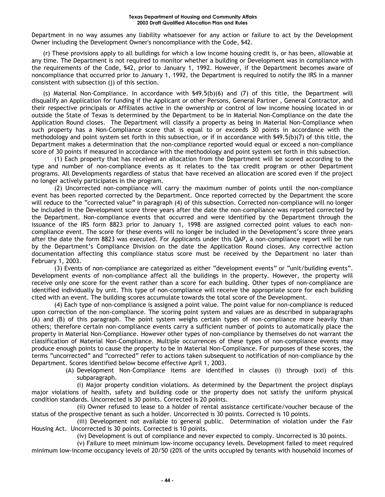#### **Texas Department of Housing and Community Affairs 2003 Draft Qualified Allocation Plan and Rules**

Department in no way assumes any liability whatsoever for any action or failure to act by the Development Owner including the Development Owner's noncompliance with the Code, §42.

(r) These provisions apply to all buildings for which a low income housing credit is, or has been, allowable at any time. The Department is not required to monitor whether a building or Development was in compliance with the requirements of the Code, §42, prior to January 1, 1992. However, if the Department becomes aware of noncompliance that occurred prior to January 1, 1992, the Department is required to notify the IRS in a manner consistent with subsection (j) of this section.

(s) Material Non-Compliance. In accordance with §49.5(b)(6) and (7) of this title, the Department will disqualify an Application for funding if the Applicant or other Persons, General Partner , General Contractor, and their respective principals or Affiliates active in the ownership or control of low income housing located in or outside the State of Texas is determined by the Department to be in Material Non-Compliance on the date the Application Round closes. The Department will classify a property as being in Material Non-Compliance when such property has a Non-Compliance score that is equal to or exceeds 30 points in accordance with the methodology and point system set forth in this subsection, or if in accordance with §49.5(b)(7) of this title, the Department makes a determination that the non-compliance reported would equal or exceed a non-compliance score of 30 points if measured in accordance with the methodology and point system set forth in this subsection.

(1) Each property that has received an allocation from the Department will be scored according to the type and number of non-compliance events as it relates to the tax credit program or other Department programs. All Developments regardless of status that have received an allocation are scored even if the project no longer actively participates in the program.

(2) Uncorrected non-compliance will carry the maximum number of points until the non-compliance event has been reported corrected by the Department. Once reported corrected by the Department the score will reduce to the "corrected value" in paragraph (4) of this subsection. Corrected non-compliance will no longer be included in the Development score three years after the date the non-compliance was reported corrected by the Department. Non-compliance events that occurred and were identified by the Department through the issuance of the IRS form 8823 prior to January 1, 1998 are assigned corrected point values to each noncompliance event. The score for these events will no longer be included in the Development's score three years after the date the form 8823 was executed. For Applicants under this QAP, a non-compliance report will be run by the Department's Compliance Division on the date the Application Round closes. Any corrective action documentation affecting this compliance status score must be received by the Department no later than February 1, 2003.

(3) Events of non-compliance are categorized as either "development events" or "unit/building events". Development events of non-compliance affect all the buildings in the property. However, the property will receive only one score for the event rather than a score for each building. Other types of non-compliance are identified individually by unit. This type of non-compliance will receive the appropriate score for each building cited with an event. The building scores accumulate towards the total score of the Development.

(4) Each type of non-compliance is assigned a point value. The point value for non-compliance is reduced upon correction of the non-compliance. The scoring point system and values are as described in subparagraphs (A) and (B) of this paragraph. The point system weighs certain types of non-compliance more heavily than others; therefore certain non-compliance events carry a sufficient number of points to automatically place the property in Material Non-Compliance. However other types of non-compliance by themselves do not warrant the classification of Material Non-Compliance. Multiple occurrences of these types of non-compliance events may produce enough points to cause the property to be in Material Non-Compliance. For purposes of these scores, the terms "uncorrected" and "corrected" refer to actions taken subsequent to notification of non-compliance by the Department. Scores identified below become effective April 1, 2003.

(A) Development Non-Compliance items are identified in clauses (i) through (xxi) of this subparagraph.

(i) Major property condition violations. As determined by the Department the project displays major violations of health, safety and building code or the property does not satisfy the uniform physical condition standards. Uncorrected is 30 points. Corrected is 20 points.

(ii) Owner refused to lease to a holder of rental assistance certificate/voucher because of the status of the prospective tenant as such a holder. Uncorrected is 30 points. Corrected is 10 points.

(iii) Development not available to general public. Determination of violation under the Fair Housing Act. Uncorrected is 30 points. Corrected is 10 points.

(iv) Development is out of compliance and never expected to comply. Uncorrected is 30 points.

(v) Failure to meet minimum low-income occupancy levels. Development failed to meet required minimum low-income occupancy levels of 20/50 (20% of the units occupied by tenants with household incomes of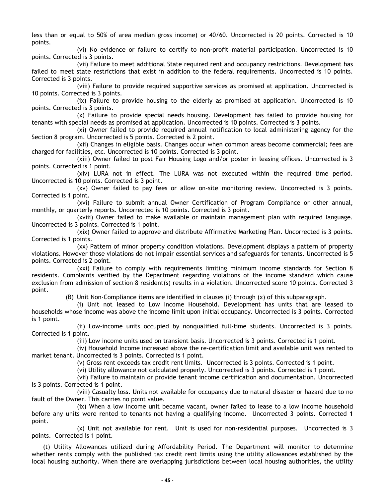less than or equal to 50% of area median gross income) or 40/60. Uncorrected is 20 points. Corrected is 10 points.

(vi) No evidence or failure to certify to non-profit material participation. Uncorrected is 10 points. Corrected is 3 points.

(vii) Failure to meet additional State required rent and occupancy restrictions. Development has failed to meet state restrictions that exist in addition to the federal requirements. Uncorrected is 10 points. Corrected is 3 points.

(viii) Failure to provide required supportive services as promised at application. Uncorrected is 10 points. Corrected is 3 points.

(ix) Failure to provide housing to the elderly as promised at application. Uncorrected is 10 points. Corrected is 3 points.

(x) Failure to provide special needs housing. Development has failed to provide housing for tenants with special needs as promised at application. Uncorrected is 10 points. Corrected is 3 points.

(xi) Owner failed to provide required annual notification to local administering agency for the Section 8 program. Uncorrected is 5 points. Corrected is 2 point.

(xii) Changes in eligible basis. Changes occur when common areas become commercial; fees are charged for facilities, etc. Uncorrected is 10 points. Corrected is 3 point.

(xiii) Owner failed to post Fair Housing Logo and/or poster in leasing offices. Uncorrected is 3 points. Corrected is 1 point.

(xiv) LURA not in effect. The LURA was not executed within the required time period. Uncorrected is 10 points. Corrected is 3 point.

(xv) Owner failed to pay fees or allow on-site monitoring review. Uncorrected is 3 points. Corrected is 1 point.

(xvi) Failure to submit annual Owner Certification of Program Compliance or other annual, monthly, or quarterly reports. Uncorrected is 10 points. Corrected is 3 point.

(xviii) Owner failed to make available or maintain management plan with required language. Uncorrected is 3 points. Corrected is 1 point.

(xix) Owner failed to approve and distribute Affirmative Marketing Plan. Uncorrected is 3 points. Corrected is 1 points.

(xx) Pattern of minor property condition violations. Development displays a pattern of property violations. However those violations do not impair essential services and safeguards for tenants. Uncorrected is 5 points. Corrected is 2 point.

(xxi) Failure to comply with requirements limiting minimum income standards for Section 8 residents. Complaints verified by the Department regarding violations of the income standard which cause exclusion from admission of section 8 resident(s) results in a violation. Uncorrected score 10 points. Corrected 3 point.

(B) Unit Non-Compliance items are identified in clauses (i) through (x) of this subparagraph.

(i) Unit not leased to Low Income Household. Development has units that are leased to households whose income was above the income limit upon initial occupancy. Uncorrected is 3 points. Corrected is 1 point.

(ii) Low-income units occupied by nonqualified full-time students. Uncorrected is 3 points. Corrected is 1 point.

(iii) Low income units used on transient basis. Uncorrected is 3 points. Corrected is 1 point.

(iv) Household Income increased above the re-certification limit and available unit was rented to market tenant. Uncorrected is 3 points. Corrected is 1 point.

(v) Gross rent exceeds tax credit rent limits. Uncorrected is 3 points. Corrected is 1 point.

(vi) Utility allowance not calculated properly. Uncorrected is 3 points. Corrected is 1 point.

(vii) Failure to maintain or provide tenant income certification and documentation. Uncorrected is 3 points. Corrected is 1 point.

(viii) Casualty loss. Units not available for occupancy due to natural disaster or hazard due to no fault of the Owner. This carries no point value.

(ix) When a low income unit became vacant, owner failed to lease to a low income household before any units were rented to tenants not having a qualifying income. Uncorrected 3 points. Corrected 1 point.

(x) Unit not available for rent. Unit is used for non-residential purposes. Uncorrected is 3 points. Corrected is 1 point.

(t) Utility Allowances utilized during Affordability Period. The Department will monitor to determine whether rents comply with the published tax credit rent limits using the utility allowances established by the local housing authority. When there are overlapping jurisdictions between local housing authorities, the utility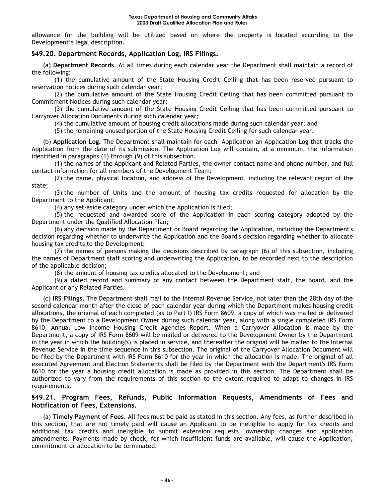allowance for the building will be utilized based on where the property is located according to the Development's legal description.

# **§49.20. Department Records, Application Log, IRS Filings.**

(a) **Department Records.** At all times during each calendar year the Department shall maintain a record of the following:

(1) the cumulative amount of the State Housing Credit Ceiling that has been reserved pursuant to reservation notices during such calendar year;

(2) the cumulative amount of the State Housing Credit Ceiling that has been committed pursuant to Commitment Notices during such calendar year;

(3) the cumulative amount of the State Housing Credit Ceiling that has been committed pursuant to Carryover Allocation Documents during such calendar year;

(4) the cumulative amount of housing credit allocations made during such calendar year; and

(5) the remaining unused portion of the State Housing Credit Ceiling for such calendar year.

(b) **Application Log.** The Department shall maintain for each Application an Application Log that tracks the Application from the date of its submission. The Application Log will contain, at a minimum, the information identified in paragraphs (1) through (9) of this subsection.

(1) the names of the Applicant and Related Parties, the owner contact name and phone number, and full contact information for all members of the Development Team;

(2) the name, physical location, and address of the Development, including the relevant region of the state;

(3) the number of Units and the amount of housing tax credits requested for allocation by the Department to the Applicant;

(4) any set-aside category under which the Application is filed;

(5) the requested and awarded score of the Application in each scoring category adopted by the Department under the Qualified Allocation Plan;

(6) any decision made by the Department or Board regarding the Application, including the Department's decision regarding whether to underwrite the Application and the Board's decision regarding whether to allocate housing tax credits to the Development;

(7) the names of persons making the decisions described by paragraph (6) of this subsection, including the names of Department staff scoring and underwriting the Application, to be recorded next to the description of the applicable decision;

(8) the amount of housing tax credits allocated to the Development; and

(9) a dated record and summary of any contact between the Department staff, the Board, and the Applicant or any Related Parties.

(c) **IRS Filings.** The Department shall mail to the Internal Revenue Service, not later than the 28th day of the second calendar month after the close of each calendar year during which the Department makes housing credit allocations, the original of each completed (as to Part I) IRS Form 8609, a copy of which was mailed or delivered by the Department to a Development Owner during such calendar year, along with a single completed IRS Form 8610, Annual Low Income Housing Credit Agencies Report. When a Carryover Allocation is made by the Department, a copy of IRS Form 8609 will be mailed or delivered to the Development Owner by the Department in the year in which the building(s) is placed in service, and thereafter the original will be mailed to the Internal Revenue Service in the time sequence in this subsection. The original of the Carryover Allocation Document will be filed by the Department with IRS Form 8610 for the year in which the allocation is made. The original of all executed Agreement and Election Statements shall be filed by the Department with the Department's IRS Form 8610 for the year a housing credit allocation is made as provided in this section. The Department shall be authorized to vary from the requirements of this section to the extent required to adapt to changes in IRS requirements.

# **§49.21. Program Fees, Refunds, Public Information Requests, Amendments of Fees and Notification of Fees, Extensions.**

(a) **Timely Payment of Fees.** All fees must be paid as stated in this section. Any fees, as further described in this section, that are not timely paid will cause an Applicant to be ineligible to apply for tax credits and additional tax credits and ineligible to submit extension requests, ownership changes and application amendments. Payments made by check, for which insufficient funds are available, will cause the Application, commitment or allocation to be terminated.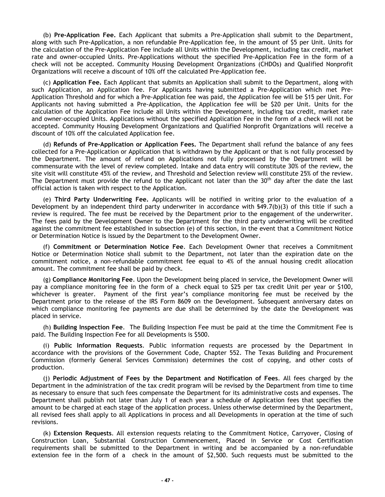(b) **Pre-Application Fee.** Each Applicant that submits a Pre-Application shall submit to the Department, along with such Pre-Application, a non refundable Pre-Application fee, in the amount of \$5 per Unit. Units for the calculation of the Pre-Application Fee include all Units within the Development, including tax credit, market rate and owner-occupied Units. Pre-Applications without the specified Pre-Application Fee in the form of a check will not be accepted. Community Housing Development Organizations (CHDOs) and Qualified Nonprofit Organizations will receive a discount of 10% off the calculated Pre-Application fee.

(c) **Application Fee.** Each Applicant that submits an Application shall submit to the Department, along with such Application, an Application fee. For Applicants having submitted a Pre-Application which met Pre-Application Threshold and for which a Pre-Application fee was paid, the Application fee will be \$15 per Unit. For Applicants not having submitted a Pre-Application, the Application fee will be \$20 per Unit. Units for the calculation of the Application Fee include all Units within the Development, including tax credit, market rate and owner-occupied Units. Applications without the specified Application Fee in the form of a check will not be accepted. Community Housing Development Organizations and Qualified Nonprofit Organizations will receive a discount of 10% off the calculated Application fee.

(d) **Refunds of Pre-Application or Application Fees.** The Department shall refund the balance of any fees collected for a Pre-Application or Application that is withdrawn by the Applicant or that is not fully processed by the Department. The amount of refund on Applications not fully processed by the Department will be commensurate with the level of review completed. Intake and data entry will constitute 30% of the review, the site visit will constitute 45% of the review, and Threshold and Selection review will constitute 25% of the review. The Department must provide the refund to the Applicant not later than the  $30<sup>th</sup>$  day after the date the last official action is taken with respect to the Application.

(e) **Third Party Underwriting Fee.** Applicants will be notified in writing prior to the evaluation of a Development by an independent third party underwriter in accordance with §49.7(b)(3) of this title if such a review is required. The fee must be received by the Department prior to the engagement of the underwriter. The fees paid by the Development Owner to the Department for the third party underwriting will be credited against the commitment fee established in subsection (e) of this section, in the event that a Commitment Notice or Determination Notice is issued by the Department to the Development Owner.

(f) **Commitment or Determination Notice Fee**. Each Development Owner that receives a Commitment Notice or Determination Notice shall submit to the Department, not later than the expiration date on the commitment notice, a non-refundable commitment fee equal to 4% of the annual housing credit allocation amount. The commitment fee shall be paid by check.

(g) **Compliance Monitoring Fee**. Upon the Development being placed in service, the Development Owner will pay a compliance monitoring fee in the form of a check equal to \$25 per tax credit Unit per year or \$100, whichever is greater. Payment of the first year's compliance monitoring fee must be received by the Department prior to the release of the IRS Form 8609 on the Development. Subsequent anniversary dates on which compliance monitoring fee payments are due shall be determined by the date the Development was placed in service.

(h) **Building Inspection Fee**. The Building Inspection Fee must be paid at the time the Commitment Fee is paid. The Building Inspection Fee for all Developments is \$500.

(i) **Public Information Requests**. Public information requests are processed by the Department in accordance with the provisions of the Government Code, Chapter 552. The Texas Building and Procurement Commission (formerly General Services Commission) determines the cost of copying, and other costs of production.

(j) **Periodic Adjustment of Fees by the Department and Notification of Fees**. All fees charged by the Department in the administration of the tax credit program will be revised by the Department from time to time as necessary to ensure that such fees compensate the Department for its administrative costs and expenses. The Department shall publish not later than July 1 of each year a schedule of Application fees that specifies the amount to be charged at each stage of the application process. Unless otherwise determined by the Department, all revised fees shall apply to all Applications in process and all Developments in operation at the time of such revisions.

(k) **Extension Requests**. All extension requests relating to the Commitment Notice, Carryover, Closing of Construction Loan, Substantial Construction Commencement, Placed in Service or Cost Certification requirements shall be submitted to the Department in writing and be accompanied by a non-refundable extension fee in the form of a check in the amount of \$2,500. Such requests must be submitted to the